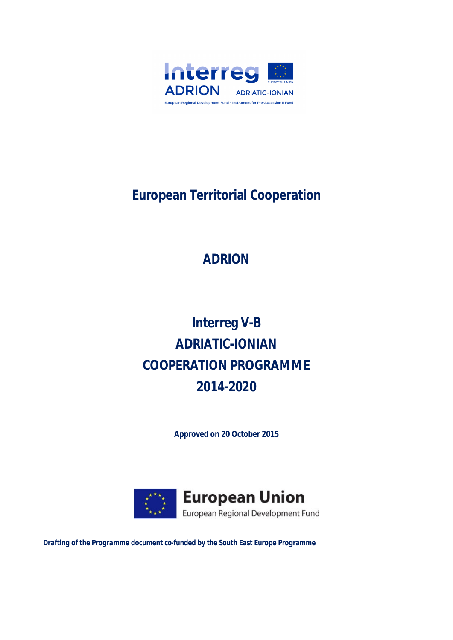

# **European Territorial Cooperation**

# **ADRION**

# **Interreg V-B ADRIATIC-IONIAN COOPERATION PROGRAMME 2014-2020**

**Approved on 20 October 2015**



*Drafting of the Programme document co-funded by the South East Europe Programme*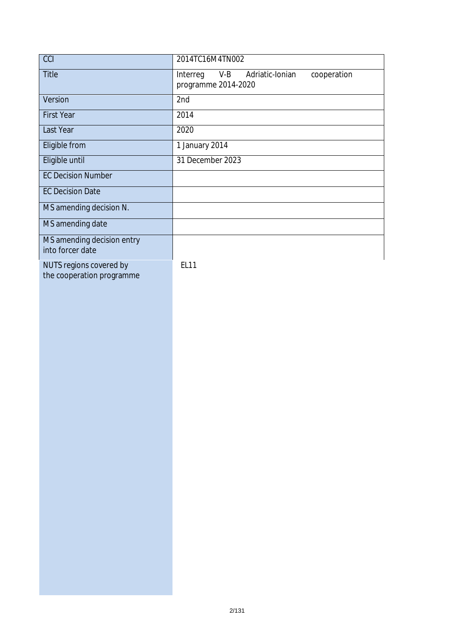| CCI                                                  | 2014TC16M4TN002                                                            |
|------------------------------------------------------|----------------------------------------------------------------------------|
| Title                                                | $V-B$<br>Adriatic-Ionian<br>cooperation<br>Interreg<br>programme 2014-2020 |
| Version                                              | 2nd                                                                        |
| <b>First Year</b>                                    | 2014                                                                       |
| Last Year                                            | 2020                                                                       |
| Eligible from                                        | 1 January 2014                                                             |
| Eligible until                                       | 31 December 2023                                                           |
| <b>EC Decision Number</b>                            |                                                                            |
| <b>EC Decision Date</b>                              |                                                                            |
| MS amending decision N.                              |                                                                            |
| MS amending date                                     |                                                                            |
| MS amending decision entry<br>into forcer date       |                                                                            |
| NUTS regions covered by<br>the cooperation programme | EL11                                                                       |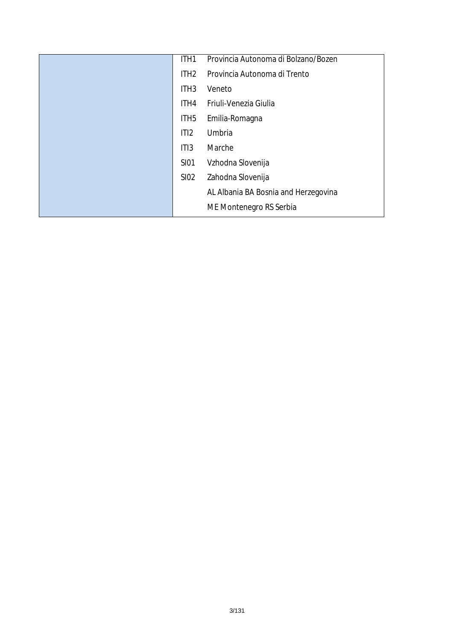| ITH1             | Provincia Autonoma di Bolzano/Bozen  |
|------------------|--------------------------------------|
| ITH <sub>2</sub> | Provincia Autonoma di Trento         |
| ITH <sub>3</sub> | Veneto                               |
| ITH4             | Friuli-Venezia Giulia                |
| ITH <sub>5</sub> | Emilia-Romagna                       |
| ITI2             | Umbria                               |
| ITI3             | Marche                               |
| <b>SI01</b>      | Vzhodna Slovenija                    |
| SI02             | Zahodna Slovenija                    |
|                  | AL Albania BA Bosnia and Herzegovina |
|                  | ME Montenegro RS Serbia              |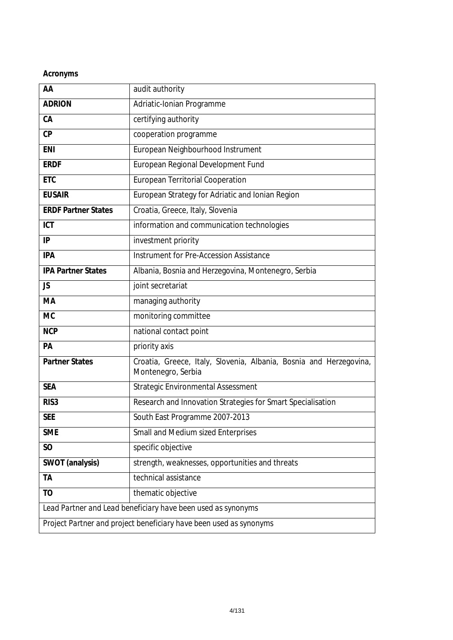### **Acronyms**

| AA                         | audit authority                                                                          |
|----------------------------|------------------------------------------------------------------------------------------|
| <b>ADRION</b>              | Adriatic-Ionian Programme                                                                |
| CA                         | certifying authority                                                                     |
| CP                         | cooperation programme                                                                    |
| <b>ENI</b>                 | European Neighbourhood Instrument                                                        |
| <b>ERDF</b>                | European Regional Development Fund                                                       |
| <b>ETC</b>                 | European Territorial Cooperation                                                         |
| <b>EUSAIR</b>              | European Strategy for Adriatic and Ionian Region                                         |
| <b>ERDF Partner States</b> | Croatia, Greece, Italy, Slovenia                                                         |
| <b>ICT</b>                 | information and communication technologies                                               |
| IP                         | investment priority                                                                      |
| <b>IPA</b>                 | Instrument for Pre-Accession Assistance                                                  |
| <b>IPA Partner States</b>  | Albania, Bosnia and Herzegovina, Montenegro, Serbia                                      |
| <b>JS</b>                  | joint secretariat                                                                        |
| MA                         | managing authority                                                                       |
| <b>MC</b>                  | monitoring committee                                                                     |
| <b>NCP</b>                 | national contact point                                                                   |
| PA                         | priority axis                                                                            |
| <b>Partner States</b>      | Croatia, Greece, Italy, Slovenia, Albania, Bosnia and Herzegovina,<br>Montenegro, Serbia |
| <b>SEA</b>                 | Strategic Environmental Assessment                                                       |
| RIS <sub>3</sub>           | Research and Innovation Strategies for Smart Specialisation                              |
| <b>SEE</b>                 | South East Programme 2007-2013                                                           |
| <b>SME</b>                 | Small and Medium sized Enterprises                                                       |
| SO <sub>1</sub>            | specific objective                                                                       |
| SWOT (analysis)            | strength, weaknesses, opportunities and threats                                          |
| TA                         | technical assistance                                                                     |
| TO                         | thematic objective                                                                       |
|                            | Lead Partner and Lead beneficiary have been used as synonyms                             |
|                            | Project Partner and project beneficiary have been used as synonyms                       |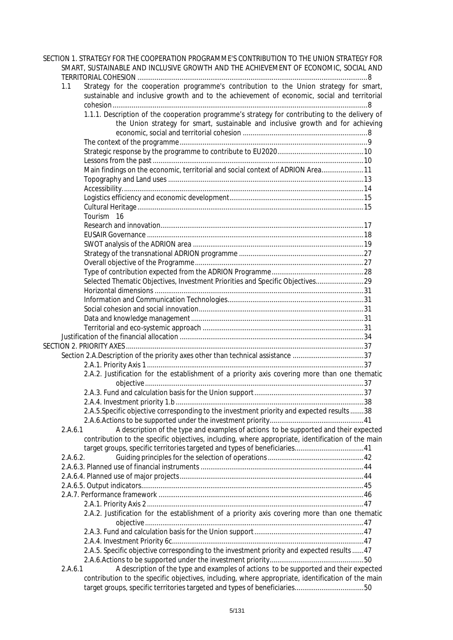| SECTION 1. STRATEGY FOR THE COOPERATION PROGRAMME'S CONTRIBUTION TO THE UNION STRATEGY FOR                                                                                                   |  |
|----------------------------------------------------------------------------------------------------------------------------------------------------------------------------------------------|--|
| SMART, SUSTAINABLE AND INCLUSIVE GROWTH AND THE ACHIEVEMENT OF ECONOMIC, SOCIAL AND                                                                                                          |  |
|                                                                                                                                                                                              |  |
| Strategy for the cooperation programme's contribution to the Union strategy for smart,<br>1.1<br>sustainable and inclusive growth and to the achievement of economic, social and territorial |  |
|                                                                                                                                                                                              |  |
| 1.1.1. Description of the cooperation programme's strategy for contributing to the delivery of                                                                                               |  |
| the Union strategy for smart, sustainable and inclusive growth and for achieving                                                                                                             |  |
|                                                                                                                                                                                              |  |
|                                                                                                                                                                                              |  |
|                                                                                                                                                                                              |  |
|                                                                                                                                                                                              |  |
| Main findings on the economic, territorial and social context of ADRION Area11                                                                                                               |  |
|                                                                                                                                                                                              |  |
|                                                                                                                                                                                              |  |
|                                                                                                                                                                                              |  |
|                                                                                                                                                                                              |  |
| Tourism 16                                                                                                                                                                                   |  |
|                                                                                                                                                                                              |  |
|                                                                                                                                                                                              |  |
|                                                                                                                                                                                              |  |
|                                                                                                                                                                                              |  |
|                                                                                                                                                                                              |  |
|                                                                                                                                                                                              |  |
| Selected Thematic Objectives, Investment Priorities and Specific Objectives29                                                                                                                |  |
|                                                                                                                                                                                              |  |
|                                                                                                                                                                                              |  |
|                                                                                                                                                                                              |  |
|                                                                                                                                                                                              |  |
|                                                                                                                                                                                              |  |
|                                                                                                                                                                                              |  |
|                                                                                                                                                                                              |  |
| Section 2.A.Description of the priority axes other than technical assistance 37                                                                                                              |  |
|                                                                                                                                                                                              |  |
| 2.A.2. Justification for the establishment of a priority axis covering more than one thematic                                                                                                |  |
|                                                                                                                                                                                              |  |
|                                                                                                                                                                                              |  |
|                                                                                                                                                                                              |  |
| 2.A.5.Specific objective corresponding to the investment priority and expected results 38                                                                                                    |  |
|                                                                                                                                                                                              |  |
| A description of the type and examples of actions to be supported and their expected<br>2.A.6.1                                                                                              |  |
| contribution to the specific objectives, including, where appropriate, identification of the main                                                                                            |  |
| target groups, specific territories targeted and types of beneficiaries41                                                                                                                    |  |
| 2.A.6.2.                                                                                                                                                                                     |  |
|                                                                                                                                                                                              |  |
|                                                                                                                                                                                              |  |
|                                                                                                                                                                                              |  |
|                                                                                                                                                                                              |  |
|                                                                                                                                                                                              |  |
| 2.A.2. Justification for the establishment of a priority axis covering more than one thematic                                                                                                |  |
|                                                                                                                                                                                              |  |
|                                                                                                                                                                                              |  |
| 2.A.5. Specific objective corresponding to the investment priority and expected results  47                                                                                                  |  |
|                                                                                                                                                                                              |  |
| A description of the type and examples of actions to be supported and their expected<br>2.A.6.1                                                                                              |  |
| contribution to the specific objectives, including, where appropriate, identification of the main<br>target groups, specific territories targeted and types of beneficiaries50               |  |
|                                                                                                                                                                                              |  |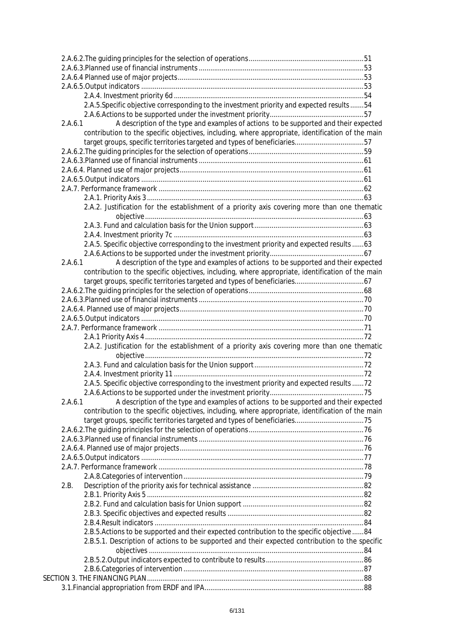|         | 2.A.5.Specific objective corresponding to the investment priority and expected results 54         |  |
|---------|---------------------------------------------------------------------------------------------------|--|
|         |                                                                                                   |  |
| 2.A.6.1 | A description of the type and examples of actions to be supported and their expected              |  |
|         | contribution to the specific objectives, including, where appropriate, identification of the main |  |
|         | target groups, specific territories targeted and types of beneficiaries57                         |  |
|         |                                                                                                   |  |
|         |                                                                                                   |  |
|         |                                                                                                   |  |
|         |                                                                                                   |  |
|         |                                                                                                   |  |
|         |                                                                                                   |  |
|         | 2.A.2. Justification for the establishment of a priority axis covering more than one thematic     |  |
|         |                                                                                                   |  |
|         |                                                                                                   |  |
|         |                                                                                                   |  |
|         |                                                                                                   |  |
|         | 2.A.5. Specific objective corresponding to the investment priority and expected results  63       |  |
|         |                                                                                                   |  |
| 2.A.6.1 | A description of the type and examples of actions to be supported and their expected              |  |
|         | contribution to the specific objectives, including, where appropriate, identification of the main |  |
|         |                                                                                                   |  |
|         |                                                                                                   |  |
|         |                                                                                                   |  |
|         |                                                                                                   |  |
|         |                                                                                                   |  |
|         |                                                                                                   |  |
|         |                                                                                                   |  |
|         | 2.A.2. Justification for the establishment of a priority axis covering more than one thematic     |  |
|         |                                                                                                   |  |
|         |                                                                                                   |  |
|         |                                                                                                   |  |
|         |                                                                                                   |  |
|         | 2.A.5. Specific objective corresponding to the investment priority and expected results  72       |  |
| 2.A.6.1 | A description of the type and examples of actions to be supported and their expected              |  |
|         | contribution to the specific objectives, including, where appropriate, identification of the main |  |
|         | target groups, specific territories targeted and types of beneficiaries75                         |  |
|         |                                                                                                   |  |
|         |                                                                                                   |  |
|         |                                                                                                   |  |
|         |                                                                                                   |  |
|         |                                                                                                   |  |
|         |                                                                                                   |  |
| 2.B.    |                                                                                                   |  |
|         |                                                                                                   |  |
|         |                                                                                                   |  |
|         |                                                                                                   |  |
|         |                                                                                                   |  |
|         |                                                                                                   |  |
|         | 2.B.5. Actions to be supported and their expected contribution to the specific objective  84      |  |
|         |                                                                                                   |  |
|         | 2.B.5.1. Description of actions to be supported and their expected contribution to the specific   |  |
|         |                                                                                                   |  |
|         |                                                                                                   |  |
|         |                                                                                                   |  |
|         |                                                                                                   |  |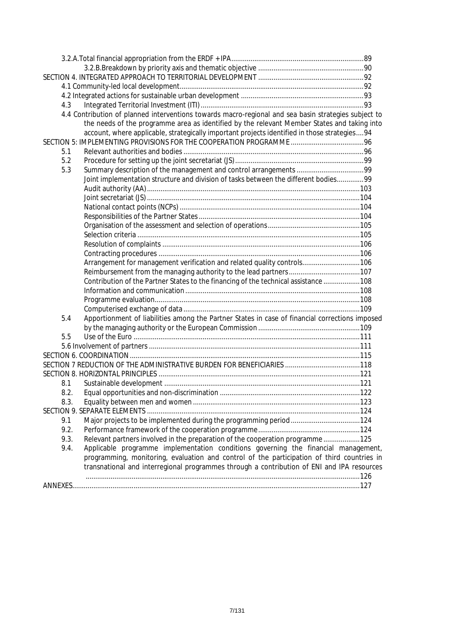| 4.3  |                                                                                                      |  |
|------|------------------------------------------------------------------------------------------------------|--|
|      | 4.4 Contribution of planned interventions towards macro-regional and sea basin strategies subject to |  |
|      | the needs of the programme area as identified by the relevant Member States and taking into          |  |
|      | account, where applicable, strategically important projects identified in those strategies 94        |  |
|      |                                                                                                      |  |
| 5.1  |                                                                                                      |  |
| 5.2  |                                                                                                      |  |
| 5.3  |                                                                                                      |  |
|      | Joint implementation structure and division of tasks between the different bodies99                  |  |
|      |                                                                                                      |  |
|      |                                                                                                      |  |
|      |                                                                                                      |  |
|      |                                                                                                      |  |
|      |                                                                                                      |  |
|      |                                                                                                      |  |
|      |                                                                                                      |  |
|      |                                                                                                      |  |
|      | Arrangement for management verification and related quality controls106                              |  |
|      |                                                                                                      |  |
|      | Contribution of the Partner States to the financing of the technical assistance  108                 |  |
|      |                                                                                                      |  |
|      |                                                                                                      |  |
|      |                                                                                                      |  |
| 5.4  | Apportionment of liabilities among the Partner States in case of financial corrections imposed       |  |
|      |                                                                                                      |  |
| 5.5  |                                                                                                      |  |
|      |                                                                                                      |  |
|      |                                                                                                      |  |
|      | SECTION 7 REDUCTION OF THE ADMINISTRATIVE BURDEN FOR BENEFICIARIES 118                               |  |
|      |                                                                                                      |  |
| 8.1  |                                                                                                      |  |
| 8.2. |                                                                                                      |  |
| 8.3. |                                                                                                      |  |
|      |                                                                                                      |  |
| 9.1  | Major projects to be implemented during the programming period 124                                   |  |
| 9.2. |                                                                                                      |  |
| 9.3. | Relevant partners involved in the preparation of the cooperation programme125                        |  |
| 9.4. | Applicable programme implementation conditions governing the financial management,                   |  |
|      | programming, monitoring, evaluation and control of the participation of third countries in           |  |
|      | transnational and interregional programmes through a contribution of ENI and IPA resources           |  |
|      |                                                                                                      |  |
|      |                                                                                                      |  |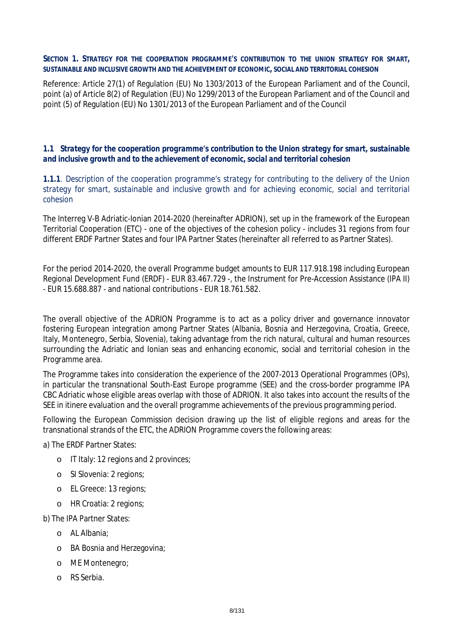#### **SECTION 1. STRATEGY FOR THE COOPERATION PROGRAMME'S CONTRIBUTION TO THE UNION STRATEGY FOR SMART, SUSTAINABLE AND INCLUSIVE GROWTH AND THE ACHIEVEMENT OF ECONOMIC, SOCIAL AND TERRITORIAL COHESION**

Reference: Article 27(1) of Regulation (EU) No 1303/2013 of the European Parliament and of the Council, point (a) of Article 8(2) of Regulation (EU) No 1299/2013 of the European Parliament and of the Council and point (5) of Regulation (EU) No 1301/2013 of the European Parliament and of the Council

### *1.1 Strategy for the cooperation programme's contribution to the Union strategy for smart, sustainable and inclusive growth and to the achievement of economic, social and territorial cohesion*

*1.1.1. Description of the cooperation programme's strategy for contributing to the delivery of the Union strategy for smart, sustainable and inclusive growth and for achieving economic, social and territorial cohesion*

The Interreg V-B Adriatic-Ionian 2014-2020 (hereinafter ADRION), set up in the framework of the European Territorial Cooperation (ETC) - one of the objectives of the cohesion policy - includes 31 regions from four different ERDF Partner States and four IPA Partner States (hereinafter all referred to as Partner States).

For the period 2014-2020, the overall Programme budget amounts to EUR 117.918.198 including European Regional Development Fund (ERDF) - EUR 83.467.729 -, the Instrument for Pre-Accession Assistance (IPA II) - EUR 15.688.887 - and national contributions - EUR 18.761.582.

The overall objective of the ADRION Programme is to act as a policy driver and governance innovator fostering European integration among Partner States (Albania, Bosnia and Herzegovina, Croatia, Greece, Italy, Montenegro, Serbia, Slovenia), taking advantage from the rich natural, cultural and human resources surrounding the Adriatic and Ionian seas and enhancing economic, social and territorial cohesion in the Programme area.

The Programme takes into consideration the experience of the 2007-2013 Operational Programmes (OPs), in particular the transnational South-East Europe programme (SEE) and the cross-border programme IPA CBC Adriatic whose eligible areas overlap with those of ADRION. It also takes into account the results of the SEE *in itinere* evaluation and the overall programme achievements of the previous programming period.

Following the European Commission decision drawing up the list of eligible regions and areas for the transnational strands of the ETC, the ADRION Programme covers the following areas:

a) The ERDF Partner States:

- o IT Italy: 12 regions and 2 provinces;
- o SI Slovenia: 2 regions;
- o EL Greece: 13 regions;
- o HR Croatia: 2 regions;

b) The IPA Partner States:

- o AL Albania;
- o BA Bosnia and Herzegovina;
- o ME Montenegro;
- o RS Serbia.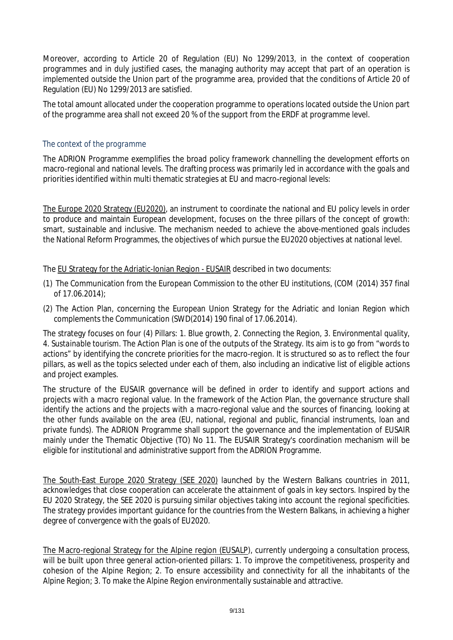Moreover, according to Article 20 of Regulation (EU) No 1299/2013, in the context of cooperation programmes and in duly justified cases, the managing authority may accept that part of an operation is implemented outside the Union part of the programme area, provided that the conditions of Article 20 of Regulation (EU) No 1299/2013 are satisfied.

The total amount allocated under the cooperation programme to operations located outside the Union part of the programme area shall not exceed 20 % of the support from the ERDF at programme level.

### *The context of the programme*

The ADRION Programme exemplifies the broad policy framework channelling the development efforts on macro-regional and national levels. The drafting process was primarily led in accordance with the goals and priorities identified within multi thematic strategies at EU and macro-regional levels:

The Europe 2020 Strategy (EU2020), an instrument to coordinate the national and EU policy levels in order to produce and maintain European development, focuses on the three pillars of the concept of growth: smart, sustainable and inclusive. The mechanism needed to achieve the above-mentioned goals includes the National Reform Programmes, the objectives of which pursue the EU2020 objectives at national level.

The EU Strategy for the Adriatic-Ionian Region - EUSAIR described in two documents:

- (1) The Communication from the European Commission to the other EU institutions, (COM (2014) 357 final of 17.06.2014);
- (2) The Action Plan, concerning the European Union Strategy for the Adriatic and Ionian Region which complements the Communication (SWD(2014) 190 final of 17.06.2014).

The strategy focuses on four (4) Pillars: *1. Blue growth, 2. Connecting the Region, 3. Environmental quality, 4. Sustainable tourism*. The Action Plan is one of the outputs of the Strategy. Its aim is to go from "words to actions" by identifying the concrete priorities for the macro-region. It is structured so as to reflect the four pillars, as well as the topics selected under each of them, also including an indicative list of eligible actions and project examples.

The structure of the EUSAIR governance will be defined in order to identify and support actions and projects with a macro regional value. In the framework of the Action Plan, the governance structure shall identify the actions and the projects with a macro-regional value and the sources of financing, looking at the other funds available on the area (EU, national, regional and public, financial instruments, loan and private funds). The ADRION Programme shall support the governance and the implementation of EUSAIR mainly under the Thematic Objective (TO) No 11. The EUSAIR Strategy's coordination mechanism will be eligible for institutional and administrative support from the ADRION Programme.

The South-East Europe 2020 Strategy (SEE 2020) launched by the Western Balkans countries in 2011, acknowledges that close cooperation can accelerate the attainment of goals in key sectors. Inspired by the EU 2020 Strategy, the SEE 2020 is pursuing similar objectives taking into account the regional specificities. The strategy provides important guidance for the countries from the Western Balkans, in achieving a higher degree of convergence with the goals of EU2020.

The Macro-regional Strategy for the Alpine region (EUSALP), currently undergoing a consultation process, will be built upon three general action-oriented pillars: 1. To improve the competitiveness, prosperity and cohesion of the Alpine Region; 2. To ensure accessibility and connectivity for all the inhabitants of the Alpine Region; 3. To make the Alpine Region environmentally sustainable and attractive.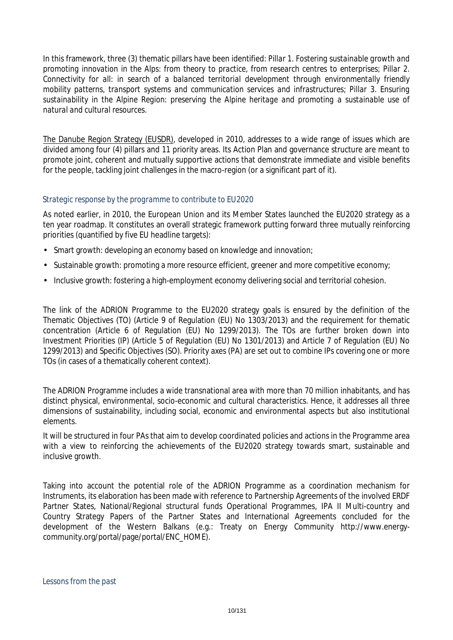In this framework, three (3) thematic pillars have been identified: *Pillar 1. Fostering sustainable growth and promoting innovation in the Alps: from theory to practice, from research centres to enterprises; Pillar 2. Connectivity for all: in search of a balanced territorial development through environmentally friendly mobility patterns, transport systems and communication services and infrastructures; Pillar 3. Ensuring sustainability in the Alpine Region: preserving the Alpine heritage and promoting a sustainable use of natural and cultural resources.*

The Danube Region Strategy (EUSDR), developed in 2010, addresses to a wide range of issues which are divided among four (4) pillars and 11 priority areas. Its Action Plan and governance structure are meant to promote joint, coherent and mutually supportive actions that demonstrate immediate and visible benefits for the people, tackling joint challenges in the macro-region (or a significant part of it).

### *Strategic response by the programme to contribute to EU2020*

As noted earlier, in 2010, the European Union and its Member States launched the EU2020 strategy as a ten year roadmap. It constitutes an overall strategic framework putting forward three mutually reinforcing priorities (quantified by five EU headline targets):

- Smart growth: developing an economy based on knowledge and innovation;
- Sustainable growth: promoting a more resource efficient, greener and more competitive economy;
- Inclusive growth: fostering a high-employment economy delivering social and territorial cohesion.

The link of the ADRION Programme to the EU2020 strategy goals is ensured by the definition of the Thematic Objectives (TO) (Article 9 of Regulation (EU) No 1303/2013) and the requirement for thematic concentration (Article 6 of Regulation (EU) No 1299/2013). The TOs are further broken down into Investment Priorities (IP) (Article 5 of Regulation (EU) No 1301/2013) and Article 7 of Regulation (EU) No 1299/2013) and Specific Objectives (SO). Priority axes (PA) are set out to combine IPs covering one or more TOs (in cases of a thematically coherent context).

The ADRION Programme includes a wide transnational area with more than 70 million inhabitants, and has distinct physical, environmental, socio-economic and cultural characteristics. Hence, it addresses all three dimensions of sustainability, including social, economic and environmental aspects but also institutional elements.

It will be structured in four PAs that aim to develop coordinated policies and actions in the Programme area with a view to reinforcing the achievements of the EU2020 strategy towards smart, sustainable and inclusive growth.

Taking into account the potential role of the ADRION Programme as a coordination mechanism for Instruments, its elaboration has been made with reference to Partnership Agreements of the involved ERDF Partner States, National/Regional structural funds Operational Programmes, IPA II Multi-country and Country Strategy Papers of the Partner States and International Agreements concluded for the development of the Western Balkans (e.g.: Treaty on Energy Community http://www.energycommunity.org/portal/page/portal/ENC\_HOME).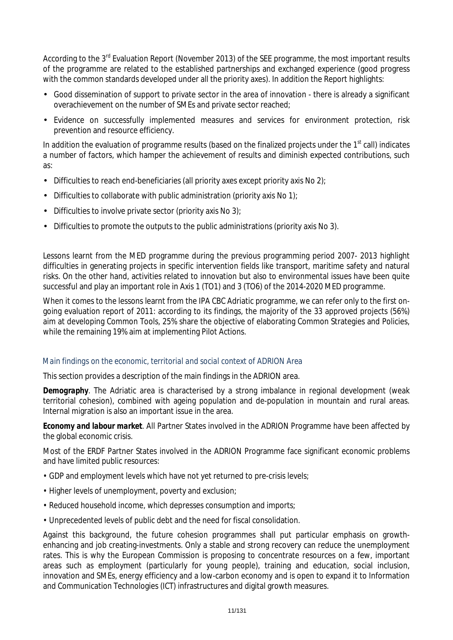According to the 3<sup>rd</sup> Evaluation Report (November 2013) of the SEE programme, the most important results of the programme are related to the established partnerships and exchanged experience (good progress with the common standards developed under all the priority axes). In addition the Report highlights:

- Good dissemination of support to private sector in the area of innovation there is already a significant overachievement on the number of SMEs and private sector reached;
- Evidence on successfully implemented measures and services for environment protection, risk prevention and resource efficiency.

In addition the evaluation of programme results (based on the finalized projects under the 1<sup>st</sup> call) indicates a number of factors, which hamper the achievement of results and diminish expected contributions, such as:

- Difficulties to reach end-beneficiaries (all priority axes except priority axis No 2);
- Difficulties to collaborate with public administration (priority axis No 1);
- Difficulties to involve private sector (priority axis  $No 3$ );
- Difficulties to promote the outputs to the public administrations (priority axis No 3).

Lessons learnt from the MED programme during the previous programming period 2007- 2013 highlight difficulties in generating projects in specific intervention fields like transport, maritime safety and natural risks. On the other hand, activities related to innovation but also to environmental issues have been quite successful and play an important role in Axis 1 (TO1) and 3 (TO6) of the 2014-2020 MED programme.

When it comes to the lessons learnt from the IPA CBC Adriatic programme, we can refer only to the first ongoing evaluation report of 2011: according to its findings, the majority of the 33 approved projects (56%) aim at developing Common Tools, 25% share the objective of elaborating Common Strategies and Policies, while the remaining 19% aim at implementing Pilot Actions.

### *Main findings on the economic, territorial and social context of ADRION Area*

This section provides a description of the main findings in the ADRION area.

*Demography.* The Adriatic area is characterised by a strong imbalance in regional development (weak territorial cohesion), combined with ageing population and de-population in mountain and rural areas. Internal migration is also an important issue in the area.

*Economy and labour market*. All Partner States involved in the ADRION Programme have been affected by the global economic crisis.

Most of the ERDF Partner States involved in the ADRION Programme face significant economic problems and have limited public resources:

- GDP and employment levels which have not yet returned to pre-crisis levels;
- Higher levels of unemployment, poverty and exclusion;
- Reduced household income, which depresses consumption and imports;
- Unprecedented levels of public debt and the need for fiscal consolidation.

Against this background, the future cohesion programmes shall put particular emphasis on growthenhancing and job creating-investments. Only a stable and strong recovery can reduce the unemployment rates. This is why the European Commission is proposing to concentrate resources on a few, important areas such as employment (particularly for young people), training and education, social inclusion, innovation and SMEs, energy efficiency and a low-carbon economy and is open to expand it to Information and Communication Technologies (ICT) infrastructures and digital growth measures.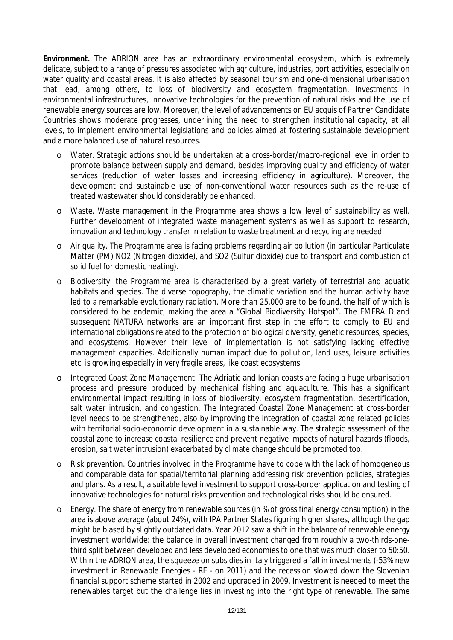*Environment.* The ADRION area has an extraordinary environmental ecosystem, which is extremely delicate, subject to a range of pressures associated with agriculture, industries, port activities, especially on water quality and coastal areas. It is also affected by seasonal tourism and one-dimensional urbanisation that lead, among others, to loss of biodiversity and ecosystem fragmentation. Investments in environmental infrastructures, innovative technologies for the prevention of natural risks and the use of renewable energy sources are low. Moreover, the level of advancements on EU acquis of Partner Candidate Countries shows moderate progresses, underlining the need to strengthen institutional capacity, at all levels, to implement environmental legislations and policies aimed at fostering sustainable development and a more balanced use of natural resources.

- o *Water.* Strategic actions should be undertaken at a cross-border/macro-regional level in order to promote balance between supply and demand, besides improving quality and efficiency of water services (reduction of water losses and increasing efficiency in agriculture). Moreover, the development and sustainable use of non-conventional water resources such as the re-use of treated wastewater should considerably be enhanced.
- o *Waste.* Waste management in the Programme area shows a low level of sustainability as well. Further development of integrated waste management systems as well as support to research, innovation and technology transfer in relation to waste treatment and recycling are needed.
- o *Air quality.* The Programme area is facing problems regarding air pollution (in particular Particulate Matter (PM) NO2 (Nitrogen dioxide), and SO2 (Sulfur dioxide) due to transport and combustion of solid fuel for domestic heating).
- o *Biodiversity*. the Programme area is characterised by a great variety of terrestrial and aquatic habitats and species. The diverse topography, the climatic variation and the human activity have led to a remarkable evolutionary radiation. More than 25.000 are to be found, the half of which is considered to be endemic, making the area a "Global Biodiversity Hotspot". The EMERALD and subsequent NATURA networks are an important first step in the effort to comply to EU and international obligations related to the protection of biological diversity, genetic resources, species, and ecosystems. However their level of implementation is not satisfying lacking effective management capacities. Additionally human impact due to pollution, land uses, leisure activities etc. is growing especially in very fragile areas, like coast ecosystems.
- o *Integrated Coast Zone Management*. The Adriatic and Ionian coasts are facing a huge urbanisation process and pressure produced by mechanical fishing and aquaculture. This has a significant environmental impact resulting in loss of biodiversity, ecosystem fragmentation, desertification, salt water intrusion, and congestion. The Integrated Coastal Zone Management at cross-border level needs to be strengthened, also by improving the integration of coastal zone related policies with territorial socio-economic development in a sustainable way. The strategic assessment of the coastal zone to increase coastal resilience and prevent negative impacts of natural hazards (floods, erosion, salt water intrusion) exacerbated by climate change should be promoted too.
- o *Risk prevention*. Countries involved in the Programme have to cope with the lack of homogeneous and comparable data for spatial/territorial planning addressing risk prevention policies, strategies and plans. As a result, a suitable level investment to support cross-border application and testing of innovative technologies for natural risks prevention and technological risks should be ensured.
- o *Energy*. The share of energy from renewable sources (in % of gross final energy consumption) in the area is above average (about 24%), with IPA Partner States figuring higher shares, although the gap might be biased by slightly outdated data. Year 2012 saw a shift in the balance of renewable energy investment worldwide: the balance in overall investment changed from roughly a two-thirds-onethird split between developed and less developed economies to one that was much closer to 50:50. Within the ADRION area, the squeeze on subsidies in Italy triggered a fall in investments (-53% new investment in Renewable Energies - RE - on 2011) and the recession slowed down the Slovenian financial support scheme started in 2002 and upgraded in 2009. Investment is needed to meet the renewables target but the challenge lies in investing into the right type of renewable. The same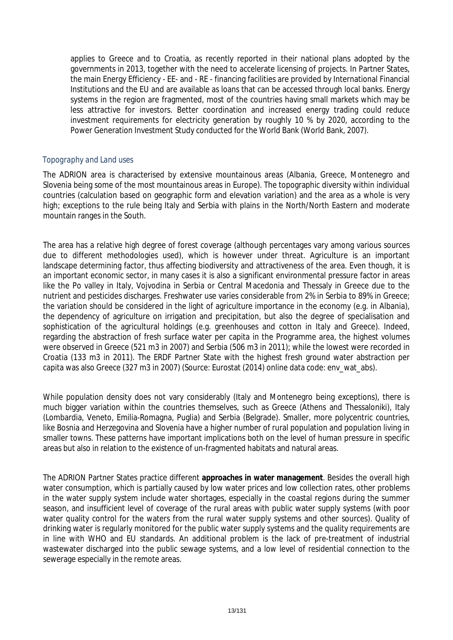applies to Greece and to Croatia, as recently reported in their national plans adopted by the governments in 2013, together with the need to accelerate licensing of projects. In Partner States, the main Energy Efficiency - EE- and - RE - financing facilities are provided by International Financial Institutions and the EU and are available as loans that can be accessed through local banks. Energy systems in the region are fragmented, most of the countries having small markets which may be less attractive for investors. Better coordination and increased energy trading could reduce investment requirements for electricity generation by roughly 10 % by 2020, according to the Power Generation Investment Study conducted for the World Bank (World Bank, 2007).

### *Topography and Land uses*

The ADRION area is characterised by extensive mountainous areas (Albania, Greece, Montenegro and Slovenia being some of the most mountainous areas in Europe). The topographic diversity within individual countries (calculation based on geographic form and elevation variation) and the area as a whole is very high; exceptions to the rule being Italy and Serbia with plains in the North/North Eastern and moderate mountain ranges in the South.

The area has a relative high degree of forest coverage (although percentages vary among various sources due to different methodologies used), which is however under threat. Agriculture is an important landscape determining factor, thus affecting biodiversity and attractiveness of the area. Even though, it is an important economic sector, in many cases it is also a significant environmental pressure factor in areas like the Po valley in Italy, Vojvodina in Serbia or Central Macedonia and Thessaly in Greece due to the nutrient and pesticides discharges. Freshwater use varies considerable from 2% in Serbia to 89% in Greece; the variation should be considered in the light of agriculture importance in the economy (e.g. in Albania), the dependency of agriculture on irrigation and precipitation, but also the degree of specialisation and sophistication of the agricultural holdings (e.g. greenhouses and cotton in Italy and Greece). Indeed, regarding the abstraction of fresh surface water per capita in the Programme area, the highest volumes were observed in Greece (521 m3 in 2007) and Serbia (506 m3 in 2011); while the lowest were recorded in Croatia (133 m3 in 2011). The ERDF Partner State with the highest fresh ground water abstraction per capita was also Greece (327 m3 in 2007) (Source: Eurostat (2014) online data code: env\_wat\_abs).

While population density does not vary considerably (Italy and Montenegro being exceptions), there is much bigger variation within the countries themselves, such as Greece (Athens and Thessaloniki), Italy (Lombardia, Veneto, Emilia-Romagna, Puglia) and Serbia (Belgrade). Smaller, more polycentric countries, like Bosnia and Herzegovina and Slovenia have a higher number of rural population and population living in smaller towns. These patterns have important implications both on the level of human pressure in specific areas but also in relation to the existence of un-fragmented habitats and natural areas.

The ADRION Partner States practice different **approaches in water management**. Besides the overall high water consumption, which is partially caused by low water prices and low collection rates, other problems in the water supply system include water shortages, especially in the coastal regions during the summer season, and insufficient level of coverage of the rural areas with public water supply systems (with poor water quality control for the waters from the rural water supply systems and other sources). Quality of drinking water is regularly monitored for the public water supply systems and the quality requirements are in line with WHO and EU standards. An additional problem is the lack of pre-treatment of industrial wastewater discharged into the public sewage systems, and a low level of residential connection to the sewerage especially in the remote areas.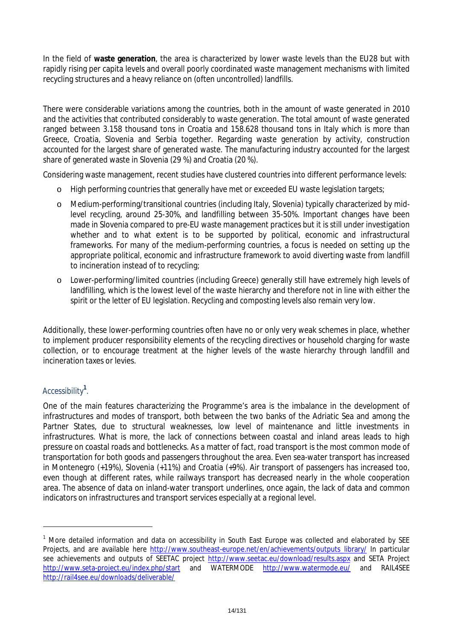In the field of **waste generation**, the area is characterized by lower waste levels than the EU28 but with rapidly rising per capita levels and overall poorly coordinated waste management mechanisms with limited recycling structures and a heavy reliance on (often uncontrolled) landfills.

There were considerable variations among the countries, both in the amount of waste generated in 2010 and the activities that contributed considerably to waste generation. The total amount of waste generated ranged between 3.158 thousand tons in Croatia and 158.628 thousand tons in Italy which is more than Greece, Croatia, Slovenia and Serbia together. Regarding waste generation by activity, construction accounted for the largest share of generated waste. The manufacturing industry accounted for the largest share of generated waste in Slovenia (29 %) and Croatia (20 %).

Considering waste management, recent studies have clustered countries into different performance levels:

- o High performing countries that generally have met or exceeded EU waste legislation targets;
- o Medium-performing/transitional countries (including Italy, Slovenia) typically characterized by midlevel recycling, around 25-30%, and landfilling between 35-50%. Important changes have been made in Slovenia compared to pre-EU waste management practices but it is still under investigation whether and to what extent is to be supported by political, economic and infrastructural frameworks. For many of the medium-performing countries, a focus is needed on setting up the appropriate political, economic and infrastructure framework to avoid diverting waste from landfill to incineration instead of to recycling;
- o Lower-performing/limited countries (including Greece) generally still have extremely high levels of landfilling, which is the lowest level of the waste hierarchy and therefore not in line with either the spirit or the letter of EU legislation. Recycling and composting levels also remain very low.

Additionally, these lower-performing countries often have no or only very weak schemes in place, whether to implement producer responsibility elements of the recycling directives or household charging for waste collection, or to encourage treatment at the higher levels of the waste hierarchy through landfill and incineration taxes or levies.

### *Accessibility<sup>1</sup> .*

One of the main features characterizing the Programme's area is the imbalance in the development of infrastructures and modes of transport, both between the two banks of the Adriatic Sea and among the Partner States, due to structural weaknesses, low level of maintenance and little investments in infrastructures. What is more, the lack of connections between coastal and inland areas leads to high pressure on coastal roads and bottlenecks. As a matter of fact, road transport is the most common mode of transportation for both goods and passengers throughout the area. Even sea-water transport has increased in Montenegro (+19%), Slovenia (+11%) and Croatia (+9%). Air transport of passengers has increased too, even though at different rates, while railways transport has decreased nearly in the whole cooperation area. The absence of data on inland-water transport underlines, once again, the lack of data and common indicators on infrastructures and transport services especially at a regional level.

<sup>&</sup>lt;sup>1</sup> More detailed information and data on accessibility in South East Europe was collected and elaborated by SEE Projects, and are available here http://www.southeast-europe.net/en/achievements/outputs\_library/ In particular see achievements and outputs of SEETAC project http://www.seetac.eu/download/results.aspx and SETA Project http://www.seta-project.eu/index.php/start and WATERMODE http://www.watermode.eu/ and RAIL4SEE http://rail4see.eu/downloads/deliverable/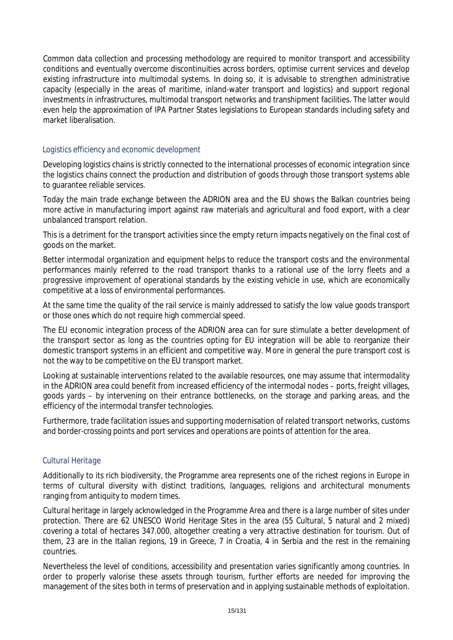Common data collection and processing methodology are required to monitor transport and accessibility conditions and eventually overcome discontinuities across borders, optimise current services and develop existing infrastructure into multimodal systems. In doing so, it is advisable to strengthen administrative capacity (especially in the areas of maritime, inland-water transport and logistics) and support regional investments in infrastructures, multimodal transport networks and transhipment facilities. The latter would even help the approximation of IPA Partner States legislations to European standards including safety and market liberalisation.

### *Logistics efficiency and economic development*

Developing logistics chains is strictly connected to the international processes of economic integration since the logistics chains connect the production and distribution of goods through those transport systems able to guarantee reliable services.

Today the main trade exchange between the ADRION area and the EU shows the Balkan countries being more active in manufacturing import against raw materials and agricultural and food export, with a clear unbalanced transport relation.

This is a detriment for the transport activities since the empty return impacts negatively on the final cost of goods on the market.

Better intermodal organization and equipment helps to reduce the transport costs and the environmental performances mainly referred to the road transport thanks to a rational use of the lorry fleets and a progressive improvement of operational standards by the existing vehicle in use, which are economically competitive at a loss of environmental performances.

At the same time the quality of the rail service is mainly addressed to satisfy the low value goods transport or those ones which do not require high commercial speed.

The EU economic integration process of the ADRION area can for sure stimulate a better development of the transport sector as long as the countries opting for EU integration will be able to reorganize their domestic transport systems in an efficient and competitive way. More in general the pure transport cost is not the way to be competitive on the EU transport market.

Looking at sustainable interventions related to the available resources, one may assume that intermodality in the ADRION area could benefit from increased efficiency of the intermodal nodes – ports, freight villages, goods yards – by intervening on their entrance bottlenecks, on the storage and parking areas, and the efficiency of the intermodal transfer technologies.

Furthermore, trade facilitation issues and supporting modernisation of related transport networks, customs and border-crossing points and port services and operations are points of attention for the area.

### *Cultural Heritage*

Additionally to its rich biodiversity, the Programme area represents one of the richest regions in Europe in terms of cultural diversity with distinct traditions, languages, religions and architectural monuments ranging from antiquity to modern times.

Cultural heritage in largely acknowledged in the Programme Area and there is a large number of sites under protection. There are 62 UNESCO World Heritage Sites in the area (55 Cultural, 5 natural and 2 mixed) covering a total of hectares 347.000, altogether creating a very attractive destination for tourism. Out of them, 23 are in the Italian regions, 19 in Greece, 7 in Croatia, 4 in Serbia and the rest in the remaining countries.

Nevertheless the level of conditions, accessibility and presentation varies significantly among countries. In order to properly valorise these assets through tourism, further efforts are needed for improving the management of the sites both in terms of preservation and in applying sustainable methods of exploitation.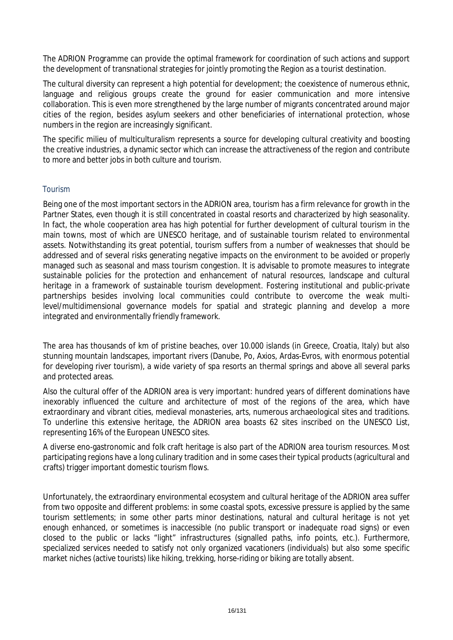The ADRION Programme can provide the optimal framework for coordination of such actions and support the development of transnational strategies for jointly promoting the Region as a tourist destination.

The cultural diversity can represent a high potential for development; the coexistence of numerous ethnic, language and religious groups create the ground for easier communication and more intensive collaboration. This is even more strengthened by the large number of migrants concentrated around major cities of the region, besides asylum seekers and other beneficiaries of international protection, whose numbers in the region are increasingly significant.

The specific *milieu* of multiculturalism represents a source for developing cultural creativity and boosting the creative industries, a dynamic sector which can increase the attractiveness of the region and contribute to more and better jobs in both culture and tourism.

### *Tourism*

Being one of the most important sectors in the ADRION area, tourism has a firm relevance for growth in the Partner States, even though it is still concentrated in coastal resorts and characterized by high seasonality. In fact, the whole cooperation area has high potential for further development of cultural tourism in the main towns, most of which are UNESCO heritage, and of sustainable tourism related to environmental assets. Notwithstanding its great potential, tourism suffers from a number of weaknesses that should be addressed and of several risks generating negative impacts on the environment to be avoided or properly managed such as seasonal and mass tourism congestion. It is advisable to promote measures to integrate sustainable policies for the protection and enhancement of natural resources, landscape and cultural heritage in a framework of sustainable tourism development. Fostering institutional and public-private partnerships besides involving local communities could contribute to overcome the weak multilevel/multidimensional governance models for spatial and strategic planning and develop a more integrated and environmentally friendly framework.

The area has thousands of km of pristine beaches, over 10.000 islands (in Greece, Croatia, Italy) but also stunning mountain landscapes, important rivers (Danube, Po, Axios, Ardas-Evros, with enormous potential for developing river tourism), a wide variety of spa resorts an thermal springs and above all several parks and protected areas.

Also the cultural offer of the ADRION area is very important: hundred years of different dominations have inexorably influenced the culture and architecture of most of the regions of the area, which have extraordinary and vibrant cities, medieval monasteries, arts, numerous archaeological sites and traditions. To underline this extensive heritage, the ADRION area boasts 62 sites inscribed on the UNESCO List, representing 16% of the European UNESCO sites.

A diverse eno-gastronomic and folk craft heritage is also part of the ADRION area tourism resources. Most participating regions have a long culinary tradition and in some cases their typical products (agricultural and crafts) trigger important domestic tourism flows.

Unfortunately, the extraordinary environmental ecosystem and cultural heritage of the ADRION area suffer from two opposite and different problems: in some coastal spots, excessive pressure is applied by the same tourism settlements; in some other parts *minor* destinations, natural and cultural heritage is not yet enough enhanced, or sometimes is inaccessible (no public transport or inadequate road signs) or even closed to the public or lacks "light" infrastructures (signalled paths, info points, etc.). Furthermore, specialized services needed to satisfy not only organized vacationers (individuals) but also some specific market niches (active tourists) like hiking, trekking, horse-riding or biking are totally absent.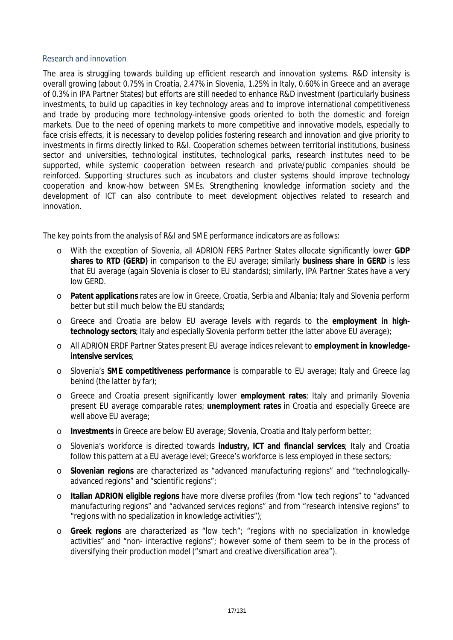### *Research and innovation*

The area is struggling towards building up efficient research and innovation systems. R&D intensity is overall growing (about 0.75% in Croatia, 2.47% in Slovenia, 1.25% in Italy, 0.60% in Greece and an average of 0.3% in IPA Partner States) but efforts are still needed to enhance R&D investment (particularly business investments, to build up capacities in key technology areas and to improve international competitiveness and trade by producing more technology-intensive goods oriented to both the domestic and foreign markets. Due to the need of opening markets to more competitive and innovative models, especially to face crisis effects, it is necessary to develop policies fostering research and innovation and give priority to investments in firms directly linked to R&I. Cooperation schemes between territorial institutions, business sector and universities, technological institutes, technological parks, research institutes need to be supported, while systemic cooperation between research and private/public companies should be reinforced. Supporting structures such as incubators and cluster systems should improve technology cooperation and know-how between SMEs. Strengthening knowledge information society and the development of ICT can also contribute to meet development objectives related to research and innovation.

The key points from the analysis of R&I and SME performance indicators are as follows:

- o With the exception of Slovenia, all ADRION FERS Partner States allocate significantly lower **GDP shares to RTD (GERD)** in comparison to the EU average; similarly **business share in GERD** is less that EU average (again Slovenia is closer to EU standards); similarly, IPA Partner States have a very low GERD.
- o **Patent applications** rates are low in Greece, Croatia, Serbia and Albania; Italy and Slovenia perform better but still much below the EU standards;
- o Greece and Croatia are below EU average levels with regards to the **employment in hightechnology sectors**; Italy and especially Slovenia perform better (the latter above EU average);
- o All ADRION ERDF Partner States present EU average indices relevant to **employment in knowledgeintensive services**;
- o Slovenia's **SME competitiveness performance** is comparable to EU average; Italy and Greece lag behind (the latter by far);
- o Greece and Croatia present significantly lower **employment rates**; Italy and primarily Slovenia present EU average comparable rates; **unemployment rates** in Croatia and especially Greece are well above EU average;
- o **Investments** in Greece are below EU average; Slovenia, Croatia and Italy perform better;
- o Slovenia's workforce is directed towards **industry, ICT and financial services**; Italy and Croatia follow this pattern at a EU average level; Greece's workforce is less employed in these sectors;
- o **Slovenian regions** are characterized as "advanced manufacturing regions" and "technologicallyadvanced regions" and "scientific regions":
- o **Italian ADRION eligible regions** have more diverse profiles (from "low tech regions" to "advanced manufacturing regions" and "advanced services regions" and from "research intensive regions" to "regions with no specialization in knowledge activities");
- o **Greek regions** are characterized as "low tech"; "regions with no specialization in knowledge activities" and "non- interactive regions"; however some of them seem to be in the process of diversifying their production model ("smart and creative diversification area").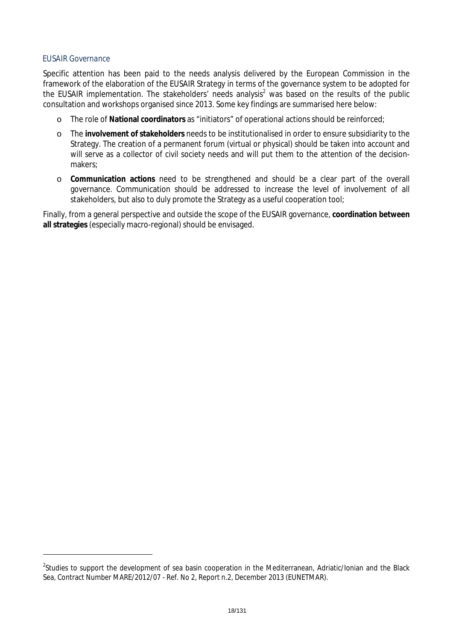### *EUSAIR Governance*

Specific attention has been paid to the needs analysis delivered by the European Commission in the framework of the elaboration of the EUSAIR Strategy in terms of the governance system to be adopted for the EUSAIR implementation. The stakeholders' needs analysis<sup>2</sup> was based on the results of the public consultation and workshops organised since 2013. Some key findings are summarised here below:

- o The role of **National coordinators** as "initiators" of operational actions should be reinforced;
- o The **involvement of stakeholders** needs to be institutionalised in order to ensure subsidiarity to the Strategy. The creation of a permanent forum (virtual or physical) should be taken into account and will serve as a collector of civil society needs and will put them to the attention of the decisionmakers;
- o **Communication actions** need to be strengthened and should be a clear part of the overall governance. Communication should be addressed to increase the level of involvement of all stakeholders, but also to duly promote the Strategy as a useful cooperation tool;

Finally, from a general perspective and outside the scope of the EUSAIR governance, **coordination between all strategies** (especially macro-regional) should be envisaged.

<sup>&</sup>lt;sup>2</sup>Studies to support the development of sea basin cooperation in the Mediterranean, Adriatic/Ionian and the Black Sea, Contract Number MARE/2012/07 - Ref. No 2, Report n.2, December 2013 (EUNETMAR).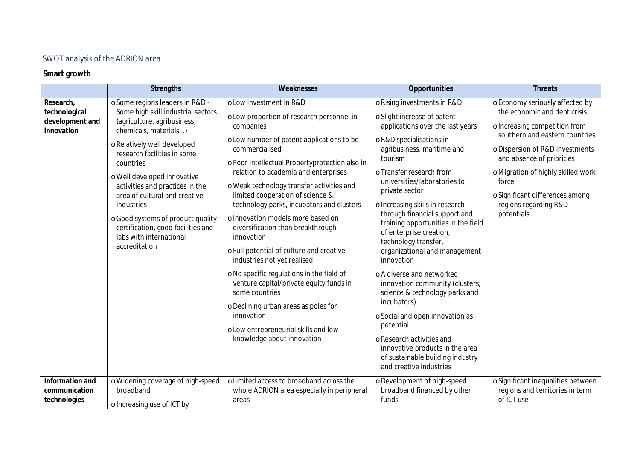### *SWOT analysis of the ADRION area*

### **Smart growth**

|                                                             | <b>Strengths</b>                                                                                                                                                                                                                                                                                                                                                                                                                                 | Weaknesses                                                                                                                                                                                                                                                                                                                                                                                                                                                                                                                                                                                                                                                                                                                                                                        | Opportunities                                                                                                                                                                                                                                                                                                                                                                                                                                                                                                                                                                                                                                                                                                                                                  | <b>Threats</b>                                                                                                                                                                                                                                                                                                              |
|-------------------------------------------------------------|--------------------------------------------------------------------------------------------------------------------------------------------------------------------------------------------------------------------------------------------------------------------------------------------------------------------------------------------------------------------------------------------------------------------------------------------------|-----------------------------------------------------------------------------------------------------------------------------------------------------------------------------------------------------------------------------------------------------------------------------------------------------------------------------------------------------------------------------------------------------------------------------------------------------------------------------------------------------------------------------------------------------------------------------------------------------------------------------------------------------------------------------------------------------------------------------------------------------------------------------------|----------------------------------------------------------------------------------------------------------------------------------------------------------------------------------------------------------------------------------------------------------------------------------------------------------------------------------------------------------------------------------------------------------------------------------------------------------------------------------------------------------------------------------------------------------------------------------------------------------------------------------------------------------------------------------------------------------------------------------------------------------------|-----------------------------------------------------------------------------------------------------------------------------------------------------------------------------------------------------------------------------------------------------------------------------------------------------------------------------|
| Research,<br>technological<br>development and<br>innovation | o Some regions leaders in R&D -<br>Some high skill industrial sectors<br>(agriculture, agribusiness,<br>chemicals, materials)<br>o Relatively well developed<br>research facilities in some<br>countries<br>o Well developed innovative<br>activities and practices in the<br>area of cultural and creative<br>industries<br>o Good systems of product quality<br>certification, good facilities and<br>labs with international<br>accreditation | o Low investment in R&D<br>o Low proportion of research personnel in<br>companies<br>o Low number of patent applications to be<br>commercialised<br>o Poor Intellectual Propertyprotection also in<br>relation to academia and enterprises<br>o Weak technology transfer activities and<br>limited cooperation of science &<br>technology parks, incubators and clusters<br>o Innovation models more based on<br>diversification than breakthrough<br>innovation<br>o Full potential of culture and creative<br>industries not yet realised<br>o No specific regulations in the field of<br>venture capital/private equity funds in<br>some countries<br>o Declining urban areas as poles for<br>innovation<br>o Low entrepreneurial skills and low<br>knowledge about innovation | o Rising investments in R&D<br>o Slight increase of patent<br>applications over the last years<br>o R&D specialisations in<br>agribusiness, maritime and<br>tourism<br>o Transfer research from<br>universities/laboratories to<br>private sector<br>o Increasing skills in research<br>through financial support and<br>training opportunities in the field<br>of enterprise creation,<br>technology transfer,<br>organizational and management<br>innovation<br>o A diverse and networked<br>innovation community (clusters,<br>science & technology parks and<br>incubators)<br>o Social and open innovation as<br>potential<br>o Research activities and<br>innovative products in the area<br>of sustainable building industry<br>and creative industries | o Economy seriously affected by<br>the economic and debt crisis<br>o Increasing competition from<br>southern and eastern countries<br>o Dispersion of R&D investments<br>and absence of priorities<br>o Migration of highly skilled work<br>force<br>o Significant differences among<br>regions regarding R&D<br>potentials |
| Information and<br>communication<br>technologies            | o Widening coverage of high-speed<br>broadband<br>o Increasing use of ICT by                                                                                                                                                                                                                                                                                                                                                                     | o Limited access to broadband across the<br>whole ADRION area especially in peripheral<br>areas                                                                                                                                                                                                                                                                                                                                                                                                                                                                                                                                                                                                                                                                                   | o Development of high-speed<br>broadband financed by other<br>funds                                                                                                                                                                                                                                                                                                                                                                                                                                                                                                                                                                                                                                                                                            | o Significant inequalities between<br>regions and territories in term<br>of ICT use                                                                                                                                                                                                                                         |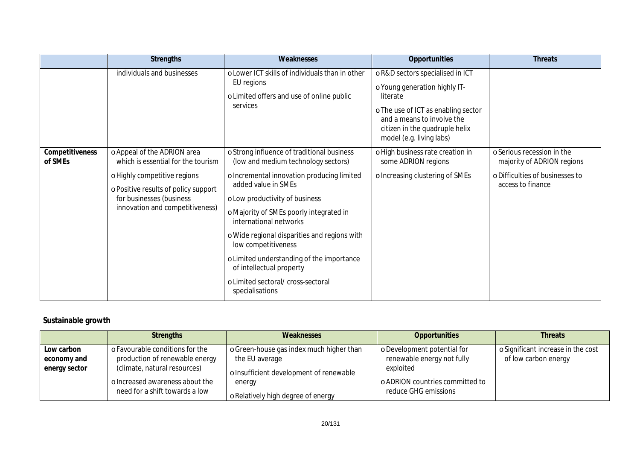|                            | <b>Strengths</b>                                                                                                                                                                                         | Weaknesses                                                                                                                                                                                                                                                                                                                                                                                                                                                             | Opportunities                                                                                                                                                                                                   | <b>Threats</b>                                                                                                   |
|----------------------------|----------------------------------------------------------------------------------------------------------------------------------------------------------------------------------------------------------|------------------------------------------------------------------------------------------------------------------------------------------------------------------------------------------------------------------------------------------------------------------------------------------------------------------------------------------------------------------------------------------------------------------------------------------------------------------------|-----------------------------------------------------------------------------------------------------------------------------------------------------------------------------------------------------------------|------------------------------------------------------------------------------------------------------------------|
|                            | individuals and businesses                                                                                                                                                                               | o Lower ICT skills of individuals than in other<br>EU regions<br>o Limited offers and use of online public<br>services                                                                                                                                                                                                                                                                                                                                                 | oR&D sectors specialised in ICT<br>o Young generation highly IT-<br>literate<br>o The use of ICT as enabling sector<br>and a means to involve the<br>citizen in the quadruple helix<br>model (e.g. living labs) |                                                                                                                  |
| Competitiveness<br>of SMEs | o Appeal of the ADRION area<br>which is essential for the tourism<br>o Highly competitive regions<br>o Positive results of policy support<br>for businesses (business<br>innovation and competitiveness) | o Strong influence of traditional business<br>(low and medium technology sectors)<br>o Incremental innovation producing limited<br>added value in SMEs<br>o Low productivity of business<br>o Majority of SMEs poorly integrated in<br>international networks<br>o Wide regional disparities and regions with<br>low competitiveness<br>o Limited understanding of the importance<br>of intellectual property<br>o Limited sectoral/ cross-sectoral<br>specialisations | o High business rate creation in<br>some ADRION regions<br>o Increasing clustering of SMEs                                                                                                                      | o Serious recession in the<br>majority of ADRION regions<br>o Difficulties of businesses to<br>access to finance |

### **Sustainable growth**

|                                            | <b>Strengths</b>                                                                                  | Weaknesses                                                                                            | <b>Opportunities</b>                                                   | <b>Threats</b>                                           |
|--------------------------------------------|---------------------------------------------------------------------------------------------------|-------------------------------------------------------------------------------------------------------|------------------------------------------------------------------------|----------------------------------------------------------|
| Low carbon<br>economy and<br>energy sector | o Favourable conditions for the<br>production of renewable energy<br>(climate, natural resources) | o Green-house gas index much higher than<br>the EU average<br>o Insufficient development of renewable | o Development potential for<br>renewable energy not fully<br>exploited | Significant increase in the cost<br>of low carbon energy |
|                                            | o Increased awareness about the<br>need for a shift towards a low                                 | energy<br>o Relatively high degree of energy                                                          | o ADRION countries committed to<br>reduce GHG emissions                |                                                          |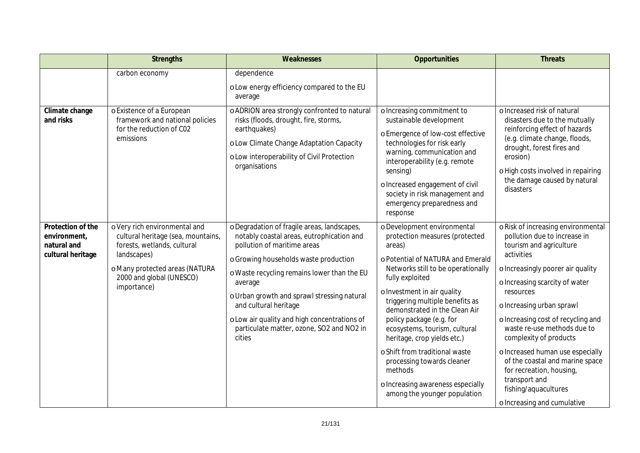|                                                                       | <b>Strengths</b>                                                                                                                                                                               | Weaknesses                                                                                                                                                                                                                                                                                                                                                                                                | <b>Opportunities</b>                                                                                                                                                                                                                                                                                                                                                                                                                                                                                                 | <b>Threats</b>                                                                                                                                                                                                                                                                                                                                                                                                                                                                                         |
|-----------------------------------------------------------------------|------------------------------------------------------------------------------------------------------------------------------------------------------------------------------------------------|-----------------------------------------------------------------------------------------------------------------------------------------------------------------------------------------------------------------------------------------------------------------------------------------------------------------------------------------------------------------------------------------------------------|----------------------------------------------------------------------------------------------------------------------------------------------------------------------------------------------------------------------------------------------------------------------------------------------------------------------------------------------------------------------------------------------------------------------------------------------------------------------------------------------------------------------|--------------------------------------------------------------------------------------------------------------------------------------------------------------------------------------------------------------------------------------------------------------------------------------------------------------------------------------------------------------------------------------------------------------------------------------------------------------------------------------------------------|
|                                                                       | carbon economy                                                                                                                                                                                 | dependence<br>o Low energy efficiency compared to the EU<br>average                                                                                                                                                                                                                                                                                                                                       |                                                                                                                                                                                                                                                                                                                                                                                                                                                                                                                      |                                                                                                                                                                                                                                                                                                                                                                                                                                                                                                        |
| Climate change<br>and risks                                           | o Existence of a European<br>framework and national policies<br>for the reduction of C02<br>emissions                                                                                          | o ADRION area strongly confronted to natural<br>risks (floods, drought, fire, storms,<br>earthquakes)<br>o Low Climate Change Adaptation Capacity<br>o Low interoperability of Civil Protection<br>organisations                                                                                                                                                                                          | o Increasing commitment to<br>sustainable development<br>o Emergence of low-cost effective<br>technologies for risk early<br>warning, communication and<br>interoperability (e.g. remote<br>sensing)<br>o Increased engagement of civil<br>society in risk management and<br>emergency preparedness and<br>response                                                                                                                                                                                                  | o Increased risk of natural<br>disasters due to the mutually<br>reinforcing effect of hazards<br>(e.g. climate change, floods,<br>drought, forest fires and<br>erosion)<br>o High costs involved in repairing<br>the damage caused by natural<br>disasters                                                                                                                                                                                                                                             |
| Protection of the<br>environment,<br>natural and<br>cultural heritage | o Very rich environmental and<br>cultural heritage (sea, mountains,<br>forests, wetlands, cultural<br>landscapes)<br>o Many protected areas (NATURA<br>2000 and global (UNESCO)<br>importance) | o Degradation of fragile areas, landscapes,<br>notably coastal areas, eutrophication and<br>pollution of maritime areas<br>o Growing households waste production<br>o Waste recycling remains lower than the EU<br>average<br>o Urban growth and sprawl stressing natural<br>and cultural heritage<br>o Low air quality and high concentrations of<br>particulate matter, ozone, SO2 and NO2 in<br>cities | o Development environmental<br>protection measures (protected<br>areas)<br>o Potential of NATURA and Emerald<br>Networks still to be operationally<br>fully exploited<br>o Investment in air quality<br>triggering multiple benefits as<br>demonstrated in the Clean Air<br>policy package (e.g. for<br>ecosystems, tourism, cultural<br>heritage, crop yields etc.)<br>o Shift from traditional waste<br>processing towards cleaner<br>methods<br>o Increasing awareness especially<br>among the younger population | o Risk of increasing environmental<br>pollution due to increase in<br>tourism and agriculture<br>activities<br>o Increasingly poorer air quality<br>o Increasing scarcity of water<br>resources<br>o Increasing urban sprawl<br>o Increasing cost of recycling and<br>waste re-use methods due to<br>complexity of products<br>o Increased human use especially<br>of the coastal and marine space<br>for recreation, housing,<br>transport and<br>fishing/aquacultures<br>o Increasing and cumulative |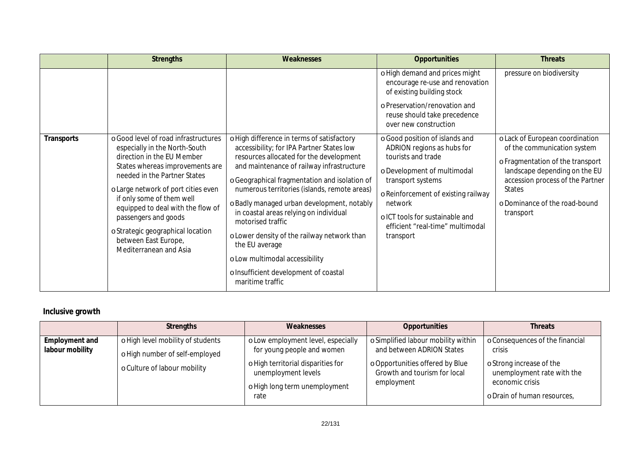|            | <b>Strengths</b>                                                                                                                                                                                                                                                                                                                                                                               | <b>Weaknesses</b>                                                                                                                                                                                                                                                                                                                                                                                                                                                                                                                                             | <b>Opportunities</b>                                                                                                                                                                                                                                                         | <b>Threats</b>                                                                                                                                                                                                                         |
|------------|------------------------------------------------------------------------------------------------------------------------------------------------------------------------------------------------------------------------------------------------------------------------------------------------------------------------------------------------------------------------------------------------|---------------------------------------------------------------------------------------------------------------------------------------------------------------------------------------------------------------------------------------------------------------------------------------------------------------------------------------------------------------------------------------------------------------------------------------------------------------------------------------------------------------------------------------------------------------|------------------------------------------------------------------------------------------------------------------------------------------------------------------------------------------------------------------------------------------------------------------------------|----------------------------------------------------------------------------------------------------------------------------------------------------------------------------------------------------------------------------------------|
|            |                                                                                                                                                                                                                                                                                                                                                                                                |                                                                                                                                                                                                                                                                                                                                                                                                                                                                                                                                                               | o High demand and prices might<br>encourage re-use and renovation<br>of existing building stock<br>o Preservation/renovation and<br>reuse should take precedence<br>over new construction                                                                                    | pressure on biodiversity                                                                                                                                                                                                               |
| Transports | o Good level of road infrastructures<br>especially in the North-South<br>direction in the EU Member<br>States whereas improvements are<br>needed in the Partner States<br>o Large network of port cities even<br>if only some of them well<br>equipped to deal with the flow of<br>passengers and goods<br>o Strategic geographical location<br>between East Europe,<br>Mediterranean and Asia | o High difference in terms of satisfactory<br>accessibility; for IPA Partner States low<br>resources allocated for the development<br>and maintenance of railway infrastructure<br>o Geographical fragmentation and isolation of<br>numerous territories (islands, remote areas)<br>o Badly managed urban development, notably<br>in coastal areas relying on individual<br>motorised traffic<br>o Lower density of the railway network than<br>the EU average<br>o Low multimodal accessibility<br>o Insufficient development of coastal<br>maritime traffic | o Good position of islands and<br>ADRION regions as hubs for<br>tourists and trade<br>o Development of multimodal<br>transport systems<br>o Reinforcement of existing railway<br>network<br>o ICT tools for sustainable and<br>efficient "real-time" multimodal<br>transport | o Lack of European coordination<br>of the communication system<br>o Fragmentation of the transport<br>landscape depending on the EU<br>accession process of the Partner<br><b>States</b><br>o Dominance of the road-bound<br>transport |

### **Inclusive growth**

|                                   | <b>Strengths</b>                                                                                    | Weaknesses                                                                                                                                                             | Opportunities                                                                                                                                     | <b>Threats</b>                                                                                                                                                  |
|-----------------------------------|-----------------------------------------------------------------------------------------------------|------------------------------------------------------------------------------------------------------------------------------------------------------------------------|---------------------------------------------------------------------------------------------------------------------------------------------------|-----------------------------------------------------------------------------------------------------------------------------------------------------------------|
| Employment and<br>labour mobility | o High level mobility of students<br>o High number of self-employed<br>o Culture of labour mobility | o Low employment level, especially<br>for young people and women<br>o High territorial disparities for<br>unemployment levels<br>o High long term unemployment<br>rate | o Simplified labour mobility within<br>and between ADRION States<br>o Opportunities offered by Blue<br>Growth and tourism for local<br>employment | <b>Consequences of the financial</b><br>crisis<br><b>Strong increase of the</b><br>unemployment rate with the<br>economic crisis<br>o Drain of human resources, |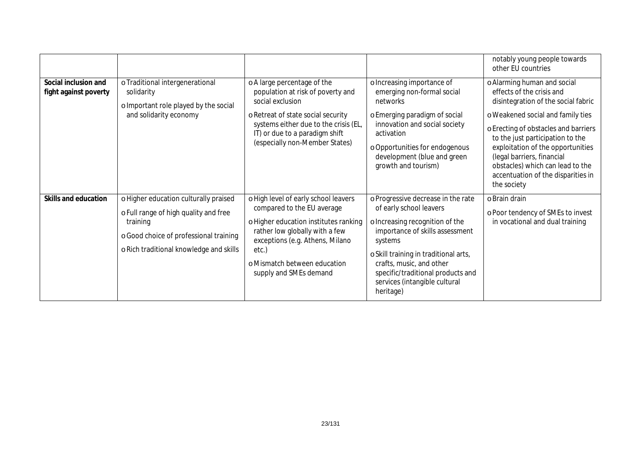|                                               |                                                                                                                                                                                 |                                                                                                                                                                                                                                                     |                                                                                                                                                                                                                                                                                                        | notably young people towards<br>other EU countries                                                                                                                                                                                                                                                                                                                           |
|-----------------------------------------------|---------------------------------------------------------------------------------------------------------------------------------------------------------------------------------|-----------------------------------------------------------------------------------------------------------------------------------------------------------------------------------------------------------------------------------------------------|--------------------------------------------------------------------------------------------------------------------------------------------------------------------------------------------------------------------------------------------------------------------------------------------------------|------------------------------------------------------------------------------------------------------------------------------------------------------------------------------------------------------------------------------------------------------------------------------------------------------------------------------------------------------------------------------|
| Social inclusion and<br>fight against poverty | o Traditional intergenerational<br>solidarity<br>o Important role played by the social<br>and solidarity economy                                                                | o A large percentage of the<br>population at risk of poverty and<br>social exclusion<br>o Retreat of state social security<br>systems either due to the crisis (EL,<br>IT) or due to a paradigm shift<br>(especially non-Member States)             | o Increasing importance of<br>emerging non-formal social<br>networks<br>o Emerging paradigm of social<br>innovation and social society<br>activation<br>o Opportunities for endogenous<br>development (blue and green<br>growth and tourism)                                                           | o Alarming human and social<br>effects of the crisis and<br>disintegration of the social fabric<br>o Weakened social and family ties<br>o Erecting of obstacles and barriers<br>to the just participation to the<br>exploitation of the opportunities<br>(legal barriers, financial<br>obstacles) which can lead to the<br>accentuation of the disparities in<br>the society |
| Skills and education                          | o Higher education culturally praised<br>o Full range of high quality and free<br>training<br>o Good choice of professional training<br>o Rich traditional knowledge and skills | o High level of early school leavers<br>compared to the EU average<br>o Higher education institutes ranking<br>rather low globally with a few<br>exceptions (e.g. Athens, Milano<br>etc.)<br>o Mismatch between education<br>supply and SMEs demand | o Progressive decrease in the rate<br>of early school leavers<br>o Increasing recognition of the<br>importance of skills assessment<br>systems<br>o Skill training in traditional arts,<br>crafts, music, and other<br>specific/traditional products and<br>services (intangible cultural<br>heritage) | o Brain drain<br>o Poor tendency of SMEs to invest<br>in vocational and dual training                                                                                                                                                                                                                                                                                        |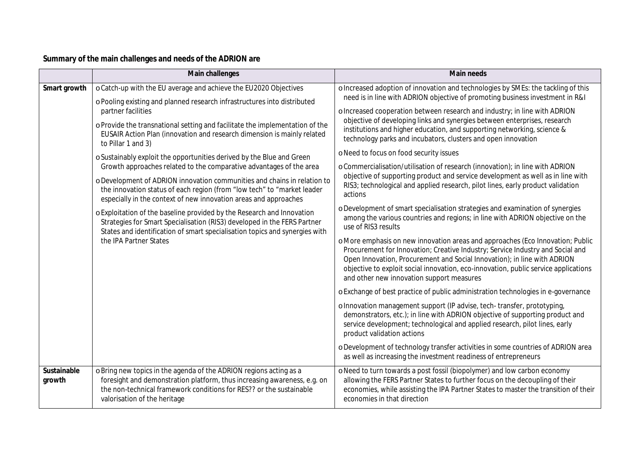### **Summary of the main challenges and needs of the ADRION are**

|                       | Main challenges                                                                                                                                                                                                                                                                                                                                                                                                                                                                                                                                                                                                                                            | <b>Main needs</b>                                                                                                                                                                                                                                                                                                                                                                                                                                                                                                                                                                                                                                                                                                                                                                      |  |  |  |
|-----------------------|------------------------------------------------------------------------------------------------------------------------------------------------------------------------------------------------------------------------------------------------------------------------------------------------------------------------------------------------------------------------------------------------------------------------------------------------------------------------------------------------------------------------------------------------------------------------------------------------------------------------------------------------------------|----------------------------------------------------------------------------------------------------------------------------------------------------------------------------------------------------------------------------------------------------------------------------------------------------------------------------------------------------------------------------------------------------------------------------------------------------------------------------------------------------------------------------------------------------------------------------------------------------------------------------------------------------------------------------------------------------------------------------------------------------------------------------------------|--|--|--|
| Smart growth          | o Catch-up with the EU average and achieve the EU2020 Objectives<br>o Pooling existing and planned research infrastructures into distributed<br>partner facilities<br>o Provide the transnational setting and facilitate the implementation of the<br>EUSAIR Action Plan (innovation and research dimension is mainly related<br>to Pillar 1 and 3)<br>o Sustainably exploit the opportunities derived by the Blue and Green<br>Growth approaches related to the comparative advantages of the area<br>o Development of ADRION innovation communities and chains in relation to<br>the innovation status of each region (from "low tech" to "market leader | o Increased adoption of innovation and technologies by SMEs: the tackling of this<br>need is in line with ADRION objective of promoting business investment in R&I<br>o Increased cooperation between research and industry; in line with ADRION<br>objective of developing links and synergies between enterprises, research<br>institutions and higher education, and supporting networking, science &<br>technology parks and incubators, clusters and open innovation<br>o Need to focus on food security issues<br>o Commercialisation/utilisation of research (innovation); in line with ADRION<br>objective of supporting product and service development as well as in line with<br>RIS3; technological and applied research, pilot lines, early product validation<br>actions |  |  |  |
|                       | especially in the context of new innovation areas and approaches<br>o Exploitation of the baseline provided by the Research and Innovation<br>Strategies for Smart Specialisation (RIS3) developed in the FERS Partner<br>States and identification of smart specialisation topics and synergies with<br>the IPA Partner States                                                                                                                                                                                                                                                                                                                            | o Development of smart specialisation strategies and examination of synergies<br>among the various countries and regions; in line with ADRION objective on the<br>use of RIS3 results<br>o More emphasis on new innovation areas and approaches (Eco Innovation; Public<br>Procurement for Innovation; Creative Industry; Service Industry and Social and<br>Open Innovation, Procurement and Social Innovation); in line with ADRION<br>objective to exploit social innovation, eco-innovation, public service applications<br>and other new innovation support measures<br>o Exchange of best practice of public administration technologies in e-governance                                                                                                                         |  |  |  |
|                       |                                                                                                                                                                                                                                                                                                                                                                                                                                                                                                                                                                                                                                                            | o Innovation management support (IP advise, tech-transfer, prototyping,<br>demonstrators, etc.); in line with ADRION objective of supporting product and<br>service development; technological and applied research, pilot lines, early<br>product validation actions<br>o Development of technology transfer activities in some countries of ADRION area<br>as well as increasing the investment readiness of entrepreneurs                                                                                                                                                                                                                                                                                                                                                           |  |  |  |
| Sustainable<br>growth | o Bring new topics in the agenda of the ADRION regions acting as a<br>foresight and demonstration platform, thus increasing awareness, e.g. on<br>the non-technical framework conditions for RES?? or the sustainable<br>valorisation of the heritage                                                                                                                                                                                                                                                                                                                                                                                                      | o Need to turn towards a post fossil (biopolymer) and low carbon economy<br>allowing the FERS Partner States to further focus on the decoupling of their<br>economies, while assisting the IPA Partner States to master the transition of their<br>economies in that direction                                                                                                                                                                                                                                                                                                                                                                                                                                                                                                         |  |  |  |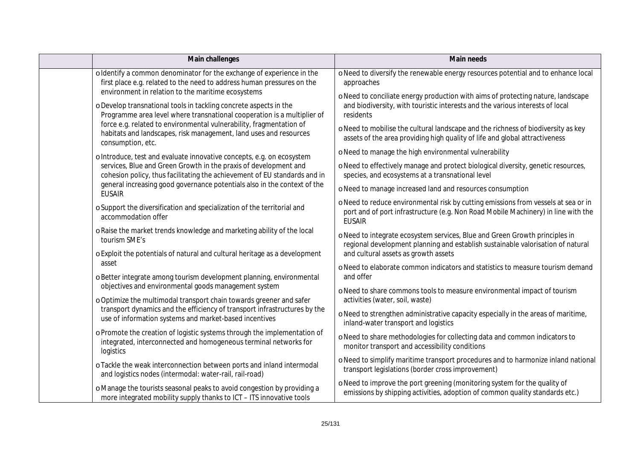| Main challenges                                                                                                                                                                                      | <b>Main needs</b>                                                                                                                                                                                                                                                                                   |  |  |  |
|------------------------------------------------------------------------------------------------------------------------------------------------------------------------------------------------------|-----------------------------------------------------------------------------------------------------------------------------------------------------------------------------------------------------------------------------------------------------------------------------------------------------|--|--|--|
| oldentify a common denominator for the exchange of experience in the<br>first place e.g. related to the need to address human pressures on the<br>environment in relation to the maritime ecosystems | o Need to diversify the renewable energy resources potential and to enhance local<br>approaches                                                                                                                                                                                                     |  |  |  |
| o Develop transnational tools in tackling concrete aspects in the<br>Programme area level where transnational cooperation is a multiplier of                                                         | o Need to conciliate energy production with aims of protecting nature, landscape<br>and biodiversity, with touristic interests and the various interests of local<br>residents                                                                                                                      |  |  |  |
| force e.g. related to environmental vulnerability, fragmentation of<br>habitats and landscapes, risk management, land uses and resources<br>consumption, etc.                                        | o Need to mobilise the cultural landscape and the richness of biodiversity as key<br>assets of the area providing high quality of life and global attractiveness                                                                                                                                    |  |  |  |
| o Introduce, test and evaluate innovative concepts, e.g. on ecosystem                                                                                                                                | o Need to manage the high environmental vulnerability                                                                                                                                                                                                                                               |  |  |  |
| services, Blue and Green Growth in the praxis of development and<br>cohesion policy, thus facilitating the achievement of EU standards and in                                                        | o Need to effectively manage and protect biological diversity, genetic resources,<br>species, and ecosystems at a transnational level                                                                                                                                                               |  |  |  |
| general increasing good governance potentials also in the context of the<br><b>EUSAIR</b>                                                                                                            | o Need to manage increased land and resources consumption                                                                                                                                                                                                                                           |  |  |  |
| o Support the diversification and specialization of the territorial and<br>accommodation offer                                                                                                       | o Need to reduce environmental risk by cutting emissions from vessels at sea or in<br>port and of port infrastructure (e.g. Non Road Mobile Machinery) in line with the<br><b>EUSAIR</b>                                                                                                            |  |  |  |
| o Raise the market trends knowledge and marketing ability of the local<br>tourism SME's                                                                                                              | o Need to integrate ecosystem services, Blue and Green Growth principles in<br>regional development planning and establish sustainable valorisation of natural                                                                                                                                      |  |  |  |
| o Exploit the potentials of natural and cultural heritage as a development                                                                                                                           | and cultural assets as growth assets                                                                                                                                                                                                                                                                |  |  |  |
| asset<br>o Better integrate among tourism development planning, environmental                                                                                                                        | o Need to elaborate common indicators and statistics to measure tourism demand<br>and offer                                                                                                                                                                                                         |  |  |  |
| objectives and environmental goods management system<br>o Optimize the multimodal transport chain towards greener and safer                                                                          | o Need to share commons tools to measure environmental impact of tourism<br>activities (water, soil, waste)                                                                                                                                                                                         |  |  |  |
| transport dynamics and the efficiency of transport infrastructures by the<br>use of information systems and market-based incentives                                                                  | o Need to strengthen administrative capacity especially in the areas of maritime,<br>inland-water transport and logistics                                                                                                                                                                           |  |  |  |
| o Promote the creation of logistic systems through the implementation of<br>integrated, interconnected and homogeneous terminal networks for<br>logistics                                            | o Need to share methodologies for collecting data and common indicators to<br>monitor transport and accessibility conditions                                                                                                                                                                        |  |  |  |
| o Tackle the weak interconnection between ports and inland intermodal<br>and logistics nodes (intermodal: water-rail, rail-road)                                                                     | o Need to simplify maritime transport procedures and to harmonize inland national<br>transport legislations (border cross improvement)<br>o Need to improve the port greening (monitoring system for the quality of<br>emissions by shipping activities, adoption of common quality standards etc.) |  |  |  |
| o Manage the tourists seasonal peaks to avoid congestion by providing a<br>more integrated mobility supply thanks to ICT - ITS innovative tools                                                      |                                                                                                                                                                                                                                                                                                     |  |  |  |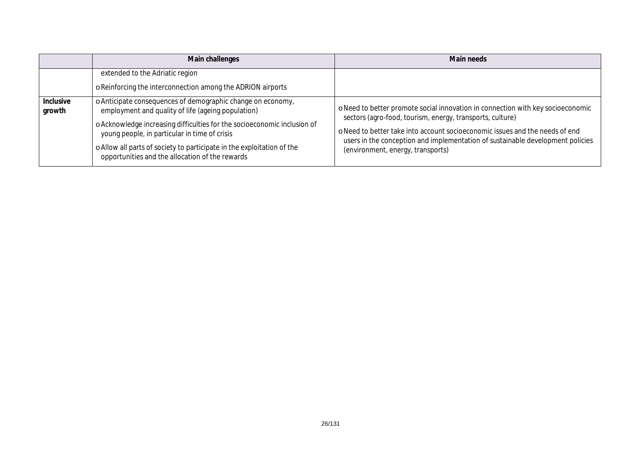|                     | Main challenges                                                                                                                                                                                                                                                                                                                                                             | Main needs                                                                                                                                                                                                                                                                                                                                          |  |  |  |
|---------------------|-----------------------------------------------------------------------------------------------------------------------------------------------------------------------------------------------------------------------------------------------------------------------------------------------------------------------------------------------------------------------------|-----------------------------------------------------------------------------------------------------------------------------------------------------------------------------------------------------------------------------------------------------------------------------------------------------------------------------------------------------|--|--|--|
|                     | extended to the Adriatic region<br>o Reinforcing the interconnection among the ADRION airports                                                                                                                                                                                                                                                                              |                                                                                                                                                                                                                                                                                                                                                     |  |  |  |
| Inclusive<br>growth | o Anticipate consequences of demographic change on economy,<br>employment and quality of life (ageing population)<br>o Acknowledge increasing difficulties for the socioeconomic inclusion of<br>young people, in particular in time of crisis<br>o Allow all parts of society to participate in the exploitation of the<br>opportunities and the allocation of the rewards | o Need to better promote social innovation in connection with key socioeconomic<br>sectors (agro-food, tourism, energy, transports, culture)<br>o Need to better take into account socioeconomic issues and the needs of end<br>users in the conception and implementation of sustainable development policies<br>(environment, energy, transports) |  |  |  |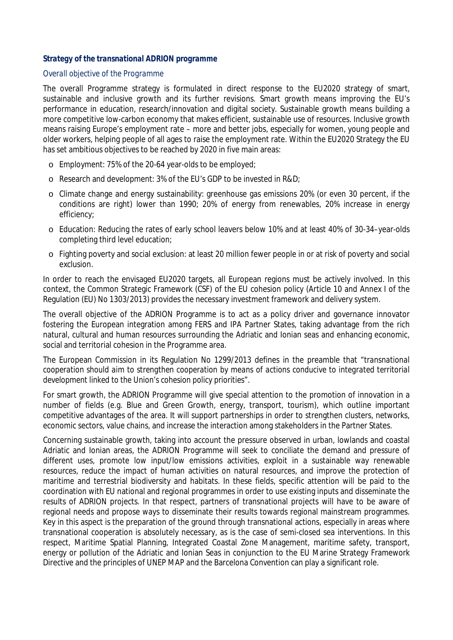### *Strategy of the transnational ADRION programme*

#### *Overall objective of the Programme*

The overall Programme strategy is formulated in direct response to the EU2020 strategy of smart, sustainable and inclusive growth and its further revisions. Smart growth means improving the EU's performance in education, research/innovation and digital society. Sustainable growth means building a more competitive low-carbon economy that makes efficient, sustainable use of resources. Inclusive growth means raising Europe's employment rate – more and better jobs, especially for women, young people and older workers, helping people of all ages to raise the employment rate. Within the EU2020 Strategy the EU has set ambitious objectives to be reached by 2020 in five main areas:

- o Employment: 75% of the 20-64 year-olds to be employed;
- o Research and development: 3% of the EU's GDP to be invested in R&D;
- o Climate change and energy sustainability: greenhouse gas emissions 20% (or even 30 percent, if the conditions are right) lower than 1990; 20% of energy from renewables, 20% increase in energy efficiency;
- o Education: Reducing the rates of early school leavers below 10% and at least 40% of 30-34–year-olds completing third level education;
- o Fighting poverty and social exclusion: at least 20 million fewer people in or at risk of poverty and social exclusion.

In order to reach the envisaged EU2020 targets, all European regions must be actively involved. In this context, the Common Strategic Framework (CSF) of the EU cohesion policy (Article 10 and Annex I of the Regulation (EU) No 1303/2013) provides the necessary investment framework and delivery system.

The overall objective of the ADRION Programme is to act as a policy driver and governance innovator fostering the European integration among FERS and IPA Partner States, taking advantage from the rich natural, cultural and human resources surrounding the Adriatic and Ionian seas and enhancing economic, social and territorial cohesion in the Programme area.

The European Commission in its Regulation No 1299/2013 defines in the preamble that "*transnational cooperation should aim to strengthen cooperation by means of actions conducive to integrated territorial development linked to the Union's cohesion policy priorities*".

For smart growth, the ADRION Programme will give special attention to the promotion of innovation in a number of fields (e.g. Blue and Green Growth, energy, transport, tourism), which outline important competitive advantages of the area. It will support partnerships in order to strengthen clusters, networks, economic sectors, value chains, and increase the interaction among stakeholders in the Partner States.

Concerning sustainable growth, taking into account the pressure observed in urban, lowlands and coastal Adriatic and Ionian areas, the ADRION Programme will seek to conciliate the demand and pressure of different uses, promote low input/low emissions activities, exploit in a sustainable way renewable resources, reduce the impact of human activities on natural resources, and improve the protection of maritime and terrestrial biodiversity and habitats. In these fields, specific attention will be paid to the coordination with EU national and regional programmes in order to use existing inputs and disseminate the results of ADRION projects. In that respect, partners of transnational projects will have to be aware of regional needs and propose ways to disseminate their results towards regional mainstream programmes. Key in this aspect is the preparation of the ground through transnational actions, especially in areas where transnational cooperation is absolutely necessary, as is the case of semi-closed sea interventions. In this respect, Maritime Spatial Planning, Integrated Coastal Zone Management, maritime safety, transport, energy or pollution of the Adriatic and Ionian Seas in conjunction to the EU Marine Strategy Framework Directive and the principles of UNEP MAP and the Barcelona Convention can play a significant role.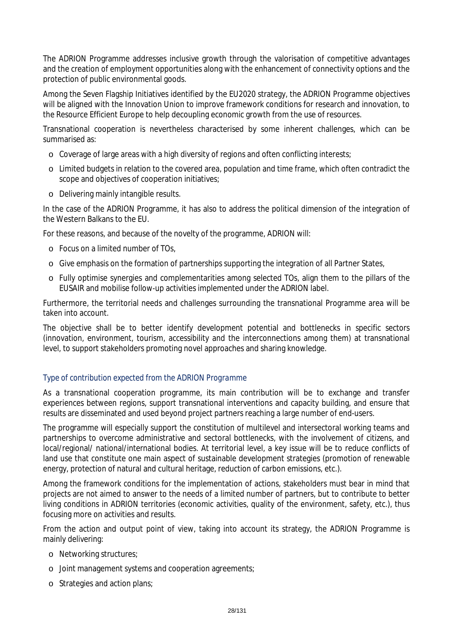The ADRION Programme addresses inclusive growth through the valorisation of competitive advantages and the creation of employment opportunities along with the enhancement of connectivity options and the protection of public environmental goods.

Among the Seven Flagship Initiatives identified by the EU2020 strategy, the ADRION Programme objectives will be aligned with the Innovation Union to improve framework conditions for research and innovation, to the Resource Efficient Europe to help decoupling economic growth from the use of resources.

Transnational cooperation is nevertheless characterised by some inherent challenges, which can be summarised as:

- o Coverage of large areas with a high diversity of regions and often conflicting interests;
- o Limited budgets in relation to the covered area, population and time frame, which often contradict the scope and objectives of cooperation initiatives;
- o Delivering mainly intangible results.

In the case of the ADRION Programme, it has also to address the political dimension of the integration of the Western Balkans to the EU.

For these reasons, and because of the novelty of the programme, ADRION will:

- o Focus on a limited number of TOs,
- o Give emphasis on the formation of partnerships supporting the integration of all Partner States,
- o Fully optimise synergies and complementarities among selected TOs, align them to the pillars of the EUSAIR and mobilise follow-up activities implemented under the ADRION label.

Furthermore, the territorial needs and challenges surrounding the transnational Programme area will be taken into account.

The objective shall be to better identify development potential and bottlenecks in specific sectors (innovation, environment, tourism, accessibility and the interconnections among them) at transnational level, to support stakeholders promoting novel approaches and sharing knowledge.

### *Type of contribution expected from the ADRION Programme*

As a transnational cooperation programme, its main contribution will be to exchange and transfer experiences between regions, support transnational interventions and capacity building, and ensure that results are disseminated and used beyond project partners reaching a large number of end-users.

The programme will especially support the constitution of multilevel and intersectoral working teams and partnerships to overcome administrative and sectoral bottlenecks, with the involvement of citizens, and local/regional/ national/international bodies. At territorial level, a key issue will be to reduce conflicts of land use that constitute one main aspect of sustainable development strategies (promotion of renewable energy, protection of natural and cultural heritage, reduction of carbon emissions, etc.).

Among the framework conditions for the implementation of actions, stakeholders must bear in mind that projects are not aimed to answer to the needs of a limited number of partners, but to contribute to better living conditions in ADRION territories (economic activities, quality of the environment, safety, etc.), thus focusing more on activities and results.

From the action and output point of view, taking into account its strategy, the ADRION Programme is mainly delivering:

- o Networking structures;
- o Joint management systems and cooperation agreements;
- o Strategies and action plans;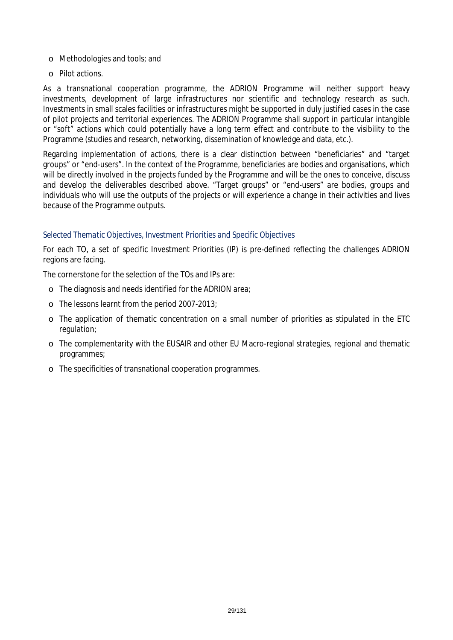- o Methodologies and tools; and
- o Pilot actions.

As a transnational cooperation programme, the ADRION Programme will neither support heavy investments, development of large infrastructures nor scientific and technology research as such. Investments in small scales facilities or infrastructures might be supported in duly justified cases in the case of pilot projects and territorial experiences. The ADRION Programme shall support in particular intangible or "soft" actions which could potentially have a long term effect and contribute to the visibility to the Programme (studies and research, networking, dissemination of knowledge and data, etc.).

Regarding implementation of actions, there is a clear distinction between "beneficiaries" and "target groups" or "end-users". In the context of the Programme, beneficiaries are bodies and organisations, which will be directly involved in the projects funded by the Programme and will be the ones to conceive, discuss and develop the deliverables described above. "Target groups" or "end-users" are bodies, groups and individuals who will use the outputs of the projects or will experience a change in their activities and lives because of the Programme outputs.

### *Selected Thematic Objectives, Investment Priorities and Specific Objectives*

For each TO, a set of specific Investment Priorities (IP) is pre-defined reflecting the challenges ADRION regions are facing.

The cornerstone for the selection of the TOs and IPs are:

- o The diagnosis and needs identified for the ADRION area;
- o The lessons learnt from the period 2007-2013;
- o The application of thematic concentration on a small number of priorities as stipulated in the ETC regulation;
- o The complementarity with the EUSAIR and other EU Macro-regional strategies, regional and thematic programmes;
- o The specificities of transnational cooperation programmes.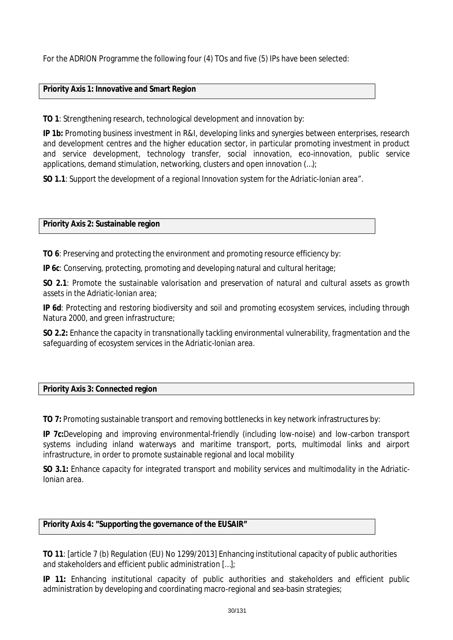For the ADRION Programme the following four (4) TOs and five (5) IPs have been selected:

### **Priority Axis 1: Innovative and Smart Region**

**TO 1**: Strengthening research, technological development and innovation by:

**IP 1b:** Promoting business investment in R&I, developing links and synergies between enterprises, research and development centres and the higher education sector, in particular promoting investment in product and service development, technology transfer, social innovation, eco-innovation, public service applications, demand stimulation, networking, clusters and open innovation (…);

**SO 1.1**: *Support the development of a regional Innovation system for the Adriatic-Ionian area".*

### **Priority Axis 2: Sustainable region**

**TO 6**: Preserving and protecting the environment and promoting resource efficiency by:

**IP 6c**: Conserving, protecting, promoting and developing natural and cultural heritage;

**SO 2.1**: *Promote the sustainable valorisation and preservation of natural and cultural assets as growth assets in the Adriatic-Ionian area;*

**IP 6d**: Protecting and restoring biodiversity and soil and promoting ecosystem services, including through Natura 2000, and green infrastructure;

**SO 2.2:** *Enhance the capacity in transnationally tackling environmental vulnerability, fragmentation and the safeguarding of ecosystem services in the Adriatic-Ionian area.*

### **Priority Axis 3: Connected region**

**TO 7:** Promoting sustainable transport and removing bottlenecks in key network infrastructures by:

**IP 7c:**Developing and improving environmental-friendly (including low-noise) and low-carbon transport systems including inland waterways and maritime transport, ports, multimodal links and airport infrastructure, in order to promote sustainable regional and local mobility

**SO 3.1:** *Enhance capacity for integrated transport and mobility services and multimodality in the Adriatic-Ionian area.*

### **Priority Axis 4: "Supporting the governance of the EUSAIR"**

**TO 11**: [article 7 (b) Regulation (EU) No 1299/2013] Enhancing institutional capacity of public authorities and stakeholders and efficient public administration […];

**IP 11:** Enhancing institutional capacity of public authorities and stakeholders and efficient public administration by developing and coordinating macro-regional and sea-basin strategies;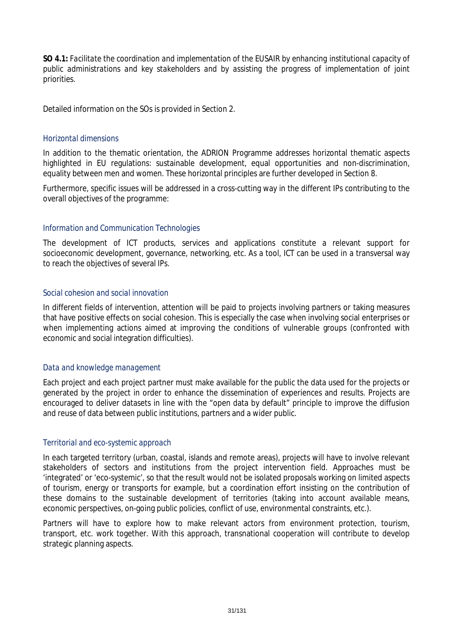**SO 4.1:** *Facilitate the coordination and implementation of the EUSAIR by enhancing institutional capacity of public administrations and key stakeholders and by assisting the progress of implementation of joint priorities.*

Detailed information on the SOs is provided in Section 2.

### *Horizontal dimensions*

In addition to the thematic orientation, the ADRION Programme addresses horizontal thematic aspects highlighted in EU regulations: sustainable development, equal opportunities and non-discrimination, equality between men and women. These horizontal principles are further developed in Section 8.

Furthermore, specific issues will be addressed in a cross-cutting way in the different IPs contributing to the overall objectives of the programme:

### *Information and Communication Technologies*

The development of ICT products, services and applications constitute a relevant support for socioeconomic development, governance, networking, etc. As a tool, ICT can be used in a transversal way to reach the objectives of several IPs.

### *Social cohesion and social innovation*

In different fields of intervention, attention will be paid to projects involving partners or taking measures that have positive effects on social cohesion. This is especially the case when involving social enterprises or when implementing actions aimed at improving the conditions of vulnerable groups (confronted with economic and social integration difficulties).

### *Data and knowledge management*

Each project and each project partner must make available for the public the data used for the projects or generated by the project in order to enhance the dissemination of experiences and results. Projects are encouraged to deliver datasets in line with the "open data by default" principle to improve the diffusion and reuse of data between public institutions, partners and a wider public.

### *Territorial and eco-systemic approach*

In each targeted territory (urban, coastal, islands and remote areas), projects will have to involve relevant stakeholders of sectors and institutions from the project intervention field. Approaches must be 'integrated' or 'eco-systemic', so that the result would not be isolated proposals working on limited aspects of tourism, energy or transports for example, but a coordination effort insisting on the contribution of these domains to the sustainable development of territories (taking into account available means, economic perspectives, on-going public policies, conflict of use, environmental constraints, etc.).

Partners will have to explore how to make relevant actors from environment protection, tourism, transport, etc. work together. With this approach, transnational cooperation will contribute to develop strategic planning aspects.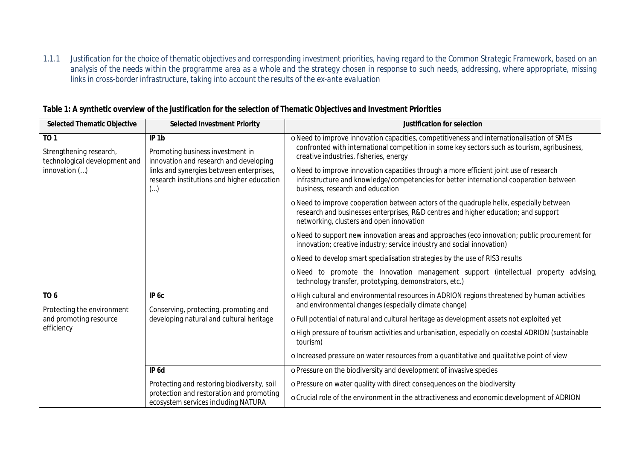*1.1.1 Justification for the choice of thematic objectives and corresponding investment priorities, having regard to the Common Strategic Framework, based on an analysis of the needs within the programme area as a whole and the strategy chosen in response to such needs, addressing, where appropriate, missing links in cross-border infrastructure, taking into account the results of the ex-ante evaluation*

| <b>Selected Thematic Objective</b>                                                      | <b>Selected Investment Priority</b>                                                                                                                                                                    | Justification for selection                                                                                                                                                                                                                                                                                                                                                                                                                                                          |  |  |  |
|-----------------------------------------------------------------------------------------|--------------------------------------------------------------------------------------------------------------------------------------------------------------------------------------------------------|--------------------------------------------------------------------------------------------------------------------------------------------------------------------------------------------------------------------------------------------------------------------------------------------------------------------------------------------------------------------------------------------------------------------------------------------------------------------------------------|--|--|--|
| <b>TO1</b><br>Strengthening research,<br>technological development and<br>innovation () | IP <sub>1b</sub><br>Promoting business investment in<br>innovation and research and developing<br>links and synergies between enterprises,<br>research institutions and higher education<br>$(\ldots)$ | o Need to improve innovation capacities, competitiveness and internationalisation of SMEs<br>confronted with international competition in some key sectors such as tourism, agribusiness,<br>creative industries, fisheries, energy<br>o Need to improve innovation capacities through a more efficient joint use of research<br>infrastructure and knowledge/competencies for better international cooperation between<br>business, research and education                          |  |  |  |
|                                                                                         |                                                                                                                                                                                                        | o Need to improve cooperation between actors of the quadruple helix, especially between<br>research and businesses enterprises, R&D centres and higher education; and support<br>networking, clusters and open innovation<br>o Need to support new innovation areas and approaches (eco innovation; public procurement for<br>innovation; creative industry; service industry and social innovation)<br>o Need to develop smart specialisation strategies by the use of RIS3 results |  |  |  |
|                                                                                         |                                                                                                                                                                                                        |                                                                                                                                                                                                                                                                                                                                                                                                                                                                                      |  |  |  |
|                                                                                         |                                                                                                                                                                                                        |                                                                                                                                                                                                                                                                                                                                                                                                                                                                                      |  |  |  |
|                                                                                         |                                                                                                                                                                                                        | o Need to promote the Innovation management support (intellectual property advising,<br>technology transfer, prototyping, demonstrators, etc.)                                                                                                                                                                                                                                                                                                                                       |  |  |  |
| TO <sub>6</sub><br>Protecting the environment                                           | IP 6c<br>Conserving, protecting, promoting and                                                                                                                                                         | o High cultural and environmental resources in ADRION regions threatened by human activities<br>and environmental changes (especially climate change)                                                                                                                                                                                                                                                                                                                                |  |  |  |
| and promoting resource                                                                  | developing natural and cultural heritage                                                                                                                                                               | o Full potential of natural and cultural heritage as development assets not exploited yet                                                                                                                                                                                                                                                                                                                                                                                            |  |  |  |
| efficiency                                                                              |                                                                                                                                                                                                        | o High pressure of tourism activities and urbanisation, especially on coastal ADRION (sustainable<br>tourism)                                                                                                                                                                                                                                                                                                                                                                        |  |  |  |
|                                                                                         |                                                                                                                                                                                                        | o Increased pressure on water resources from a quantitative and qualitative point of view                                                                                                                                                                                                                                                                                                                                                                                            |  |  |  |
|                                                                                         | IP <sub>6d</sub>                                                                                                                                                                                       | o Pressure on the biodiversity and development of invasive species                                                                                                                                                                                                                                                                                                                                                                                                                   |  |  |  |
|                                                                                         | Protecting and restoring biodiversity, soil                                                                                                                                                            | o Pressure on water quality with direct consequences on the biodiversity                                                                                                                                                                                                                                                                                                                                                                                                             |  |  |  |
|                                                                                         | protection and restoration and promoting<br>ecosystem services including NATURA                                                                                                                        | o Crucial role of the environment in the attractiveness and economic development of ADRION                                                                                                                                                                                                                                                                                                                                                                                           |  |  |  |

### **Table 1: A synthetic overview of the justification for the selection of Thematic Objectives and Investment Priorities**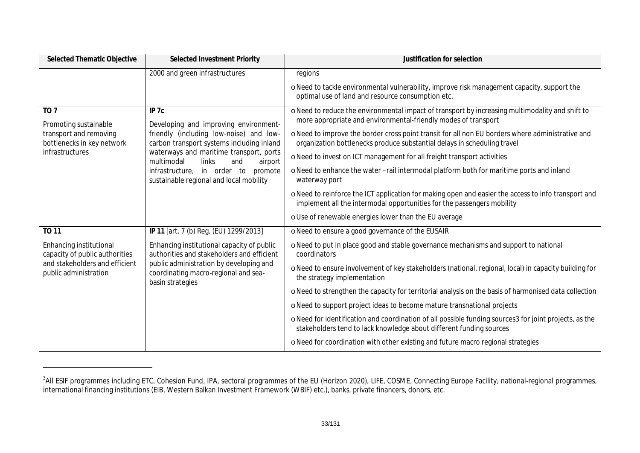| <b>Selected Thematic Objective</b>                                      | <b>Selected Investment Priority</b>                                                                                                                                                             | Justification for selection                                                                                                                                                   |  |  |  |
|-------------------------------------------------------------------------|-------------------------------------------------------------------------------------------------------------------------------------------------------------------------------------------------|-------------------------------------------------------------------------------------------------------------------------------------------------------------------------------|--|--|--|
|                                                                         | 2000 and green infrastructures                                                                                                                                                                  | regions                                                                                                                                                                       |  |  |  |
|                                                                         |                                                                                                                                                                                                 | o Need to tackle environmental vulnerability, improve risk management capacity, support the<br>optimal use of land and resource consumption etc.                              |  |  |  |
| TO <sub>7</sub><br>Promoting sustainable                                | IP <sub>7c</sub><br>Developing and improving environment-<br>friendly (including low-noise) and low-<br>carbon transport systems including inland                                               | o Need to reduce the environmental impact of transport by increasing multimodality and shift to<br>more appropriate and environmental-friendly modes of transport             |  |  |  |
| transport and removing<br>bottlenecks in key network<br>infrastructures |                                                                                                                                                                                                 | o Need to improve the border cross point transit for all non EU borders where administrative and<br>organization bottlenecks produce substantial delays in scheduling travel  |  |  |  |
|                                                                         | waterways and maritime transport, ports<br>multimodal<br>links<br>and<br>airport                                                                                                                | o Need to invest on ICT management for all freight transport activities                                                                                                       |  |  |  |
|                                                                         | infrastructure, in order to<br>promote<br>sustainable regional and local mobility                                                                                                               | o Need to enhance the water -rail intermodal platform both for maritime ports and inland<br>waterway port                                                                     |  |  |  |
|                                                                         |                                                                                                                                                                                                 | o Need to reinforce the ICT application for making open and easier the access to info transport and<br>implement all the intermodal opportunities for the passengers mobility |  |  |  |
|                                                                         |                                                                                                                                                                                                 | o Use of renewable energies lower than the EU average                                                                                                                         |  |  |  |
| <b>TO 11</b>                                                            | IP 11 [art. 7 (b) Reg. (EU) 1299/2013]                                                                                                                                                          | o Need to ensure a good governance of the EUSAIR                                                                                                                              |  |  |  |
| Enhancing institutional<br>capacity of public authorities               | Enhancing institutional capacity of public<br>authorities and stakeholders and efficient<br>public administration by developing and<br>coordinating macro-regional and sea-<br>basin strategies | o Need to put in place good and stable governance mechanisms and support to national<br>coordinators                                                                          |  |  |  |
| and stakeholders and efficient<br>public administration                 |                                                                                                                                                                                                 | o Need to ensure involvement of key stakeholders (national, regional, local) in capacity building for<br>the strategy implementation                                          |  |  |  |
|                                                                         |                                                                                                                                                                                                 | o Need to strengthen the capacity for territorial analysis on the basis of harmonised data collection                                                                         |  |  |  |
|                                                                         |                                                                                                                                                                                                 | o Need to support project ideas to become mature transnational projects                                                                                                       |  |  |  |
|                                                                         |                                                                                                                                                                                                 | o Need for identification and coordination of all possible funding sources3 for joint projects, as the<br>stakeholders tend to lack knowledge about different funding sources |  |  |  |
|                                                                         |                                                                                                                                                                                                 | o Need for coordination with other existing and future macro regional strategies                                                                                              |  |  |  |

<sup>&</sup>lt;sup>3</sup>All ESIF programmes including ETC, Cohesion Fund, IPA, sectoral programmes of the EU (Horizon 2020), LIFE, COSME, Connecting Europe Facility, national-regional programmes, international financing institutions (EIB, Western Balkan Investment Framework (WBIF) etc.), banks, private financers, donors, etc.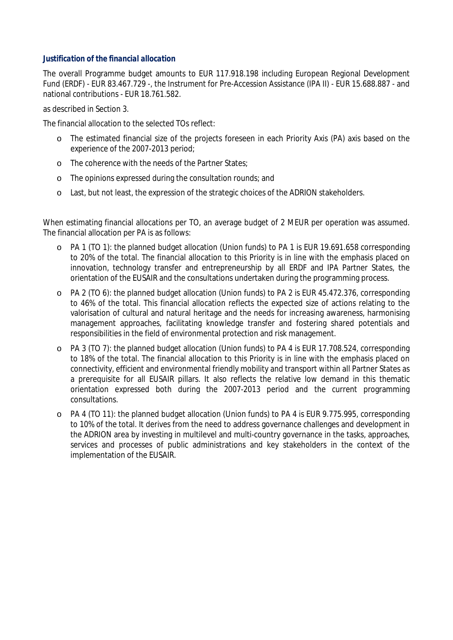### *Justification of the financial allocation*

The overall Programme budget amounts to EUR 117.918.198 including European Regional Development Fund (ERDF) - EUR 83.467.729 -, the Instrument for Pre-Accession Assistance (IPA II) - EUR 15.688.887 - and national contributions - EUR 18.761.582.

as described in Section 3.

The financial allocation to the selected TOs reflect:

- o The estimated financial size of the projects foreseen in each Priority Axis (PA) axis based on the experience of the 2007-2013 period;
- o The coherence with the needs of the Partner States;
- o The opinions expressed during the consultation rounds; and
- o Last, but not least, the expression of the strategic choices of the ADRION stakeholders.

When estimating financial allocations per TO, an average budget of 2 MEUR per operation was assumed. The financial allocation per PA is as follows:

- o PA 1 (TO 1): the planned budget allocation (Union funds) to PA 1 is EUR 19.691.658 corresponding to 20% of the total. The financial allocation to this Priority is in line with the emphasis placed on innovation, technology transfer and entrepreneurship by all ERDF and IPA Partner States, the orientation of the EUSAIR and the consultations undertaken during the programming process.
- o PA 2 (TO 6): the planned budget allocation (Union funds) to PA 2 is EUR 45.472.376, corresponding to 46% of the total. This financial allocation reflects the expected size of actions relating to the valorisation of cultural and natural heritage and the needs for increasing awareness, harmonising management approaches, facilitating knowledge transfer and fostering shared potentials and responsibilities in the field of environmental protection and risk management.
- o PA 3 (TO 7): the planned budget allocation (Union funds) to PA 4 is EUR 17.708.524, corresponding to 18% of the total. The financial allocation to this Priority is in line with the emphasis placed on connectivity, efficient and environmental friendly mobility and transport within all Partner States as a prerequisite for all EUSAIR pillars. It also reflects the relative low demand in this thematic orientation expressed both during the 2007-2013 period and the current programming consultations.
- o PA 4 (TO 11): the planned budget allocation (Union funds) to PA 4 is EUR 9.775.995, corresponding to 10% of the total. It derives from the need to address governance challenges and development in the ADRION area by investing in multilevel and multi-country governance in the tasks, approaches, services and processes of public administrations and key stakeholders in the context of the implementation of the EUSAIR.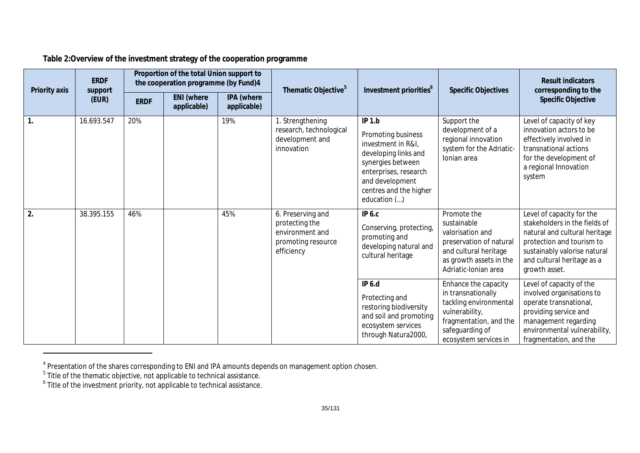### **Table 2:Overview of the investment strategy of the cooperation programme**

| Priority axis | <b>ERDF</b><br>support<br>(EUR) | Proportion of the total Union support to<br>the cooperation programme (by Fund)4 |                                  | Thematic Objective <sup>5</sup> | Investment priorities <sup>6</sup>                                                         | <b>Specific Objectives</b>                                                                                                                                                            | <b>Result indicators</b><br>corresponding to the                                                                                                             |                                                                                                                                                                                                         |
|---------------|---------------------------------|----------------------------------------------------------------------------------|----------------------------------|---------------------------------|--------------------------------------------------------------------------------------------|---------------------------------------------------------------------------------------------------------------------------------------------------------------------------------------|--------------------------------------------------------------------------------------------------------------------------------------------------------------|---------------------------------------------------------------------------------------------------------------------------------------------------------------------------------------------------------|
|               |                                 | <b>ERDF</b>                                                                      | <b>ENI</b> (where<br>applicable) | IPA (where<br>applicable)       |                                                                                            |                                                                                                                                                                                       |                                                                                                                                                              | <b>Specific Objective</b>                                                                                                                                                                               |
| $\mathbf{1}$  | 16.693.547                      | 20%                                                                              |                                  | 19%                             | 1. Strengthening<br>research, technological<br>development and<br>innovation               | IP 1.b<br>Promoting business<br>investment in R&I,<br>developing links and<br>synergies between<br>enterprises, research<br>and development<br>centres and the higher<br>education () | Support the<br>development of a<br>regional innovation<br>system for the Adriatic-<br>Ionian area                                                            | Level of capacity of key<br>innovation actors to be<br>effectively involved in<br>transnational actions<br>for the development of<br>a regional Innovation<br>system                                    |
| 2.            | 38.395.155                      | 46%                                                                              |                                  | 45%                             | 6. Preserving and<br>protecting the<br>environment and<br>promoting resource<br>efficiency | <b>IP 6.c</b><br>Conserving, protecting,<br>promoting and<br>developing natural and<br>cultural heritage                                                                              | Promote the<br>sustainable<br>valorisation and<br>preservation of natural<br>and cultural heritage<br>as growth assets in the<br>Adriatic-Ionian area        | Level of capacity for the<br>stakeholders in the fields of<br>natural and cultural heritage<br>protection and tourism to<br>sustainably valorise natural<br>and cultural heritage as a<br>growth asset. |
|               |                                 |                                                                                  |                                  |                                 |                                                                                            | IP 6.d<br>Protecting and<br>restoring biodiversity<br>and soil and promoting<br>ecosystem services<br>through Natura2000,                                                             | Enhance the capacity<br>in transnationally<br>tackling environmental<br>vulnerability,<br>fragmentation, and the<br>safeguarding of<br>ecosystem services in | Level of capacity of the<br>involved organisations to<br>operate transnational,<br>providing service and<br>management regarding<br>environmental vulnerability,<br>fragmentation, and the              |

<sup>&</sup>lt;sup>4</sup> Presentation of the shares corresponding to ENI and IPA amounts depends on management option chosen.<br><sup>5</sup> Title of the thematic objective, not applicable to technical assistance.<br><sup>6</sup> Title of the investment priority, no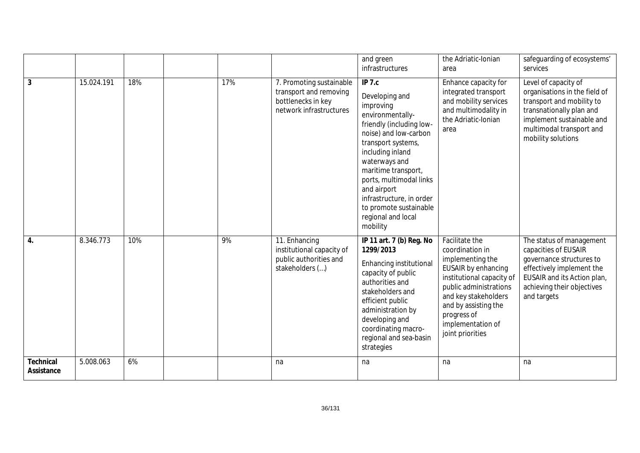|                         |            |     |     |                                                                                                     | and green<br>infrastructures                                                                                                                                                                                                                                                                                                       | the Adriatic-Ionian<br>area                                                                                                                                                                                                                 | safeguarding of ecosystems'<br>services                                                                                                                                                       |
|-------------------------|------------|-----|-----|-----------------------------------------------------------------------------------------------------|------------------------------------------------------------------------------------------------------------------------------------------------------------------------------------------------------------------------------------------------------------------------------------------------------------------------------------|---------------------------------------------------------------------------------------------------------------------------------------------------------------------------------------------------------------------------------------------|-----------------------------------------------------------------------------------------------------------------------------------------------------------------------------------------------|
| $\overline{3}$          | 15.024.191 | 18% | 17% | 7. Promoting sustainable<br>transport and removing<br>bottlenecks in key<br>network infrastructures | IP 7.c<br>Developing and<br>improving<br>environmentally-<br>friendly (including low-<br>noise) and low-carbon<br>transport systems,<br>including inland<br>waterways and<br>maritime transport,<br>ports, multimodal links<br>and airport<br>infrastructure, in order<br>to promote sustainable<br>regional and local<br>mobility | Enhance capacity for<br>integrated transport<br>and mobility services<br>and multimodality in<br>the Adriatic-Ionian<br>area                                                                                                                | Level of capacity of<br>organisations in the field of<br>transport and mobility to<br>transnationally plan and<br>implement sustainable and<br>multimodal transport and<br>mobility solutions |
| 4.                      | 8.346.773  | 10% | 9%  | 11. Enhancing<br>institutional capacity of<br>public authorities and<br>stakeholders ()             | IP 11 art. 7 (b) Reg. No<br>1299/2013<br>Enhancing institutional<br>capacity of public<br>authorities and<br>stakeholders and<br>efficient public<br>administration by<br>developing and<br>coordinating macro-<br>regional and sea-basin<br>strategies                                                                            | Facilitate the<br>coordination in<br>implementing the<br>EUSAIR by enhancing<br>institutional capacity of<br>public administrations<br>and key stakeholders<br>and by assisting the<br>progress of<br>implementation of<br>joint priorities | The status of management<br>capacities of EUSAIR<br>governance structures to<br>effectively implement the<br>EUSAIR and its Action plan,<br>achieving their objectives<br>and targets         |
| Technical<br>Assistance | 5.008.063  | 6%  |     | na                                                                                                  | na                                                                                                                                                                                                                                                                                                                                 | na                                                                                                                                                                                                                                          | na                                                                                                                                                                                            |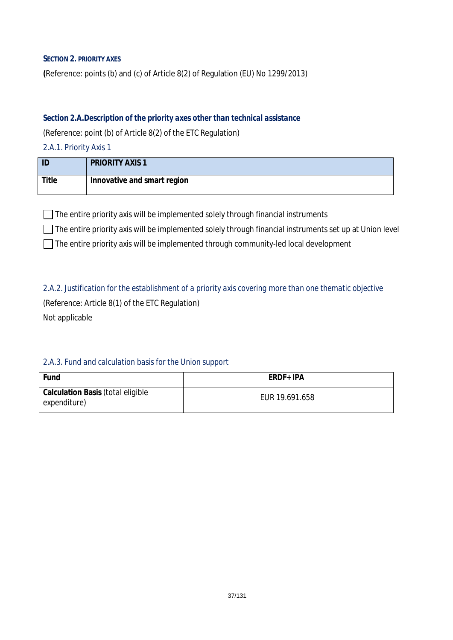### **SECTION 2. PRIORITY AXES**

**(**Reference: points (b) and (c) of Article 8(2) of Regulation (EU) No 1299/2013)

### *Section 2.A.Description of the priority axes other than technical assistance*

(Reference: point (b) of Article 8(2) of the ETC Regulation)

*2.A.1. Priority Axis 1*

| ID    | <b>PRIORITY AXIS 1</b>      |
|-------|-----------------------------|
| Title | Innovative and smart region |

 $\Box$  The entire priority axis will be implemented solely through financial instruments

 $\Box$  The entire priority axis will be implemented solely through financial instruments set up at Union level

The entire priority axis will be implemented through community-led local development

*2.A.2. Justification for the establishment of a priority axis covering more than one thematic objective* (Reference: Article 8(1) of the ETC Regulation) Not applicable

## *2.A.3. Fund and calculation basis for the Union support*

| Fund                                                     | ERDF+ IPA      |
|----------------------------------------------------------|----------------|
| <b>Calculation Basis (total eligible</b><br>expenditure) | EUR 19.691.658 |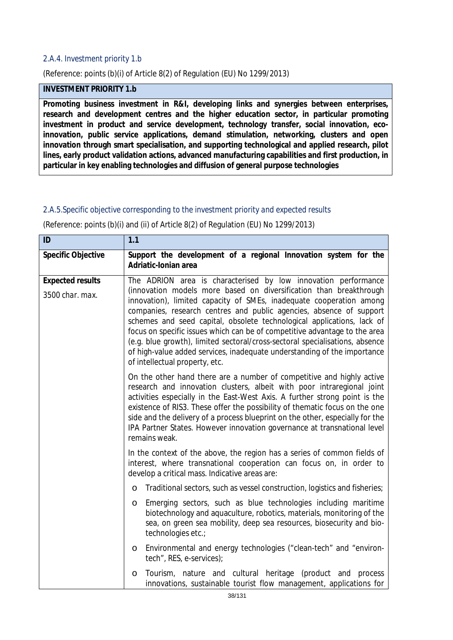### *2.A.4. Investment priority 1.b*

(Reference: points (b)(i) of Article 8(2) of Regulation (EU) No 1299/2013)

## **INVESTMENT PRIORITY 1.b**

**Promoting business investment in R&I, developing links and synergies between enterprises, research and development centres and the higher education sector, in particular promoting investment in product and service development, technology transfer, social innovation, ecoinnovation, public service applications, demand stimulation, networking, clusters and open innovation through smart specialisation, and supporting technological and applied research, pilot lines, early product validation actions, advanced manufacturing capabilities and first production, in particular in key enabling technologies and diffusion of general purpose technologies**

#### *2.A.5.Specific objective corresponding to the investment priority and expected results*

(Reference: points (b)(i) and (ii) of Article 8(2) of Regulation (EU) No 1299/2013)

| ID                                         | 1.1                                                                                                                                                                                                                                                                                                                                                                                                                                                                                                                                                                                                                                      |  |  |  |  |  |
|--------------------------------------------|------------------------------------------------------------------------------------------------------------------------------------------------------------------------------------------------------------------------------------------------------------------------------------------------------------------------------------------------------------------------------------------------------------------------------------------------------------------------------------------------------------------------------------------------------------------------------------------------------------------------------------------|--|--|--|--|--|
| <b>Specific Objective</b>                  | Support the development of a regional Innovation system for the<br>Adriatic-Ionian area                                                                                                                                                                                                                                                                                                                                                                                                                                                                                                                                                  |  |  |  |  |  |
| <b>Expected results</b><br>3500 char. max. | The ADRION area is characterised by low innovation performance<br>(innovation models more based on diversification than breakthrough<br>innovation), limited capacity of SMEs, inadequate cooperation among<br>companies, research centres and public agencies, absence of support<br>schemes and seed capital, obsolete technological applications, lack of<br>focus on specific issues which can be of competitive advantage to the area<br>(e.g. blue growth), limited sectoral/cross-sectoral specialisations, absence<br>of high-value added services, inadequate understanding of the importance<br>of intellectual property, etc. |  |  |  |  |  |
|                                            | On the other hand there are a number of competitive and highly active<br>research and innovation clusters, albeit with poor intraregional joint<br>activities especially in the East-West Axis. A further strong point is the<br>existence of RIS3. These offer the possibility of thematic focus on the one<br>side and the delivery of a process blueprint on the other, especially for the<br>IPA Partner States. However innovation governance at transnational level<br>remains weak.                                                                                                                                               |  |  |  |  |  |
|                                            | In the context of the above, the region has a series of common fields of<br>interest, where transnational cooperation can focus on, in order to<br>develop a critical mass. Indicative areas are:                                                                                                                                                                                                                                                                                                                                                                                                                                        |  |  |  |  |  |
|                                            | Traditional sectors, such as vessel construction, logistics and fisheries;<br>O                                                                                                                                                                                                                                                                                                                                                                                                                                                                                                                                                          |  |  |  |  |  |
|                                            | Emerging sectors, such as blue technologies including maritime<br>O<br>biotechnology and aquaculture, robotics, materials, monitoring of the<br>sea, on green sea mobility, deep sea resources, biosecurity and bio-<br>technologies etc.;                                                                                                                                                                                                                                                                                                                                                                                               |  |  |  |  |  |
|                                            | Environmental and energy technologies ("clean-tech" and "environ-<br>O<br>tech", RES, e-services);                                                                                                                                                                                                                                                                                                                                                                                                                                                                                                                                       |  |  |  |  |  |
|                                            | Tourism, nature and cultural heritage (product and process<br>O<br>innovations, sustainable tourist flow management, applications for                                                                                                                                                                                                                                                                                                                                                                                                                                                                                                    |  |  |  |  |  |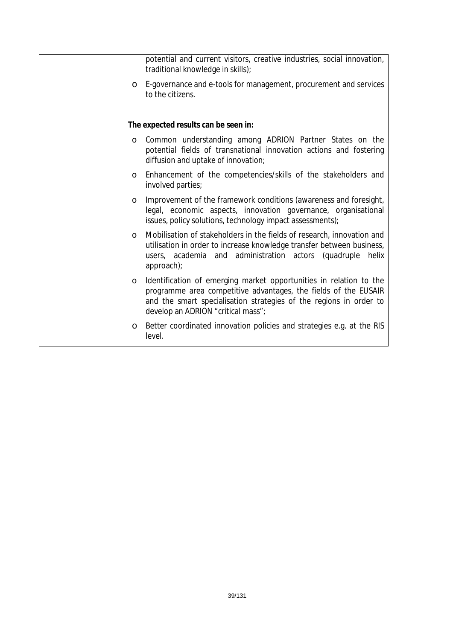|         | potential and current visitors, creative industries, social innovation,<br>traditional knowledge in skills);                                                                                                                                      |
|---------|---------------------------------------------------------------------------------------------------------------------------------------------------------------------------------------------------------------------------------------------------|
| $\circ$ | E-governance and e-tools for management, procurement and services<br>to the citizens.                                                                                                                                                             |
|         | The expected results can be seen in:                                                                                                                                                                                                              |
| $\circ$ | Common understanding among ADRION Partner States on the<br>potential fields of transnational innovation actions and fostering<br>diffusion and uptake of innovation;                                                                              |
| $\circ$ | Enhancement of the competencies/skills of the stakeholders and<br>involved parties;                                                                                                                                                               |
| $\circ$ | Improvement of the framework conditions (awareness and foresight,<br>legal, economic aspects, innovation governance, organisational<br>issues, policy solutions, technology impact assessments);                                                  |
| $\circ$ | Mobilisation of stakeholders in the fields of research, innovation and<br>utilisation in order to increase knowledge transfer between business,<br>administration actors (quadruple<br>helix<br>users, academia and<br>approach);                 |
| $\circ$ | Identification of emerging market opportunities in relation to the<br>programme area competitive advantages, the fields of the EUSAIR<br>and the smart specialisation strategies of the regions in order to<br>develop an ADRION "critical mass"; |
| $\circ$ | Better coordinated innovation policies and strategies e.g. at the RIS<br>level.                                                                                                                                                                   |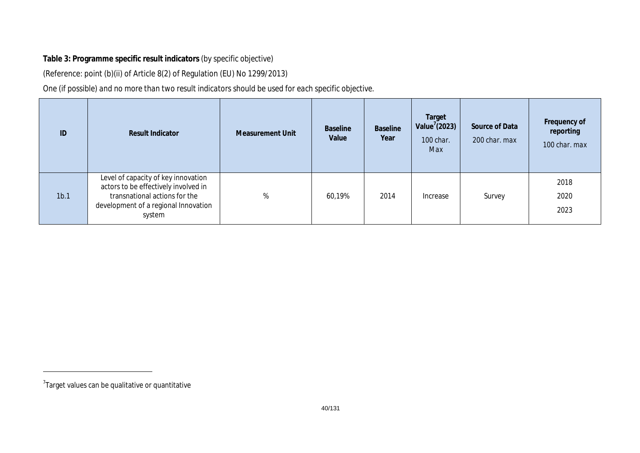## **Table 3: Programme specific result indicators** *(by specific objective)*

(Reference: point (b)(ii) of Article 8(2) of Regulation (EU) No 1299/2013)

*One (if possible) and no more than two result indicators should be used for each specific objective.*

| ID               | <b>Result Indicator</b>                                                                                                                                        | <b>Measurement Unit</b> | <b>Baseline</b><br>Value | <b>Baseline</b><br>Year | Target<br>Value $'(2023)$<br>100 char.<br>Max | Source of Data<br>200 char. max | Frequency of<br>reporting<br>100 char. max |
|------------------|----------------------------------------------------------------------------------------------------------------------------------------------------------------|-------------------------|--------------------------|-------------------------|-----------------------------------------------|---------------------------------|--------------------------------------------|
| 1 <sub>b.1</sub> | Level of capacity of key innovation<br>actors to be effectively involved in<br>transnational actions for the<br>development of a regional Innovation<br>system | %                       | 60,19%                   | 2014                    | Increase                                      | Survey                          | 2018<br>2020<br>2023                       |

 ${\rm ^7}$ Target values can be qualitative or quantitative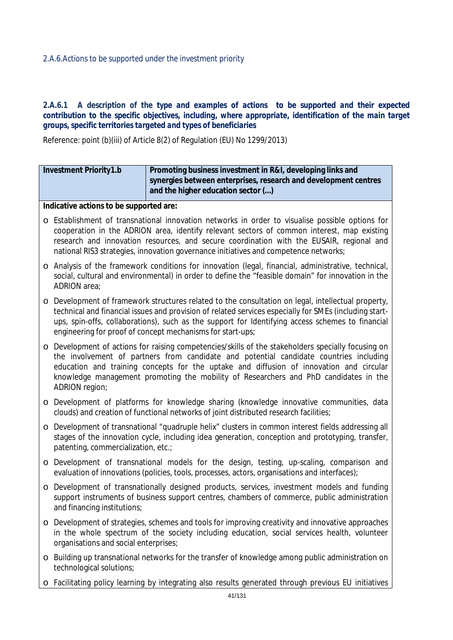### *2.A.6.Actions to be supported under the investment priority*

### 2.A.6.1 A description of the type and examples of actions to be supported and their expected *contribution to the specific objectives, including, where appropriate, identification of the main target groups, specific territories targeted and types of beneficiaries*

Reference: point (b)(iii) of Article 8(2) of Regulation (EU) No 1299/2013)

| Promoting business investment in R&I, developing links and<br><b>Investment Priority1.b</b><br>synergies between enterprises, research and development centres<br>and the higher education sector () |                                                                                                                                                                                                                                                                                                                                                                                   |  |  |  |  |  |  |
|------------------------------------------------------------------------------------------------------------------------------------------------------------------------------------------------------|-----------------------------------------------------------------------------------------------------------------------------------------------------------------------------------------------------------------------------------------------------------------------------------------------------------------------------------------------------------------------------------|--|--|--|--|--|--|
|                                                                                                                                                                                                      | Indicative actions to be supported are:                                                                                                                                                                                                                                                                                                                                           |  |  |  |  |  |  |
|                                                                                                                                                                                                      | o Establishment of transnational innovation networks in order to visualise possible options for<br>cooperation in the ADRION area, identify relevant sectors of common interest, map existing<br>research and innovation resources, and secure coordination with the EUSAIR, regional and<br>national RIS3 strategies, innovation governance initiatives and competence networks; |  |  |  |  |  |  |
| ADRION area;                                                                                                                                                                                         | o Analysis of the framework conditions for innovation (legal, financial, administrative, technical,<br>social, cultural and environmental) in order to define the "feasible domain" for innovation in the                                                                                                                                                                         |  |  |  |  |  |  |
| $\circ$                                                                                                                                                                                              | Development of framework structures related to the consultation on legal, intellectual property,<br>technical and financial issues and provision of related services especially for SMEs (including start-<br>ups, spin-offs, collaborations), such as the support for Identifying access schemes to financial<br>engineering for proof of concept mechanisms for start-ups;      |  |  |  |  |  |  |
| $\circ$<br>ADRION region;                                                                                                                                                                            | Development of actions for raising competencies/skills of the stakeholders specially focusing on<br>the involvement of partners from candidate and potential candidate countries including<br>education and training concepts for the uptake and diffusion of innovation and circular<br>knowledge management promoting the mobility of Researchers and PhD candidates in the     |  |  |  |  |  |  |
|                                                                                                                                                                                                      | o Development of platforms for knowledge sharing (knowledge innovative communities, data<br>clouds) and creation of functional networks of joint distributed research facilities;                                                                                                                                                                                                 |  |  |  |  |  |  |
|                                                                                                                                                                                                      | o Development of transnational "quadruple helix" clusters in common interest fields addressing all<br>stages of the innovation cycle, including idea generation, conception and prototyping, transfer,<br>patenting, commercialization, etc.;                                                                                                                                     |  |  |  |  |  |  |
|                                                                                                                                                                                                      | o Development of transnational models for the design, testing, up-scaling, comparison and<br>evaluation of innovations (policies, tools, processes, actors, organisations and interfaces);                                                                                                                                                                                        |  |  |  |  |  |  |
| $\circ$<br>and financing institutions;                                                                                                                                                               | Development of transnationally designed products, services, investment models and funding<br>support instruments of business support centres, chambers of commerce, public administration                                                                                                                                                                                         |  |  |  |  |  |  |
| O<br>organisations and social enterprises;                                                                                                                                                           | Development of strategies, schemes and tools for improving creativity and innovative approaches<br>in the whole spectrum of the society including education, social services health, volunteer                                                                                                                                                                                    |  |  |  |  |  |  |
| O<br>technological solutions;                                                                                                                                                                        | Building up transnational networks for the transfer of knowledge among public administration on                                                                                                                                                                                                                                                                                   |  |  |  |  |  |  |
| $\circ$                                                                                                                                                                                              | Facilitating policy learning by integrating also results generated through previous EU initiatives                                                                                                                                                                                                                                                                                |  |  |  |  |  |  |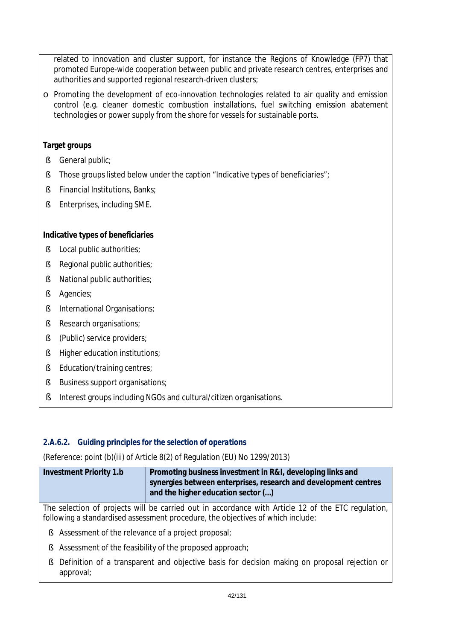related to innovation and cluster support, for instance the Regions of Knowledge (FP7) that promoted Europe-wide cooperation between public and private research centres, enterprises and authorities and supported regional research-driven clusters;

o Promoting the development of eco-innovation technologies related to air quality and emission control (e.g. cleaner domestic combustion installations, fuel switching emission abatement technologies or power supply from the shore for vessels for sustainable ports.

## **Target groups**

- § General public;
- § Those groups listed below under the caption "Indicative types of beneficiaries";
- § Financial Institutions, Banks;
- § Enterprises, including SME.

## **Indicative types of beneficiaries**

- § Local public authorities;
- § Regional public authorities;
- § National public authorities;
- § Agencies;
- § International Organisations;
- § Research organisations;
- § (Public) service providers;
- § Higher education institutions;
- § Education/training centres;
- § Business support organisations;
- § Interest groups including NGOs and cultural/citizen organisations.

## *2.A.6.2. Guiding principles for the selection of operations*

(Reference: point (b)(iii) of Article 8(2) of Regulation (EU) No 1299/2013)

| Investment Priority 1.b | Promoting business investment in R&I, developing links and                                            |
|-------------------------|-------------------------------------------------------------------------------------------------------|
|                         | synergies between enterprises, research and development centres<br>and the higher education sector () |

The selection of projects will be carried out in accordance with Article 12 of the ETC regulation, following a standardised assessment procedure, the objectives of which include:

- § Assessment of the relevance of a project proposal;
- § Assessment of the feasibility of the proposed approach;
- § Definition of a transparent and objective basis for decision making on proposal rejection or approval;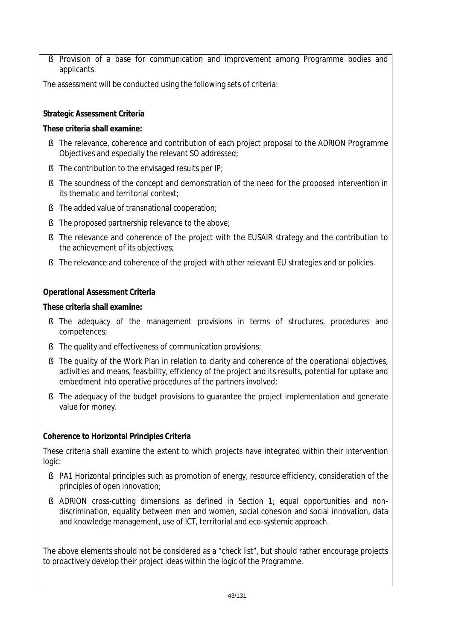§ Provision of a base for communication and improvement among Programme bodies and applicants.

The assessment will be conducted using the following sets of criteria:

## **Strategic Assessment Criteria**

## **These criteria shall examine:**

- § The relevance, coherence and contribution of each project proposal to the ADRION Programme Objectives and especially the relevant SO addressed;
- § The contribution to the envisaged results per IP;
- § The soundness of the concept and demonstration of the need for the proposed intervention in its thematic and territorial context;
- § The added value of transnational cooperation;
- § The proposed partnership relevance to the above;
- § The relevance and coherence of the project with the EUSAIR strategy and the contribution to the achievement of its objectives;
- § The relevance and coherence of the project with other relevant EU strategies and or policies.

## **Operational Assessment Criteria**

## **These criteria shall examine:**

- § The adequacy of the management provisions in terms of structures, procedures and competences;
- § The quality and effectiveness of communication provisions;
- § The quality of the Work Plan in relation to clarity and coherence of the operational objectives, activities and means, feasibility, efficiency of the project and its results, potential for uptake and embedment into operative procedures of the partners involved;
- § The adequacy of the budget provisions to guarantee the project implementation and generate value for money.

## **Coherence to Horizontal Principles Criteria**

These criteria shall examine the extent to which projects have integrated within their intervention logic:

- § PA1 Horizontal principles such as promotion of energy, resource efficiency, consideration of the principles of open innovation;
- § ADRION cross-cutting dimensions as defined in Section 1; equal opportunities and nondiscrimination, equality between men and women, social cohesion and social innovation, data and knowledge management, use of ICT, territorial and eco-systemic approach.

The above elements should not be considered as a "check list", but should rather encourage projects to proactively develop their project ideas within the logic of the Programme.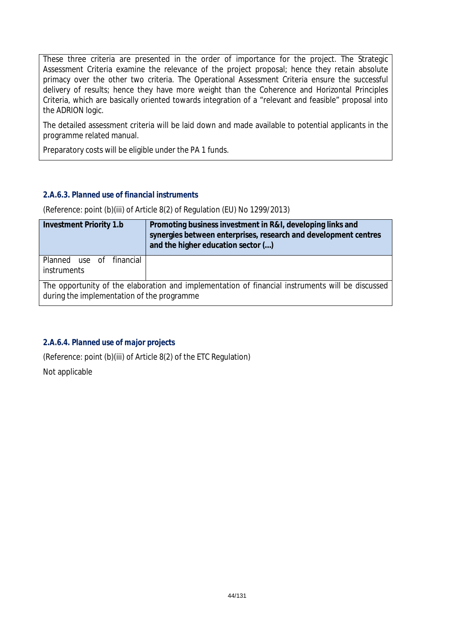These three criteria are presented in the order of importance for the project. The Strategic Assessment Criteria examine the relevance of the project proposal; hence they retain absolute primacy over the other two criteria. The Operational Assessment Criteria ensure the successful delivery of results; hence they have more weight than the Coherence and Horizontal Principles Criteria, which are basically oriented towards integration of a "relevant and feasible" proposal into the ADRION logic.

The detailed assessment criteria will be laid down and made available to potential applicants in the programme related manual.

Preparatory costs will be eligible under the PA 1 funds.

## *2.A.6.3. Planned use of financial instruments*

(Reference: point (b)(iii) of Article 8(2) of Regulation (EU) No 1299/2013)

| <b>Investment Priority 1.b</b>             | Promoting business investment in R&I, developing links and<br>synergies between enterprises, research and development centres<br>and the higher education sector () |
|--------------------------------------------|---------------------------------------------------------------------------------------------------------------------------------------------------------------------|
| Planned use of financial<br>instruments    |                                                                                                                                                                     |
| during the implementation of the programme | The opportunity of the elaboration and implementation of financial instruments will be discussed                                                                    |

## *2.A.6.4. Planned use of major projects*

(Reference: point (b)(iii) of Article 8(2) of the ETC Regulation) Not applicable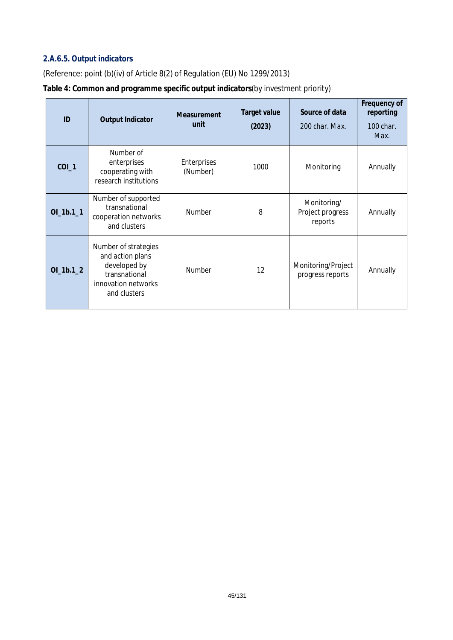## *2.A.6.5. Output indicators*

(Reference: point (b)(iv) of Article 8(2) of Regulation (EU) No 1299/2013)

## **Table 4: Common and programme specific output indicators***(by investment priority)*

| ID          | <b>Output Indicator</b>                                                                                          | Measurement<br>unit     | <b>Target value</b><br>(2023) | Source of data<br>200 char, Max.           | Frequency of<br>reporting<br>100 char.<br>Max. |
|-------------|------------------------------------------------------------------------------------------------------------------|-------------------------|-------------------------------|--------------------------------------------|------------------------------------------------|
| $COI_1$     | Number of<br>enterprises<br>cooperating with<br>research institutions                                            | Enterprises<br>(Number) | 1000                          |                                            | Annually                                       |
| $OI_1b.1_1$ | Number of supported<br>transnational<br>cooperation networks<br>and clusters                                     | 8<br>Number             |                               | Monitoring/<br>Project progress<br>reports | Annually                                       |
| $OI_1b.1_2$ | Number of strategies<br>and action plans<br>developed by<br>transnational<br>innovation networks<br>and clusters | Number                  | 12                            | Monitoring/Project<br>progress reports     | Annually                                       |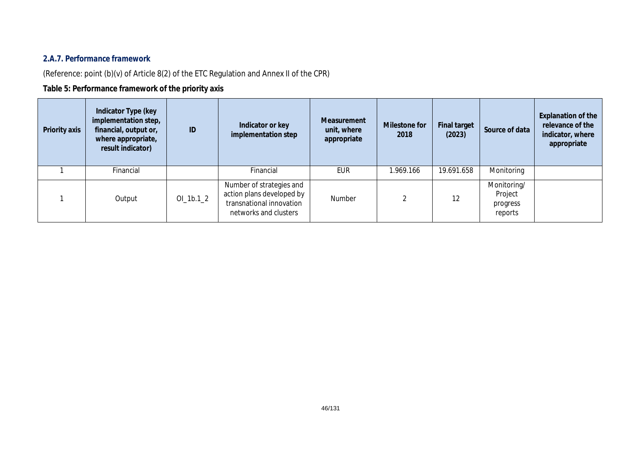## *2.A.7. Performance framework*

(Reference: point (b)(v) of Article 8(2) of the ETC Regulation and Annex II of the CPR)

## **Table 5: Performance framework of the priority axis**

| Priority axis | Indicator Type (key<br>implementation step,<br>financial, output or,<br>where appropriate,<br>result indicator) | ID          | Indicator or key<br>implementation step                                                                    | Measurement<br>unit, where<br>appropriate | Milestone for<br>2018 | <b>Final target</b><br>(2023) | Source of data                                | <b>Explanation of the</b><br>relevance of the<br>indicator, where<br>appropriate |
|---------------|-----------------------------------------------------------------------------------------------------------------|-------------|------------------------------------------------------------------------------------------------------------|-------------------------------------------|-----------------------|-------------------------------|-----------------------------------------------|----------------------------------------------------------------------------------|
|               | Financial                                                                                                       |             | Financial                                                                                                  | EUR                                       | 1.969.166             | 19.691.658                    | Monitoring                                    |                                                                                  |
|               | Output                                                                                                          | $OI_1b.1_2$ | Number of strategies and<br>action plans developed by<br>transnational innovation<br>networks and clusters | Number                                    |                       | 12                            | Monitoring/<br>Project<br>progress<br>reports |                                                                                  |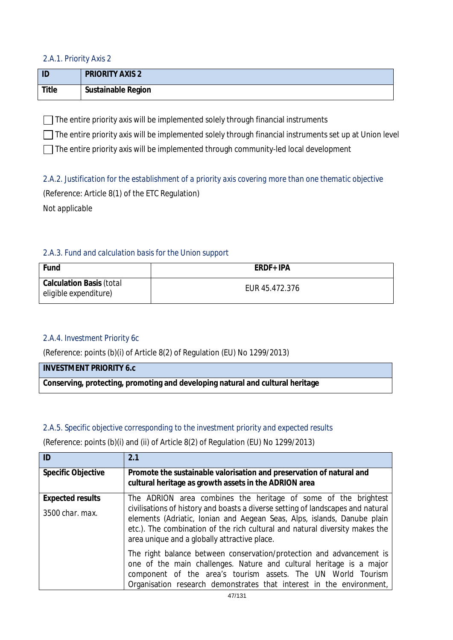### *2.A.1. Priority Axis 2*

| ID    | <b>PRIORITY AXIS 2</b> |
|-------|------------------------|
| Title | Sustainable Region     |

 $\Box$  The entire priority axis will be implemented solely through financial instruments

 $\Box$  The entire priority axis will be implemented solely through financial instruments set up at Union level

 $\Box$  The entire priority axis will be implemented through community-led local development

*2.A.2. Justification for the establishment of a priority axis covering more than one thematic objective* (Reference: Article 8(1) of the ETC Regulation) *Not applicable*

## *2.A.3. Fund and calculation basis for the Union support*

| Fund                                                     | ERDF+ IPA      |
|----------------------------------------------------------|----------------|
| <b>Calculation Basis (total</b><br>eligible expenditure) | EUR 45.472.376 |

## *2.A.4. Investment Priority 6c*

(Reference: points (b)(i) of Article 8(2) of Regulation (EU) No 1299/2013)

| <b>INVESTMENT PRIORITY 6.c</b>                                                 |
|--------------------------------------------------------------------------------|
| Conserving, protecting, promoting and developing natural and cultural heritage |

## *2.A.5. Specific objective corresponding to the investment priority and expected results*

(Reference: points (b)(i) and (ii) of Article 8(2) of Regulation (EU) No 1299/2013)

| ID                        | 2.1                                                                                                                                                                                                                                                                                       |
|---------------------------|-------------------------------------------------------------------------------------------------------------------------------------------------------------------------------------------------------------------------------------------------------------------------------------------|
| <b>Specific Objective</b> | Promote the sustainable valorisation and preservation of natural and<br>cultural heritage as growth assets in the ADRION area                                                                                                                                                             |
| <b>Expected results</b>   | The ADRION area combines the heritage of some of the brightest                                                                                                                                                                                                                            |
| 3500 char. max.           | civilisations of history and boasts a diverse setting of landscapes and natural<br>elements (Adriatic, Ionian and Aegean Seas, Alps, islands, Danube plain<br>etc.). The combination of the rich cultural and natural diversity makes the<br>area unique and a globally attractive place. |
|                           | The right balance between conservation/protection and advancement is<br>one of the main challenges. Nature and cultural heritage is a major<br>component of the area's tourism assets. The UN World Tourism<br>Organisation research demonstrates that interest in the environment,       |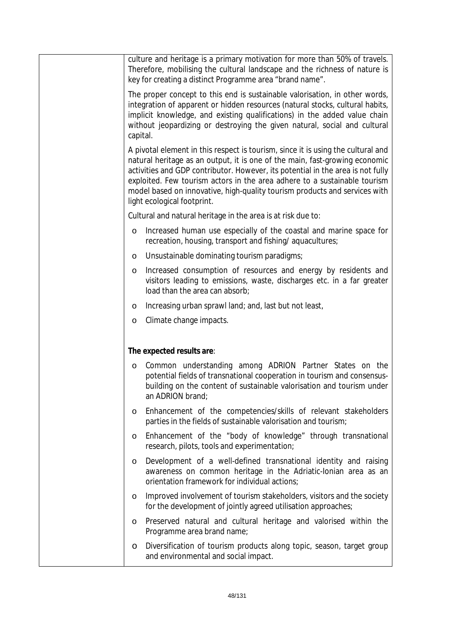|          | culture and heritage is a primary motivation for more than 50% of travels.<br>Therefore, mobilising the cultural landscape and the richness of nature is<br>key for creating a distinct Programme area "brand name".                                                                                                                                                                                                                         |
|----------|----------------------------------------------------------------------------------------------------------------------------------------------------------------------------------------------------------------------------------------------------------------------------------------------------------------------------------------------------------------------------------------------------------------------------------------------|
| capital. | The proper concept to this end is sustainable valorisation, in other words,<br>integration of apparent or hidden resources (natural stocks, cultural habits,<br>implicit knowledge, and existing qualifications) in the added value chain<br>without jeopardizing or destroying the given natural, social and cultural                                                                                                                       |
|          | A pivotal element in this respect is tourism, since it is using the cultural and<br>natural heritage as an output, it is one of the main, fast-growing economic<br>activities and GDP contributor. However, its potential in the area is not fully<br>exploited. Few tourism actors in the area adhere to a sustainable tourism<br>model based on innovative, high-quality tourism products and services with<br>light ecological footprint. |
|          | Cultural and natural heritage in the area is at risk due to:                                                                                                                                                                                                                                                                                                                                                                                 |
| O        | Increased human use especially of the coastal and marine space for<br>recreation, housing, transport and fishing/aquacultures;                                                                                                                                                                                                                                                                                                               |
| O        | Unsustainable dominating tourism paradigms;                                                                                                                                                                                                                                                                                                                                                                                                  |
| $\circ$  | Increased consumption of resources and energy by residents and<br>visitors leading to emissions, waste, discharges etc. in a far greater<br>load than the area can absorb;                                                                                                                                                                                                                                                                   |
| O        | Increasing urban sprawl land; and, last but not least,                                                                                                                                                                                                                                                                                                                                                                                       |
| O        | Climate change impacts.                                                                                                                                                                                                                                                                                                                                                                                                                      |
|          |                                                                                                                                                                                                                                                                                                                                                                                                                                              |
|          | The expected results are:                                                                                                                                                                                                                                                                                                                                                                                                                    |
| O        | Common understanding among ADRION Partner States on the<br>potential fields of transnational cooperation in tourism and consensus-<br>building on the content of sustainable valorisation and tourism under<br>an ADRION brand;                                                                                                                                                                                                              |
| O        | Enhancement of the competencies/skills of relevant stakeholders<br>parties in the fields of sustainable valorisation and tourism;                                                                                                                                                                                                                                                                                                            |
| O        | Enhancement of the "body of knowledge" through transnational<br>research, pilots, tools and experimentation;                                                                                                                                                                                                                                                                                                                                 |
| O        | Development of a well-defined transnational identity and raising<br>awareness on common heritage in the Adriatic-Ionian area as an<br>orientation framework for individual actions;                                                                                                                                                                                                                                                          |
| O        | Improved involvement of tourism stakeholders, visitors and the society<br>for the development of jointly agreed utilisation approaches;                                                                                                                                                                                                                                                                                                      |
| O        | Preserved natural and cultural heritage and valorised within the<br>Programme area brand name;                                                                                                                                                                                                                                                                                                                                               |
| O        | Diversification of tourism products along topic, season, target group<br>and environmental and social impact.                                                                                                                                                                                                                                                                                                                                |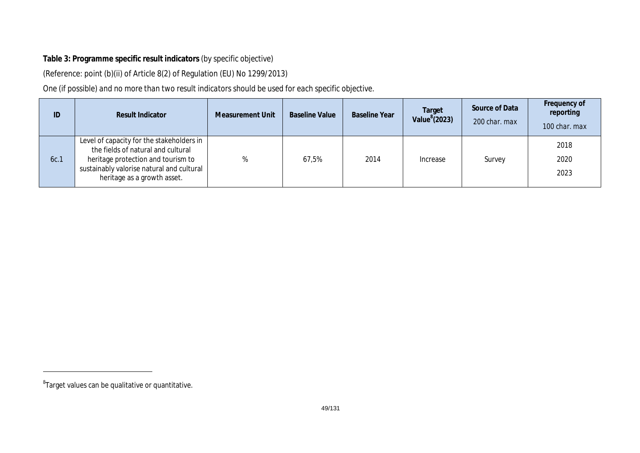## **Table 3: Programme specific result indicators** *(by specific objective)*

(Reference: point (b)(ii) of Article 8(2) of Regulation (EU) No 1299/2013)

*One (if possible) and no more than two result indicators should be used for each specific objective.*

| ID   | <b>Result Indicator</b>                                                                                                                                                                           | Measurement Unit | <b>Baseline Value</b> | <b>Baseline Year</b> | Target<br>Value $8$ (2023) | Source of Data<br>200 char. max | Frequency of<br>reporting<br>100 char. max |
|------|---------------------------------------------------------------------------------------------------------------------------------------------------------------------------------------------------|------------------|-----------------------|----------------------|----------------------------|---------------------------------|--------------------------------------------|
| 6c.1 | Level of capacity for the stakeholders in<br>the fields of natural and cultural<br>heritage protection and tourism to<br>sustainably valorise natural and cultural<br>heritage as a growth asset. | %                | 67,5%                 | 2014                 | Increase                   | Survey                          | 2018<br>2020<br>2023                       |

 ${}^{8}$ Target values can be qualitative or quantitative.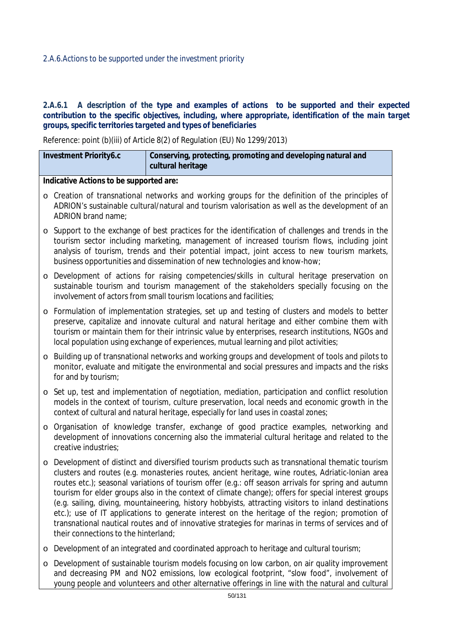### *2.A.6.Actions to be supported under the investment priority*

### 2.A.6.1 A description of the type and examples of actions to be supported and their expected *contribution to the specific objectives, including, where appropriate, identification of the main target groups, specific territories targeted and types of beneficiaries*

Reference: point (b)(iii) of Article 8(2) of Regulation (EU) No 1299/2013)

|         | <b>Investment Priority6.c</b>                                                                                                                                                                                             | Conserving, protecting, promoting and developing natural and<br>cultural heritage                                                                                                                                                                                                                                                                                                                                                                                                                                                                                                                                                                                                                                                  |  |  |  |  |  |
|---------|---------------------------------------------------------------------------------------------------------------------------------------------------------------------------------------------------------------------------|------------------------------------------------------------------------------------------------------------------------------------------------------------------------------------------------------------------------------------------------------------------------------------------------------------------------------------------------------------------------------------------------------------------------------------------------------------------------------------------------------------------------------------------------------------------------------------------------------------------------------------------------------------------------------------------------------------------------------------|--|--|--|--|--|
|         |                                                                                                                                                                                                                           |                                                                                                                                                                                                                                                                                                                                                                                                                                                                                                                                                                                                                                                                                                                                    |  |  |  |  |  |
|         | Indicative Actions to be supported are:                                                                                                                                                                                   |                                                                                                                                                                                                                                                                                                                                                                                                                                                                                                                                                                                                                                                                                                                                    |  |  |  |  |  |
| $\circ$ | Creation of transnational networks and working groups for the definition of the principles of<br>ADRION's sustainable cultural/natural and tourism valorisation as well as the development of an<br>ADRION brand name;    |                                                                                                                                                                                                                                                                                                                                                                                                                                                                                                                                                                                                                                                                                                                                    |  |  |  |  |  |
| $\circ$ |                                                                                                                                                                                                                           | Support to the exchange of best practices for the identification of challenges and trends in the<br>tourism sector including marketing, management of increased tourism flows, including joint<br>analysis of tourism, trends and their potential impact, joint access to new tourism markets,<br>business opportunities and dissemination of new technologies and know-how;                                                                                                                                                                                                                                                                                                                                                       |  |  |  |  |  |
| $\circ$ |                                                                                                                                                                                                                           | Development of actions for raising competencies/skills in cultural heritage preservation on<br>sustainable tourism and tourism management of the stakeholders specially focusing on the<br>involvement of actors from small tourism locations and facilities;                                                                                                                                                                                                                                                                                                                                                                                                                                                                      |  |  |  |  |  |
| $\circ$ |                                                                                                                                                                                                                           | Formulation of implementation strategies, set up and testing of clusters and models to better<br>preserve, capitalize and innovate cultural and natural heritage and either combine them with<br>tourism or maintain them for their intrinsic value by enterprises, research institutions, NGOs and<br>local population using exchange of experiences, mutual learning and pilot activities;                                                                                                                                                                                                                                                                                                                                       |  |  |  |  |  |
| $\circ$ | Building up of transnational networks and working groups and development of tools and pilots to<br>monitor, evaluate and mitigate the environmental and social pressures and impacts and the risks<br>for and by tourism; |                                                                                                                                                                                                                                                                                                                                                                                                                                                                                                                                                                                                                                                                                                                                    |  |  |  |  |  |
| $\circ$ |                                                                                                                                                                                                                           | Set up, test and implementation of negotiation, mediation, participation and conflict resolution<br>models in the context of tourism, culture preservation, local needs and economic growth in the<br>context of cultural and natural heritage, especially for land uses in coastal zones;                                                                                                                                                                                                                                                                                                                                                                                                                                         |  |  |  |  |  |
| $\circ$ | creative industries;                                                                                                                                                                                                      | Organisation of knowledge transfer, exchange of good practice examples, networking and<br>development of innovations concerning also the immaterial cultural heritage and related to the                                                                                                                                                                                                                                                                                                                                                                                                                                                                                                                                           |  |  |  |  |  |
| $\circ$ | their connections to the hinterland;                                                                                                                                                                                      | Development of distinct and diversified tourism products such as transnational thematic tourism<br>clusters and routes (e.g. monasteries routes, ancient heritage, wine routes, Adriatic-Ionian area<br>routes etc.); seasonal variations of tourism offer (e.g.: off season arrivals for spring and autumn<br>tourism for elder groups also in the context of climate change); offers for special interest groups<br>(e.g. sailing, diving, mountaineering, history hobbyists, attracting visitors to inland destinations<br>etc.); use of IT applications to generate interest on the heritage of the region; promotion of<br>transnational nautical routes and of innovative strategies for marinas in terms of services and of |  |  |  |  |  |
| $\circ$ |                                                                                                                                                                                                                           | Development of an integrated and coordinated approach to heritage and cultural tourism;                                                                                                                                                                                                                                                                                                                                                                                                                                                                                                                                                                                                                                            |  |  |  |  |  |
|         |                                                                                                                                                                                                                           | Dovelopment of sustainable tourism models focusing on low carbon, on air quality improvement                                                                                                                                                                                                                                                                                                                                                                                                                                                                                                                                                                                                                                       |  |  |  |  |  |

o Development of sustainable tourism models focusing on low carbon, on air quality improvement and decreasing PM and NO2 emissions, low ecological footprint, "slow food", involvement of young people and volunteers and other alternative offerings in line with the natural and cultural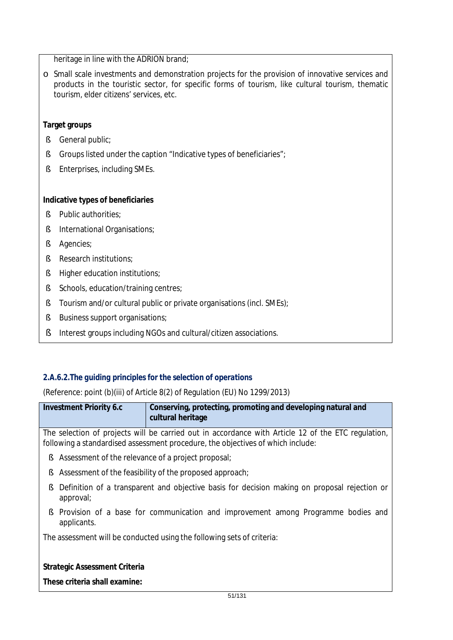heritage in line with the ADRION brand;

o Small scale investments and demonstration projects for the provision of innovative services and products in the touristic sector, for specific forms of tourism, like cultural tourism, thematic tourism, elder citizens' services, etc.

### **Target groups**

- § General public;
- § Groups listed under the caption "Indicative types of beneficiaries";
- § Enterprises, including SMEs.

### **Indicative types of beneficiaries**

- § Public authorities;
- § International Organisations;
- § Agencies;
- § Research institutions;
- § Higher education institutions;
- § Schools, education/training centres;
- § Tourism and/or cultural public or private organisations (incl. SMEs);
- § Business support organisations;
- § Interest groups including NGOs and cultural/citizen associations.

## *2.A.6.2.The guiding principles for the selection of operations*

(Reference: point (b)(iii) of Article 8(2) of Regulation (EU) No 1299/2013)

| <b>Investment Priority 6.c</b> | Conserving, protecting, promoting and developing natural and |
|--------------------------------|--------------------------------------------------------------|
|                                | cultural heritage                                            |

The selection of projects will be carried out in accordance with Article 12 of the ETC regulation, following a standardised assessment procedure, the objectives of which include:

- § Assessment of the relevance of a project proposal;
- § Assessment of the feasibility of the proposed approach;
- § Definition of a transparent and objective basis for decision making on proposal rejection or approval;
- § Provision of a base for communication and improvement among Programme bodies and applicants.

The assessment will be conducted using the following sets of criteria:

#### **Strategic Assessment Criteria**

**These criteria shall examine:**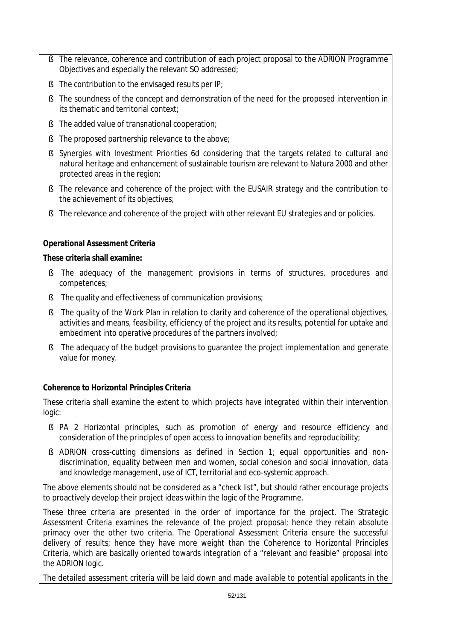- § The relevance, coherence and contribution of each project proposal to the ADRION Programme Objectives and especially the relevant SO addressed;
- § The contribution to the envisaged results per IP;
- § The soundness of the concept and demonstration of the need for the proposed intervention in its thematic and territorial context;
- § The added value of transnational cooperation;
- § The proposed partnership relevance to the above;
- § Synergies with Investment Priorities 6d considering that the targets related to cultural and natural heritage and enhancement of sustainable tourism are relevant to Natura 2000 and other protected areas in the region;
- § The relevance and coherence of the project with the EUSAIR strategy and the contribution to the achievement of its objectives;
- § The relevance and coherence of the project with other relevant EU strategies and or policies.

## **Operational Assessment Criteria**

### **These criteria shall examine:**

- § The adequacy of the management provisions in terms of structures, procedures and competences;
- § The quality and effectiveness of communication provisions;
- § The quality of the Work Plan in relation to clarity and coherence of the operational objectives, activities and means, feasibility, efficiency of the project and its results, potential for uptake and embedment into operative procedures of the partners involved;
- § The adequacy of the budget provisions to guarantee the project implementation and generate value for money.

## **Coherence to Horizontal Principles Criteria**

These criteria shall examine the extent to which projects have integrated within their intervention logic:

- § PA 2 Horizontal principles, such as promotion of energy and resource efficiency and consideration of the principles of open access to innovation benefits and reproducibility;
- § ADRION cross-cutting dimensions as defined in Section 1; equal opportunities and nondiscrimination, equality between men and women, social cohesion and social innovation, data and knowledge management, use of ICT, territorial and eco-systemic approach.

The above elements should not be considered as a "check list", but should rather encourage projects to proactively develop their project ideas within the logic of the Programme.

These three criteria are presented in the order of importance for the project. The Strategic Assessment Criteria examines the relevance of the project proposal; hence they retain absolute primacy over the other two criteria. The Operational Assessment Criteria ensure the successful delivery of results; hence they have more weight than the Coherence to Horizontal Principles Criteria, which are basically oriented towards integration of a "relevant and feasible" proposal into the ADRION logic.

The detailed assessment criteria will be laid down and made available to potential applicants in the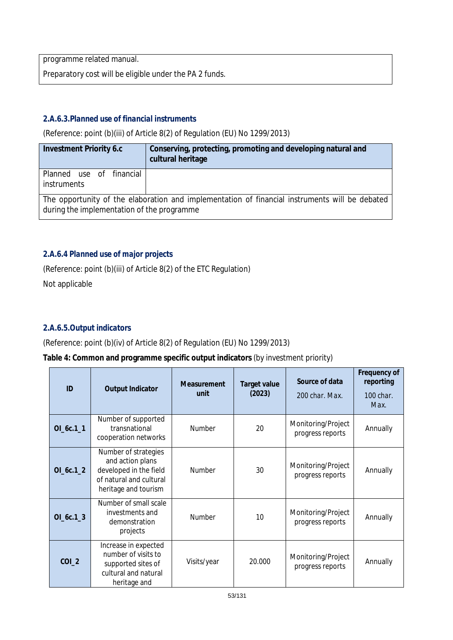programme related manual.

Preparatory cost will be eligible under the PA 2 funds.

## *2.A.6.3.Planned use of financial instruments*

(Reference: point (b)(iii) of Article 8(2) of Regulation (EU) No 1299/2013)

| <b>Investment Priority 6.c</b>                                                                                                               | Conserving, protecting, promoting and developing natural and<br>cultural heritage |  |  |  |  |
|----------------------------------------------------------------------------------------------------------------------------------------------|-----------------------------------------------------------------------------------|--|--|--|--|
| Planned use of financial<br>instruments                                                                                                      |                                                                                   |  |  |  |  |
| The opportunity of the elaboration and implementation of financial instruments will be debated<br>during the implementation of the programme |                                                                                   |  |  |  |  |

## *2.A.6.4 Planned use of major projects*

(Reference: point (b)(iii) of Article 8(2) of the ETC Regulation) Not applicable

## *2.A.6.5.Output indicators*

(Reference: point (b)(iv) of Article 8(2) of Regulation (EU) No 1299/2013)

## **Table 4: Common and programme specific output indicators** *(by investment priority)*

| ID         | <b>Output Indicator</b>                                                                                               | <b>Measurement</b><br>unit | Target value<br>(2023) | Source of data<br>200 char. Max.       | Frequency of<br>reporting<br>100 char.<br>Max. |
|------------|-----------------------------------------------------------------------------------------------------------------------|----------------------------|------------------------|----------------------------------------|------------------------------------------------|
| $OL6c.1_1$ | Number of supported<br>transnational<br>cooperation networks                                                          | <b>Number</b>              | 20                     | Monitoring/Project<br>progress reports | Annually                                       |
| OL6c.12    | Number of strategies<br>and action plans<br>developed in the field<br>of natural and cultural<br>heritage and tourism | <b>Number</b>              | 30                     | Monitoring/Project<br>progress reports | Annually                                       |
| $OL6c.1_3$ | Number of small scale<br>investments and<br>demonstration<br>projects                                                 | Number                     | 10                     | Monitoring/Project<br>progress reports | Annually                                       |
| $COI_2$    | Increase in expected<br>number of visits to<br>supported sites of<br>cultural and natural<br>heritage and             | Visits/year                | 20.000                 | Monitoring/Project<br>progress reports | Annually                                       |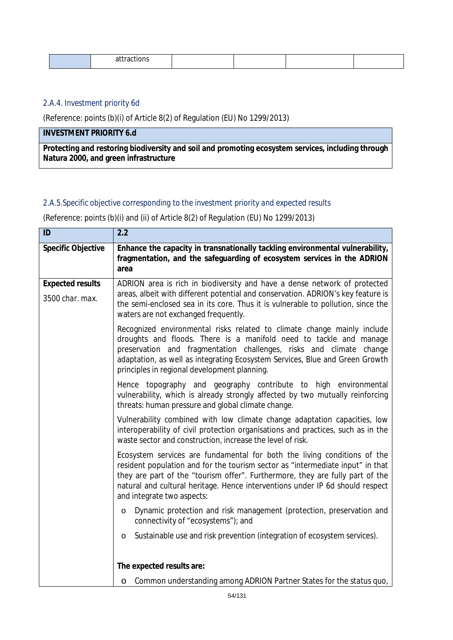| . |  |
|---|--|
|---|--|

### *2.A.4. Investment priority 6d*

(Reference: points (b)(i) of Article 8(2) of Regulation (EU) No 1299/2013)

## **INVESTMENT PRIORITY 6.d**

**Protecting and restoring biodiversity and soil and promoting ecosystem services, including through Natura 2000, and green infrastructure**

### *2.A.5.Specific objective corresponding to the investment priority and expected results*

(Reference: points (b)(i) and (ii) of Article 8(2) of Regulation (EU) No 1299/2013)

| ID                        | 2.2                                                                                                                                                                                                                                                                                                                                                        |
|---------------------------|------------------------------------------------------------------------------------------------------------------------------------------------------------------------------------------------------------------------------------------------------------------------------------------------------------------------------------------------------------|
| <b>Specific Objective</b> | Enhance the capacity in transnationally tackling environmental vulnerability,<br>fragmentation, and the safeguarding of ecosystem services in the ADRION<br>area                                                                                                                                                                                           |
| <b>Expected results</b>   | ADRION area is rich in biodiversity and have a dense network of protected                                                                                                                                                                                                                                                                                  |
| 3500 char. max.           | areas, albeit with different potential and conservation. ADRION's key feature is<br>the semi-enclosed sea in its core. Thus it is vulnerable to pollution, since the<br>waters are not exchanged frequently.                                                                                                                                               |
|                           | Recognized environmental risks related to climate change mainly include<br>droughts and floods. There is a manifold need to tackle and manage<br>preservation and fragmentation challenges, risks and climate<br>change<br>adaptation, as well as integrating Ecosystem Services, Blue and Green Growth<br>principles in regional development planning.    |
|                           | Hence topography and geography contribute to high environmental<br>vulnerability, which is already strongly affected by two mutually reinforcing<br>threats: human pressure and global climate change.                                                                                                                                                     |
|                           | Vulnerability combined with low climate change adaptation capacities, low<br>interoperability of civil protection organisations and practices, such as in the<br>waste sector and construction, increase the level of risk.                                                                                                                                |
|                           | Ecosystem services are fundamental for both the living conditions of the<br>resident population and for the tourism sector as "intermediate input" in that<br>they are part of the "tourism offer". Furthermore, they are fully part of the<br>natural and cultural heritage. Hence interventions under IP 6d should respect<br>and integrate two aspects: |
|                           | Dynamic protection and risk management (protection, preservation and<br>$\circ$<br>connectivity of "ecosystems"); and                                                                                                                                                                                                                                      |
|                           | Sustainable use and risk prevention (integration of ecosystem services).<br>O                                                                                                                                                                                                                                                                              |
|                           | The expected results are:                                                                                                                                                                                                                                                                                                                                  |
|                           | o Common understanding among ADRION Partner States for the status quo,                                                                                                                                                                                                                                                                                     |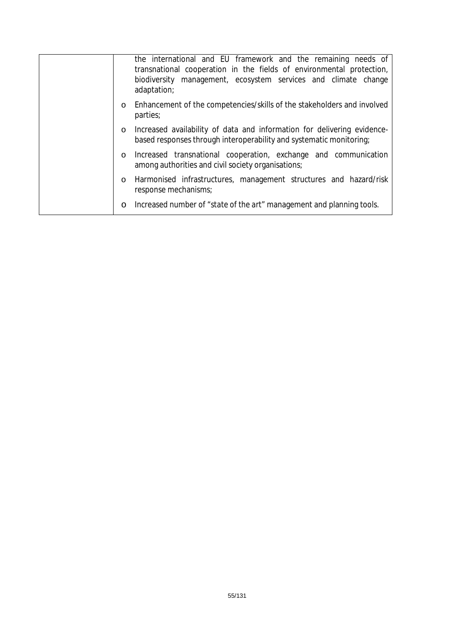|         | the international and EU framework and the remaining needs of<br>transnational cooperation in the fields of environmental protection,<br>biodiversity management, ecosystem services and climate change<br>adaptation; |
|---------|------------------------------------------------------------------------------------------------------------------------------------------------------------------------------------------------------------------------|
| $\circ$ | Enhancement of the competencies/skills of the stakeholders and involved<br>parties;                                                                                                                                    |
| $\circ$ | Increased availability of data and information for delivering evidence-<br>based responses through interoperability and systematic monitoring;                                                                         |
| $\circ$ | Increased transnational cooperation, exchange and communication<br>among authorities and civil society organisations;                                                                                                  |
| $\circ$ | Harmonised infrastructures, management structures and hazard/risk<br>response mechanisms;                                                                                                                              |
| $\circ$ | Increased number of "state of the art" management and planning tools.                                                                                                                                                  |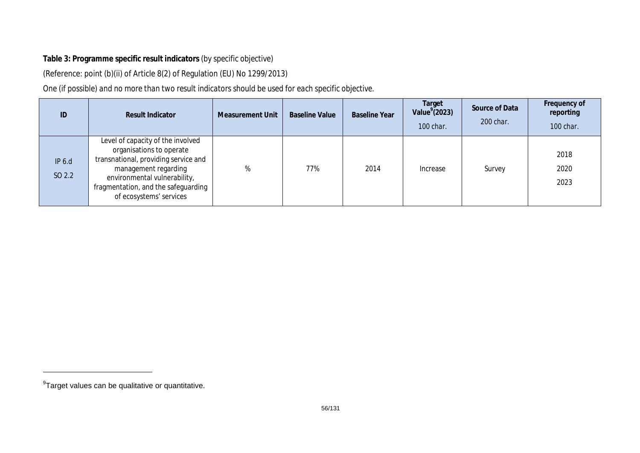## **Table 3: Programme specific result indicators** *(by specific objective)*

(Reference: point (b)(ii) of Article 8(2) of Regulation (EU) No 1299/2013)

*One (if possible) and no more than two result indicators should be used for each specific objective.* 

| ID               | <b>Result Indicator</b>                                                                                                                                                                                                         | <b>Measurement Unit</b> | <b>Baseline Value</b> | <b>Baseline Year</b> | Target<br>Value $(2023)$<br>100 char. | Source of Data<br>200 char. | Frequency of<br>reporting<br>100 char. |
|------------------|---------------------------------------------------------------------------------------------------------------------------------------------------------------------------------------------------------------------------------|-------------------------|-----------------------|----------------------|---------------------------------------|-----------------------------|----------------------------------------|
| IP 6.d<br>SO 2.2 | Level of capacity of the involved<br>organisations to operate<br>transnational, providing service and<br>management regarding<br>environmental vulnerability,<br>fragmentation, and the safeguarding<br>of ecosystems' services | %                       | 77%                   | 2014                 | Increase                              | Survey                      | 2018<br>2020<br>2023                   |

 $^9$ Target values can be qualitative or quantitative.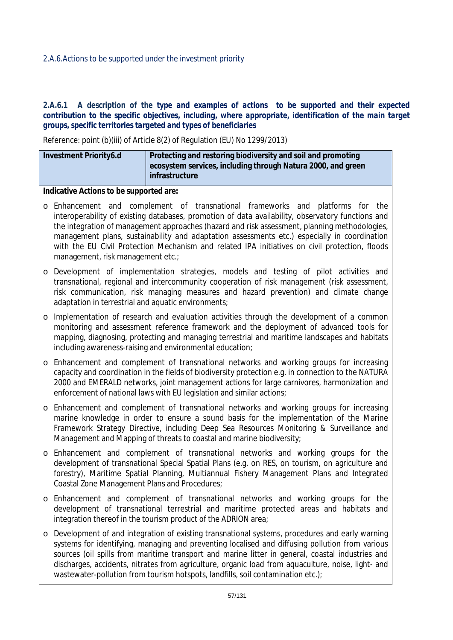### 2.A.6.1 A description of the type and examples of actions to be supported and their expected *contribution to the specific objectives, including, where appropriate, identification of the main target groups, specific territories targeted and types of beneficiaries*

Reference: point (b)(iii) of Article 8(2) of Regulation (EU) No 1299/2013)

| Investment Priority6.d | Protecting and restoring biodiversity and soil and promoting<br>ecosystem services, including through Natura 2000, and green<br>infrastructure |
|------------------------|------------------------------------------------------------------------------------------------------------------------------------------------|
|                        |                                                                                                                                                |

**Indicative Actions to be supported are:**

- o Enhancement and complement of transnational frameworks and platforms for the interoperability of existing databases, promotion of data availability, observatory functions and the integration of management approaches (hazard and risk assessment, planning methodologies, management plans, sustainability and adaptation assessments etc.) especially in coordination with the EU Civil Protection Mechanism and related IPA initiatives on civil protection, floods management, risk management etc.;
- o Development of implementation strategies, models and testing of pilot activities and transnational, regional and intercommunity cooperation of risk management (risk assessment, risk communication, risk managing measures and hazard prevention) and climate change adaptation in terrestrial and aquatic environments;
- o Implementation of research and evaluation activities through the development of a common monitoring and assessment reference framework and the deployment of advanced tools for mapping, diagnosing, protecting and managing terrestrial and maritime landscapes and habitats including awareness-raising and environmental education;
- o Enhancement and complement of transnational networks and working groups for increasing capacity and coordination in the fields of biodiversity protection e.g. in connection to the NATURA 2000 and EMERALD networks, joint management actions for large carnivores, harmonization and enforcement of national laws with EU legislation and similar actions;
- o Enhancement and complement of transnational networks and working groups for increasing marine knowledge in order to ensure a sound basis for the implementation of the Marine Framework Strategy Directive, including Deep Sea Resources Monitoring & Surveillance and Management and Mapping of threats to coastal and marine biodiversity;
- o Enhancement and complement of transnational networks and working groups for the development of transnational Special Spatial Plans (e.g. on RES, on tourism, on agriculture and forestry), Maritime Spatial Planning, Multiannual Fishery Management Plans and Integrated Coastal Zone Management Plans and Procedures;
- o Enhancement and complement of transnational networks and working groups for the development of transnational terrestrial and maritime protected areas and habitats and integration thereof in the tourism product of the ADRION area;
- o Development of and integration of existing transnational systems, procedures and early warning systems for identifying, managing and preventing localised and diffusing pollution from various sources (oil spills from maritime transport and marine litter in general, coastal industries and discharges, accidents, nitrates from agriculture, organic load from aquaculture, noise, light- and wastewater-pollution from tourism hotspots, landfills, soil contamination etc.);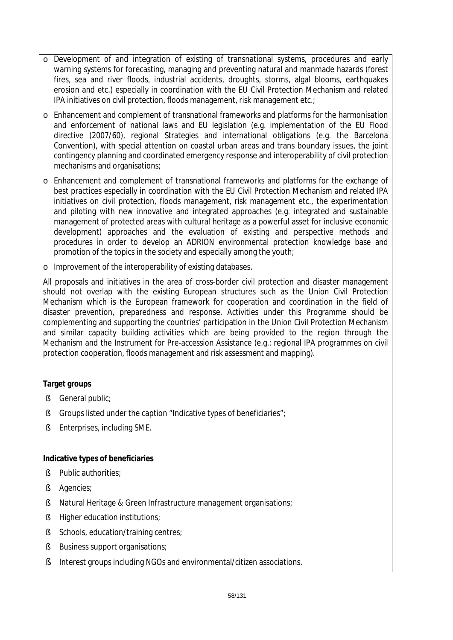- o Development of and integration of existing of transnational systems, procedures and early warning systems for forecasting, managing and preventing natural and manmade hazards (forest fires, sea and river floods, industrial accidents, droughts, storms, algal blooms, earthquakes erosion and etc.) especially in coordination with the EU Civil Protection Mechanism and related IPA initiatives on civil protection, floods management, risk management etc.;
- o Enhancement and complement of transnational frameworks and platforms for the harmonisation and enforcement of national laws and EU legislation (e.g. implementation of the EU Flood directive (2007/60), regional Strategies and international obligations (e.g. the Barcelona Convention), with special attention on coastal urban areas and trans boundary issues, the joint contingency planning and coordinated emergency response and interoperability of civil protection mechanisms and organisations;
- o Enhancement and complement of transnational frameworks and platforms for the exchange of best practices especially in coordination with the EU Civil Protection Mechanism and related IPA initiatives on civil protection, floods management, risk management etc., the experimentation and piloting with new innovative and integrated approaches (e.g. integrated and sustainable management of protected areas with cultural heritage as a powerful asset for inclusive economic development) approaches and the evaluation of existing and perspective methods and procedures in order to develop an ADRION environmental protection knowledge base and promotion of the topics in the society and especially among the youth;
- o Improvement of the interoperability of existing databases.

All proposals and initiatives in the area of cross-border civil protection and disaster management should not overlap with the existing European structures such as the Union Civil Protection Mechanism which is the European framework for cooperation and coordination in the field of disaster prevention, preparedness and response. Activities under this Programme should be complementing and supporting the countries' participation in the Union Civil Protection Mechanism and similar capacity building activities which are being provided to the region through the Mechanism and the Instrument for Pre-accession Assistance (e.g.: regional IPA programmes on civil protection cooperation, floods management and risk assessment and mapping).

## **Target groups**

- § General public;
- § Groups listed under the caption "Indicative types of beneficiaries";
- § Enterprises, including SME.

#### **Indicative types of beneficiaries**

- § Public authorities;
- § Agencies;
- § Natural Heritage & Green Infrastructure management organisations;
- § Higher education institutions;
- § Schools, education/training centres;
- § Business support organisations;
- § Interest groups including NGOs and environmental/citizen associations.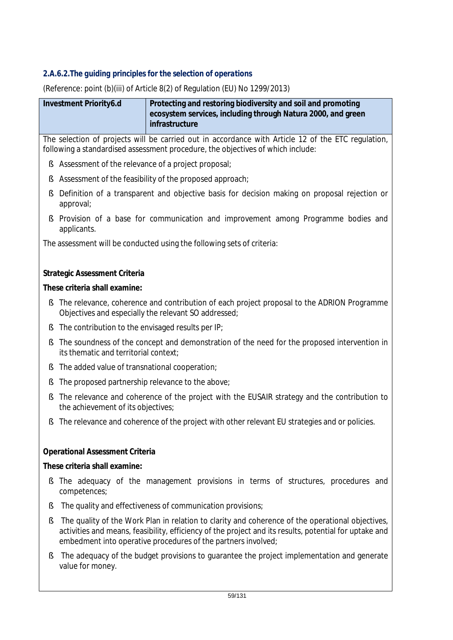## *2.A.6.2.The guiding principles for the selection of operations*

(Reference: point (b)(iii) of Article 8(2) of Regulation (EU) No 1299/2013)

| Investment Priority6.d | Protecting and restoring biodiversity and soil and promoting<br>ecosystem services, including through Natura 2000, and green |
|------------------------|------------------------------------------------------------------------------------------------------------------------------|
|                        | infrastructure                                                                                                               |

The selection of projects will be carried out in accordance with Article 12 of the ETC regulation, following a standardised assessment procedure, the objectives of which include:

- § Assessment of the relevance of a project proposal;
- § Assessment of the feasibility of the proposed approach;
- § Definition of a transparent and objective basis for decision making on proposal rejection or approval;
- § Provision of a base for communication and improvement among Programme bodies and applicants.

The assessment will be conducted using the following sets of criteria:

## **Strategic Assessment Criteria**

### **These criteria shall examine:**

- § The relevance, coherence and contribution of each project proposal to the ADRION Programme Objectives and especially the relevant SO addressed;
- § The contribution to the envisaged results per IP;
- § The soundness of the concept and demonstration of the need for the proposed intervention in its thematic and territorial context;
- § The added value of transnational cooperation;
- § The proposed partnership relevance to the above;
- § The relevance and coherence of the project with the EUSAIR strategy and the contribution to the achievement of its objectives;
- § The relevance and coherence of the project with other relevant EU strategies and or policies.

## **Operational Assessment Criteria**

#### **These criteria shall examine:**

- § The adequacy of the management provisions in terms of structures, procedures and competences;
- § The quality and effectiveness of communication provisions;
- § The quality of the Work Plan in relation to clarity and coherence of the operational objectives, activities and means, feasibility, efficiency of the project and its results, potential for uptake and embedment into operative procedures of the partners involved;
- § The adequacy of the budget provisions to guarantee the project implementation and generate value for money.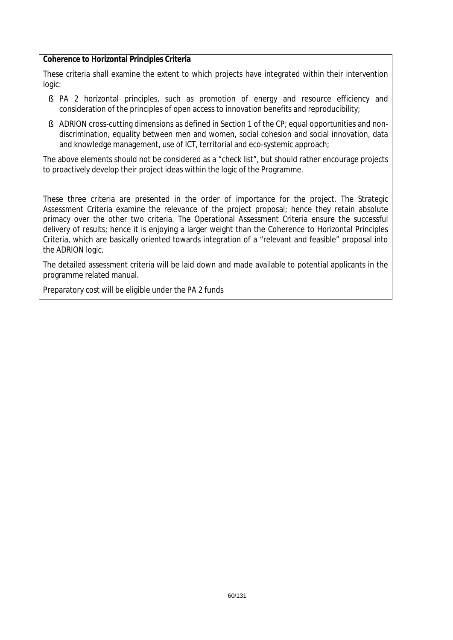#### **Coherence to Horizontal Principles Criteria**

These criteria shall examine the extent to which projects have integrated within their intervention logic:

- § PA 2 horizontal principles, such as promotion of energy and resource efficiency and consideration of the principles of open access to innovation benefits and reproducibility;
- § ADRION cross-cutting dimensions as defined in Section 1 of the CP; equal opportunities and nondiscrimination, equality between men and women, social cohesion and social innovation, data and knowledge management, use of ICT, territorial and eco-systemic approach;

The above elements should not be considered as a "check list", but should rather encourage projects to proactively develop their project ideas within the logic of the Programme.

These three criteria are presented in the order of importance for the project. The Strategic Assessment Criteria examine the relevance of the project proposal; hence they retain absolute primacy over the other two criteria. The Operational Assessment Criteria ensure the successful delivery of results; hence it is enjoying a larger weight than the Coherence to Horizontal Principles Criteria, which are basically oriented towards integration of a "relevant and feasible" proposal into the ADRION logic.

The detailed assessment criteria will be laid down and made available to potential applicants in the programme related manual.

Preparatory cost will be eligible under the PA 2 funds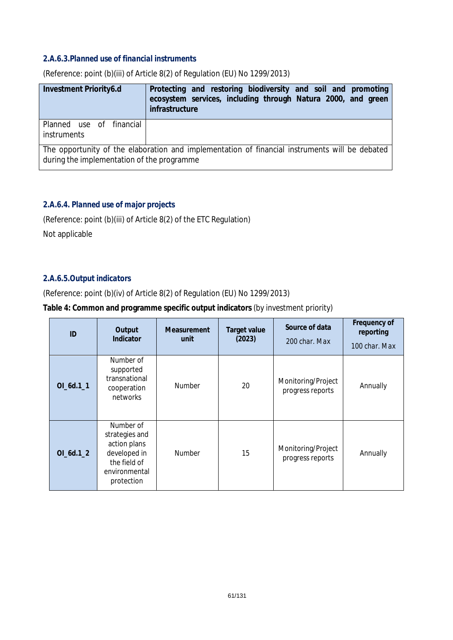#### *2.A.6.3.Planned use of financial instruments*

| Investment Priority6.d                                                                                                                       | Protecting and restoring biodiversity and soil and promoting<br>ecosystem services, including through Natura 2000, and green<br>infrastructure |  |  |
|----------------------------------------------------------------------------------------------------------------------------------------------|------------------------------------------------------------------------------------------------------------------------------------------------|--|--|
| Planned use of financial<br>instruments                                                                                                      |                                                                                                                                                |  |  |
| The opportunity of the elaboration and implementation of financial instruments will be debated<br>during the implementation of the programme |                                                                                                                                                |  |  |

(Reference: point (b)(iii) of Article 8(2) of Regulation (EU) No 1299/2013)

## *2.A.6.4. Planned use of major projects*

(Reference: point (b)(iii) of Article 8(2) of the ETC Regulation)

Not applicable

## *2.A.6.5.Output indicators*

(Reference: point (b)(iv) of Article 8(2) of Regulation (EU) No 1299/2013)

#### **Table 4: Common and programme specific output indicators** *(by investment priority)*

| ID          | Output<br>Indicator                                                                                        | <b>Measurement</b><br>unit | <b>Target value</b><br>(2023) | Source of data<br>200 char. Max        | Frequency of<br>reporting<br>100 char. Max |
|-------------|------------------------------------------------------------------------------------------------------------|----------------------------|-------------------------------|----------------------------------------|--------------------------------------------|
| $OI_6d.1_1$ | Number of<br>supported<br>transnational<br>cooperation<br>networks                                         | <b>Number</b>              | 20                            | Monitoring/Project<br>progress reports | Annually                                   |
| $OI_6d.1_2$ | Number of<br>strategies and<br>action plans<br>developed in<br>the field of<br>environmental<br>protection | <b>Number</b>              | 15                            | Monitoring/Project<br>progress reports | Annually                                   |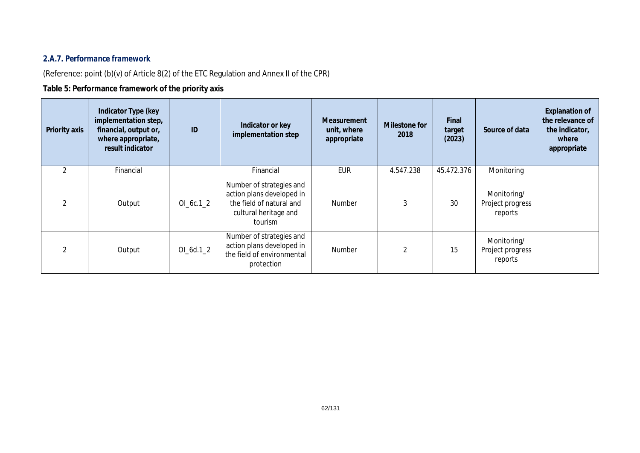## *2.A.7. Performance framework*

(Reference: point (b)(v) of Article 8(2) of the ETC Regulation and Annex II of the CPR)

## **Table 5: Performance framework of the priority axis**

| Priority axis  | Indicator Type (key<br>implementation step,<br>financial, output or,<br>where appropriate,<br>result indicator | ID          | Indicator or key<br>implementation step                                                                               | <b>Measurement</b><br>unit, where<br>appropriate | Milestone for<br>2018 | Final<br>target<br>(2023) | Source of data                             | <b>Explanation of</b><br>the relevance of<br>the indicator,<br>where<br>appropriate |
|----------------|----------------------------------------------------------------------------------------------------------------|-------------|-----------------------------------------------------------------------------------------------------------------------|--------------------------------------------------|-----------------------|---------------------------|--------------------------------------------|-------------------------------------------------------------------------------------|
| 2              | Financial                                                                                                      |             | Financial                                                                                                             | <b>EUR</b>                                       | 4.547.238             | 45.472.376                | Monitoring                                 |                                                                                     |
| $\mathfrak{D}$ | Output                                                                                                         | OL 6c.1 2   | Number of strategies and<br>action plans developed in<br>the field of natural and<br>cultural heritage and<br>tourism | <b>Number</b>                                    |                       | 30                        | Monitoring/<br>Project progress<br>reports |                                                                                     |
| $\mathfrak{D}$ | Output                                                                                                         | $OI_6d.1_2$ | Number of strategies and<br>action plans developed in<br>the field of environmental<br>protection                     | Number                                           | 2                     | 15                        | Monitoring/<br>Project progress<br>reports |                                                                                     |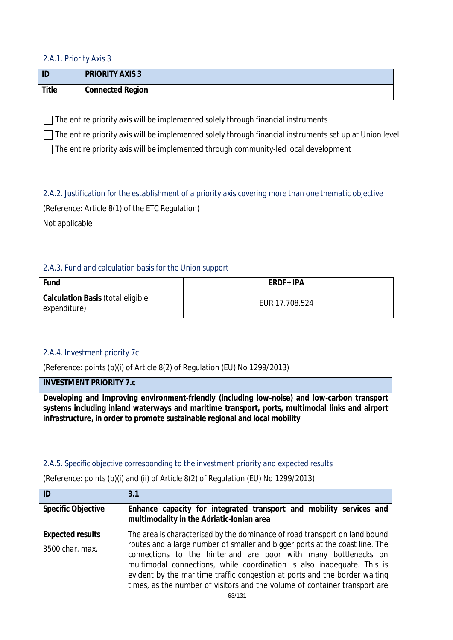### *2.A.1. Priority Axis 3*

| ID    | <b>PRIORITY AXIS 3</b>  |
|-------|-------------------------|
| Title | <b>Connected Region</b> |

 $\Box$  The entire priority axis will be implemented solely through financial instruments

 $\Box$  The entire priority axis will be implemented solely through financial instruments set up at Union level

 $\Box$  The entire priority axis will be implemented through community-led local development

*2.A.2. Justification for the establishment of a priority axis covering more than one thematic objective* (Reference: Article 8(1) of the ETC Regulation) Not applicable

## *2.A.3. Fund and calculation basis for the Union support*

| Fund                                                     | ERDF+ IPA      |
|----------------------------------------------------------|----------------|
| <b>Calculation Basis (total eligible</b><br>expenditure) | EUR 17.708.524 |

## *2.A.4. Investment priority 7c*

(Reference: points (b)(i) of Article 8(2) of Regulation (EU) No 1299/2013)

## **INVESTMENT PRIORITY 7.c**

**Developing and improving environment-friendly (including low-noise) and low-carbon transport systems including inland waterways and maritime transport, ports, multimodal links and airport infrastructure, in order to promote sustainable regional and local mobility**

## *2.A.5. Specific objective corresponding to the investment priority and expected results*

| ID                        | 3.1                                                                                                                                                                                                                                                                                                                                                                                   |
|---------------------------|---------------------------------------------------------------------------------------------------------------------------------------------------------------------------------------------------------------------------------------------------------------------------------------------------------------------------------------------------------------------------------------|
| <b>Specific Objective</b> | Enhance capacity for integrated transport and mobility services and<br>multimodality in the Adriatic-Ionian area                                                                                                                                                                                                                                                                      |
| <b>Expected results</b>   | The area is characterised by the dominance of road transport on land bound                                                                                                                                                                                                                                                                                                            |
| 3500 char. max.           | routes and a large number of smaller and bigger ports at the coast line. The<br>connections to the hinterland are poor with many bottlenecks on<br>multimodal connections, while coordination is also inadequate. This is<br>evident by the maritime traffic congestion at ports and the border waiting<br>times, as the number of visitors and the volume of container transport are |

(Reference: points (b)(i) and (ii) of Article 8(2) of Regulation (EU) No 1299/2013)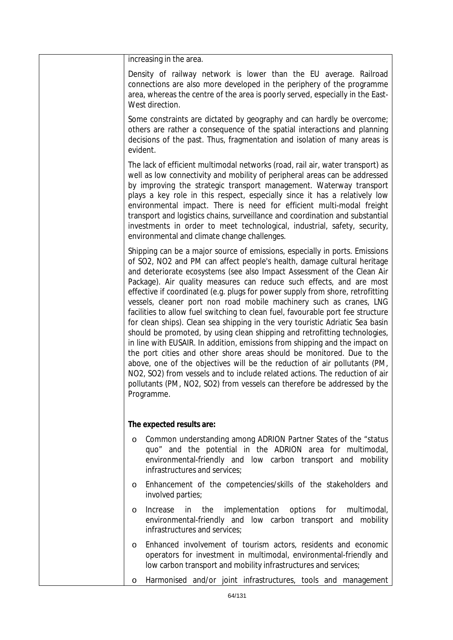| increasing in the area.                                                                                                                                                                                                                                                                                                                                                                                                                                                                                                                                                                                                                                                                                                                                                                                                                                                                                                                                                                                                                                                                                                            |
|------------------------------------------------------------------------------------------------------------------------------------------------------------------------------------------------------------------------------------------------------------------------------------------------------------------------------------------------------------------------------------------------------------------------------------------------------------------------------------------------------------------------------------------------------------------------------------------------------------------------------------------------------------------------------------------------------------------------------------------------------------------------------------------------------------------------------------------------------------------------------------------------------------------------------------------------------------------------------------------------------------------------------------------------------------------------------------------------------------------------------------|
| Density of railway network is lower than the EU average. Railroad<br>connections are also more developed in the periphery of the programme<br>area, whereas the centre of the area is poorly served, especially in the East-<br>West direction.                                                                                                                                                                                                                                                                                                                                                                                                                                                                                                                                                                                                                                                                                                                                                                                                                                                                                    |
| Some constraints are dictated by geography and can hardly be overcome;<br>others are rather a consequence of the spatial interactions and planning<br>decisions of the past. Thus, fragmentation and isolation of many areas is<br>evident.                                                                                                                                                                                                                                                                                                                                                                                                                                                                                                                                                                                                                                                                                                                                                                                                                                                                                        |
| The lack of efficient multimodal networks (road, rail air, water transport) as<br>well as low connectivity and mobility of peripheral areas can be addressed<br>by improving the strategic transport management. Waterway transport<br>plays a key role in this respect, especially since it has a relatively low<br>environmental impact. There is need for efficient multi-modal freight<br>transport and logistics chains, surveillance and coordination and substantial<br>investments in order to meet technological, industrial, safety, security,<br>environmental and climate change challenges.                                                                                                                                                                                                                                                                                                                                                                                                                                                                                                                           |
| Shipping can be a major source of emissions, especially in ports. Emissions<br>of SO2, NO2 and PM can affect people's health, damage cultural heritage<br>and deteriorate ecosystems (see also Impact Assessment of the Clean Air<br>Package). Air quality measures can reduce such effects, and are most<br>effective if coordinated (e.g. plugs for power supply from shore, retrofitting<br>vessels, cleaner port non road mobile machinery such as cranes, LNG<br>facilities to allow fuel switching to clean fuel, favourable port fee structure<br>for clean ships). Clean sea shipping in the very touristic Adriatic Sea basin<br>should be promoted, by using clean shipping and retrofitting technologies,<br>in line with EUSAIR. In addition, emissions from shipping and the impact on<br>the port cities and other shore areas should be monitored. Due to the<br>above, one of the objectives will be the reduction of air pollutants (PM,<br>NO2, SO2) from vessels and to include related actions. The reduction of air<br>pollutants (PM, NO2, SO2) from vessels can therefore be addressed by the<br>Programme. |
| The expected results are:                                                                                                                                                                                                                                                                                                                                                                                                                                                                                                                                                                                                                                                                                                                                                                                                                                                                                                                                                                                                                                                                                                          |
| Common understanding among ADRION Partner States of the "status<br>O<br>quo" and the potential in the ADRION area for multimodal,<br>environmental-friendly and low carbon transport and mobility<br>infrastructures and services;                                                                                                                                                                                                                                                                                                                                                                                                                                                                                                                                                                                                                                                                                                                                                                                                                                                                                                 |
| Enhancement of the competencies/skills of the stakeholders and<br>$\circ$<br>involved parties;                                                                                                                                                                                                                                                                                                                                                                                                                                                                                                                                                                                                                                                                                                                                                                                                                                                                                                                                                                                                                                     |
| implementation options for multimodal,<br>Increase<br>in<br>the<br>O<br>environmental-friendly and low carbon transport and mobility<br>infrastructures and services;                                                                                                                                                                                                                                                                                                                                                                                                                                                                                                                                                                                                                                                                                                                                                                                                                                                                                                                                                              |
| Enhanced involvement of tourism actors, residents and economic<br>$\circ$<br>operators for investment in multimodal, environmental-friendly and<br>low carbon transport and mobility infrastructures and services;                                                                                                                                                                                                                                                                                                                                                                                                                                                                                                                                                                                                                                                                                                                                                                                                                                                                                                                 |
| Harmonised and/or joint infrastructures, tools and management<br>O                                                                                                                                                                                                                                                                                                                                                                                                                                                                                                                                                                                                                                                                                                                                                                                                                                                                                                                                                                                                                                                                 |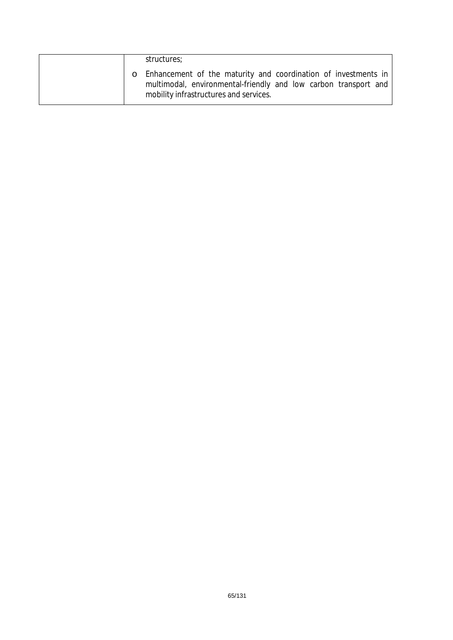|  | structures;                                                                                                                                                                   |
|--|-------------------------------------------------------------------------------------------------------------------------------------------------------------------------------|
|  | o Enhancement of the maturity and coordination of investments in<br>multimodal, environmental-friendly and low carbon transport and<br>mobility infrastructures and services. |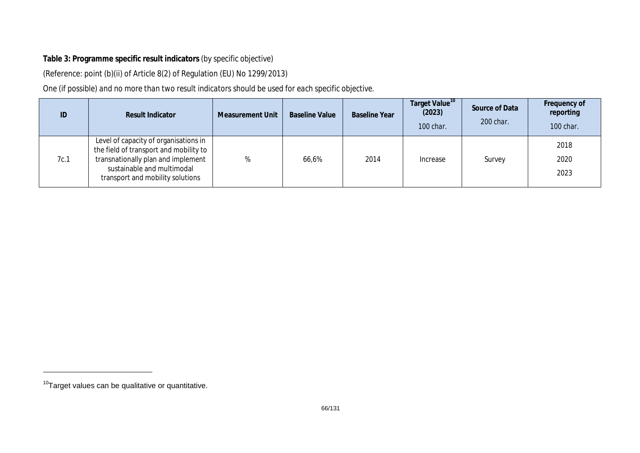## **Table 3: Programme specific result indicators** *(by specific objective)*

(Reference: point (b)(ii) of Article 8(2) of Regulation (EU) No 1299/2013)

*One (if possible) and no more than two result indicators should be used for each specific objective.* 

| ID   | <b>Result Indicator</b>                                                                                                                                                                 | <b>Measurement Unit</b> | <b>Baseline Value</b> | <b>Baseline Year</b> | Target Value <sup>10</sup><br>(2023)<br>100 char. | Source of Data<br>200 char. | Frequency of<br>reporting<br>100 char. |
|------|-----------------------------------------------------------------------------------------------------------------------------------------------------------------------------------------|-------------------------|-----------------------|----------------------|---------------------------------------------------|-----------------------------|----------------------------------------|
| 7c.1 | Level of capacity of organisations in<br>the field of transport and mobility to<br>transnationally plan and implement<br>sustainable and multimodal<br>transport and mobility solutions |                         | 66,6%                 | 2014                 | Increase                                          | Survey                      | 2018<br>2020<br>2023                   |

 $10$ Target values can be qualitative or quantitative.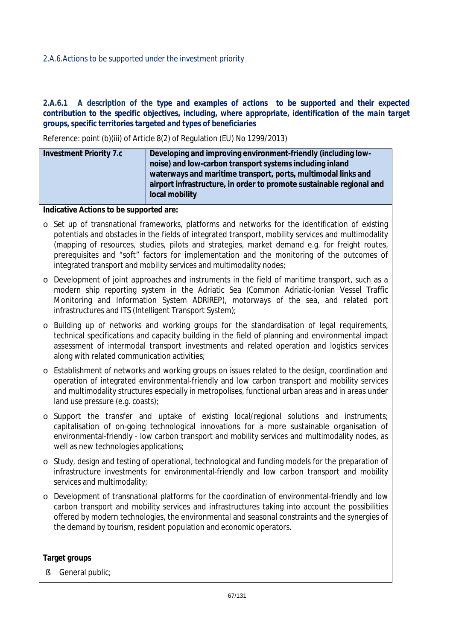### *2.A.6.Actions to be supported under the investment priority*

#### 2.A.6.1 A description of the type and examples of actions to be supported and their expected *contribution to the specific objectives, including, where appropriate, identification of the main target groups, specific territories targeted and types of beneficiaries*

Reference: point (b)(iii) of Article 8(2) of Regulation (EU) No 1299/2013)

| Developing and improving environment-friendly (including low-        |
|----------------------------------------------------------------------|
| noise) and low-carbon transport systems including inland             |
| waterways and maritime transport, ports, multimodal links and        |
| airport infrastructure, in order to promote sustainable regional and |
| local mobility                                                       |
|                                                                      |

**Indicative Actions to be supported are:**

- o Set up of transnational frameworks, platforms and networks for the identification of existing potentials and obstacles in the fields of integrated transport, mobility services and multimodality (mapping of resources, studies, pilots and strategies, market demand e.g. for freight routes, prerequisites and "soft" factors for implementation and the monitoring of the outcomes of integrated transport and mobility services and multimodality nodes;
- o Development of joint approaches and instruments in the field of maritime transport, such as a modern ship reporting system in the Adriatic Sea (Common Adriatic-Ionian Vessel Traffic Monitoring and Information System ADRIREP), motorways of the sea, and related port infrastructures and ITS (Intelligent Transport System);
- o Building up of networks and working groups for the standardisation of legal requirements, technical specifications and capacity building in the field of planning and environmental impact assessment of intermodal transport investments and related operation and logistics services along with related communication activities;
- o Establishment of networks and working groups on issues related to the design, coordination and operation of integrated environmental-friendly and low carbon transport and mobility services and multimodality structures especially in metropolises, functional urban areas and in areas under land use pressure (e.g. coasts);
- o Support the transfer and uptake of existing local/regional solutions and instruments; capitalisation of on-going technological innovations for a more sustainable organisation of environmental-friendly - low carbon transport and mobility services and multimodality nodes, as well as new technologies applications;
- o Study, design and testing of operational, technological and funding models for the preparation of infrastructure investments for environmental-friendly and low carbon transport and mobility services and multimodality;
- o Development of transnational platforms for the coordination of environmental-friendly and low carbon transport and mobility services and infrastructures taking into account the possibilities offered by modern technologies, the environmental and seasonal constraints and the synergies of the demand by tourism, resident population and economic operators.

#### **Target groups**

§ General public;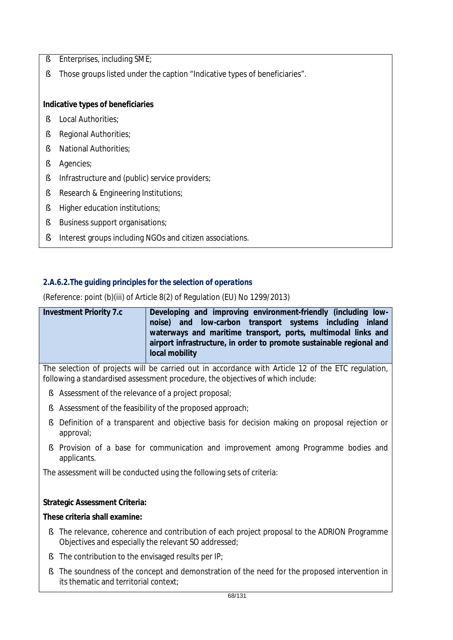- § Enterprises, including SME;
- § Those groups listed under the caption "Indicative types of beneficiaries".

## **Indicative types of beneficiaries**

- § Local Authorities;
- § Regional Authorities;
- § National Authorities;
- § Agencies;
- § Infrastructure and (public) service providers;
- § Research & Engineering Institutions;
- § Higher education institutions;
- § Business support organisations;
- § Interest groups including NGOs and citizen associations.

## *2.A.6.2.The guiding principles for the selection of operations*

(Reference: point (b)(iii) of Article 8(2) of Regulation (EU) No 1299/2013)

| <b>Investment Priority 7.c</b> | Developing and improving environment-friendly (including low-                                                                                           |
|--------------------------------|---------------------------------------------------------------------------------------------------------------------------------------------------------|
|                                | noise) and low-carbon transport systems including inland                                                                                                |
|                                | waterways and maritime transport, ports, multimodal links and<br>airport infrastructure, in order to promote sustainable regional and<br>local mobility |

The selection of projects will be carried out in accordance with Article 12 of the ETC regulation, following a standardised assessment procedure, the objectives of which include:

- § Assessment of the relevance of a project proposal;
- § Assessment of the feasibility of the proposed approach;
- § Definition of a transparent and objective basis for decision making on proposal rejection or approval;
- § Provision of a base for communication and improvement among Programme bodies and applicants.

The assessment will be conducted using the following sets of criteria:

## **Strategic Assessment Criteria:**

## **These criteria shall examine:**

- § The relevance, coherence and contribution of each project proposal to the ADRION Programme Objectives and especially the relevant SO addressed;
- § The contribution to the envisaged results per IP;
- § The soundness of the concept and demonstration of the need for the proposed intervention in its thematic and territorial context;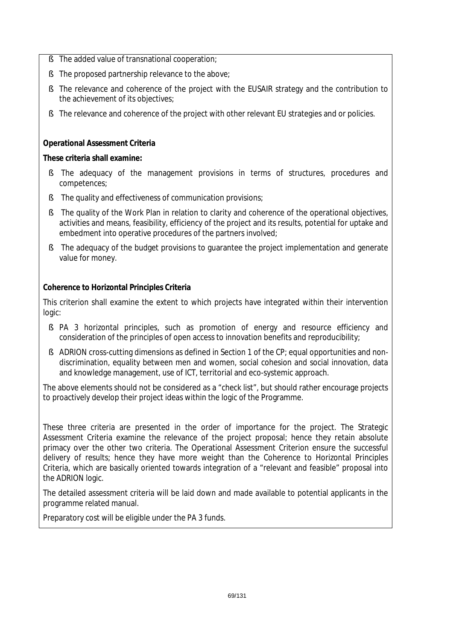- § The added value of transnational cooperation;
- § The proposed partnership relevance to the above;
- § The relevance and coherence of the project with the EUSAIR strategy and the contribution to the achievement of its objectives;
- § The relevance and coherence of the project with other relevant EU strategies and or policies.

## **Operational Assessment Criteria**

## **These criteria shall examine:**

- § The adequacy of the management provisions in terms of structures, procedures and competences;
- § The quality and effectiveness of communication provisions;
- § The quality of the Work Plan in relation to clarity and coherence of the operational objectives, activities and means, feasibility, efficiency of the project and its results, potential for uptake and embedment into operative procedures of the partners involved;
- § The adequacy of the budget provisions to guarantee the project implementation and generate value for money.

## **Coherence to Horizontal Principles Criteria**

This criterion shall examine the extent to which projects have integrated within their intervention logic:

- § PA 3 horizontal principles, such as promotion of energy and resource efficiency and consideration of the principles of open access to innovation benefits and reproducibility;
- § ADRION cross-cutting dimensions as defined in Section 1 of the CP; equal opportunities and nondiscrimination, equality between men and women, social cohesion and social innovation, data and knowledge management, use of ICT, territorial and eco-systemic approach.

The above elements should not be considered as a "check list", but should rather encourage projects to proactively develop their project ideas within the logic of the Programme.

These three criteria are presented in the order of importance for the project. The Strategic Assessment Criteria examine the relevance of the project proposal; hence they retain absolute primacy over the other two criteria. The Operational Assessment Criterion ensure the successful delivery of results; hence they have more weight than the Coherence to Horizontal Principles Criteria, which are basically oriented towards integration of a "relevant and feasible" proposal into the ADRION logic.

The detailed assessment criteria will be laid down and made available to potential applicants in the programme related manual.

Preparatory cost will be eligible under the PA 3 funds.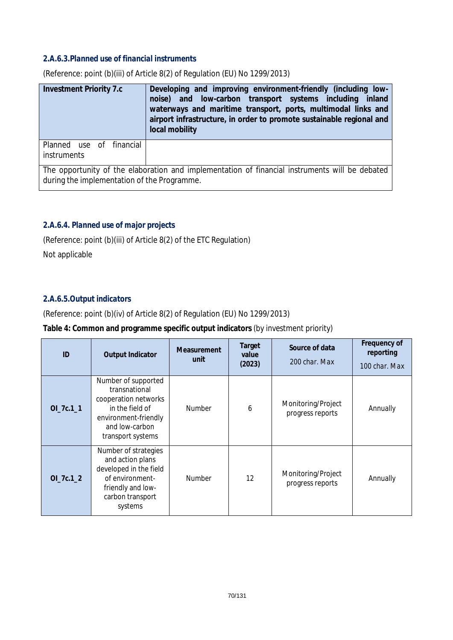### *2.A.6.3.Planned use of financial instruments*

| <b>Investment Priority 7.c</b>                 | Developing and improving environment-friendly (including low-<br>noise) and low-carbon transport systems including inland<br>waterways and maritime transport, ports, multimodal links and<br>airport infrastructure, in order to promote sustainable regional and<br>local mobility |
|------------------------------------------------|--------------------------------------------------------------------------------------------------------------------------------------------------------------------------------------------------------------------------------------------------------------------------------------|
| Planned use of financial<br><i>instruments</i> |                                                                                                                                                                                                                                                                                      |
| during the implementation of the Programme.    | The opportunity of the elaboration and implementation of financial instruments will be debated                                                                                                                                                                                       |

(Reference: point (b)(iii) of Article 8(2) of Regulation (EU) No 1299/2013)

## *2.A.6.4. Planned use of major projects*

(Reference: point (b)(iii) of Article 8(2) of the ETC Regulation)

Not applicable

### *2.A.6.5.Output indicators*

(Reference: point (b)(iv) of Article 8(2) of Regulation (EU) No 1299/2013)

#### **Table 4: Common and programme specific output indicators** *(by investment priority)*

| ID         | <b>Output Indicator</b>                                                                                                                        | <b>Measurement</b><br>unit | Target<br>value<br>(2023) | Source of data<br>200 char. Max        | Frequency of<br>reporting<br>100 char. Max |
|------------|------------------------------------------------------------------------------------------------------------------------------------------------|----------------------------|---------------------------|----------------------------------------|--------------------------------------------|
| OI_7c.1_1  | Number of supported<br>transnational<br>cooperation networks<br>in the field of<br>environment-friendly<br>and low-carbon<br>transport systems | <b>Number</b>              | 6                         | Monitoring/Project<br>progress reports | Annually                                   |
| $OL7c.1_2$ | Number of strategies<br>and action plans<br>developed in the field<br>of environment-<br>friendly and low-<br>carbon transport<br>systems      | Number                     | 12                        | Monitoring/Project<br>progress reports | Annually                                   |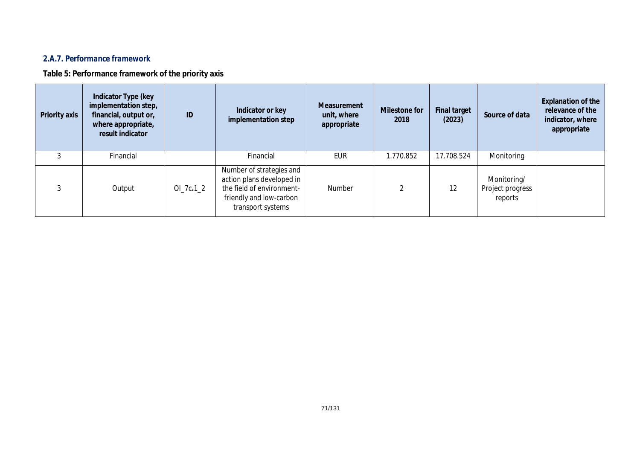## *2.A.7. Performance framework*

**Table 5: Performance framework of the priority axis**

| <b>Priority axis</b> | Indicator Type (key<br>implementation step,<br>financial, output or,<br>where appropriate,<br>result indicator | ID         | Indicator or key<br>implementation step                                                                                            | Measurement<br>unit, where<br>appropriate | <b>Milestone for</b><br>2018 | <b>Final target</b><br>(2023) | Source of data                             | <b>Explanation of the</b><br>relevance of the<br>indicator, where<br>appropriate |
|----------------------|----------------------------------------------------------------------------------------------------------------|------------|------------------------------------------------------------------------------------------------------------------------------------|-------------------------------------------|------------------------------|-------------------------------|--------------------------------------------|----------------------------------------------------------------------------------|
|                      | Financial                                                                                                      |            | Financial                                                                                                                          | EUR                                       | 1.770.852                    | 17.708.524                    | Monitoring                                 |                                                                                  |
|                      | Output                                                                                                         | $OL7c.1_2$ | Number of strategies and<br>action plans developed in<br>the field of environment-<br>friendly and low-carbon<br>transport systems | <b>Number</b>                             |                              | 12                            | Monitoring/<br>Project progress<br>reports |                                                                                  |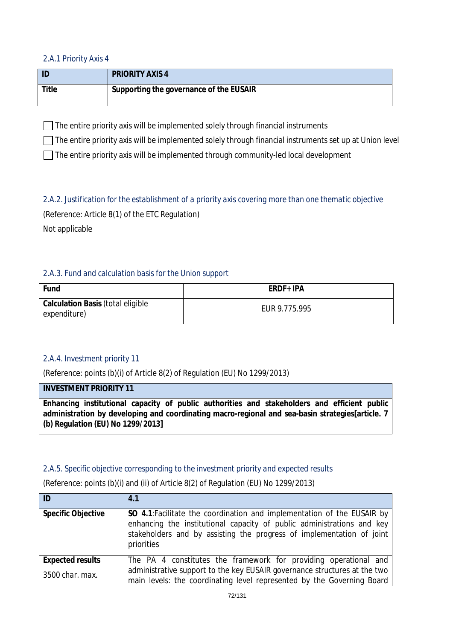### *2.A.1 Priority Axis 4*

|       | <b>PRIORITY AXIS 4</b>                  |
|-------|-----------------------------------------|
| Title | Supporting the governance of the EUSAIR |

 $\Box$  The entire priority axis will be implemented solely through financial instruments

 $\Box$  The entire priority axis will be implemented solely through financial instruments set up at Union level

 $\Box$  The entire priority axis will be implemented through community-led local development

# *2.A.2. Justification for the establishment of a priority axis covering more than one thematic objective*

(Reference: Article 8(1) of the ETC Regulation)

Not applicable

## *2.A.3. Fund and calculation basis for the Union support*

| Fund                                              | ERDF+ IPA     |
|---------------------------------------------------|---------------|
| Calculation Basis (total eligible<br>expenditure) | EUR 9.775.995 |

## *2.A.4. Investment priority 11*

(Reference: points (b)(i) of Article 8(2) of Regulation (EU) No 1299/2013)

### **INVESTMENT PRIORITY 11**

**Enhancing institutional capacity of public authorities and stakeholders and efficient public administration by developing and coordinating macro-regional and sea-basin strategies[article. 7 (b) Regulation (EU) No 1299/2013]**

## *2.A.5. Specific objective corresponding to the investment priority and expected results*

(Reference: points (b)(i) and (ii) of Article 8(2) of Regulation (EU) No 1299/2013)

| ID                        | 4.1                                                                                                                                                                                                                                      |
|---------------------------|------------------------------------------------------------------------------------------------------------------------------------------------------------------------------------------------------------------------------------------|
| <b>Specific Objective</b> | SO 4.1: Facilitate the coordination and implementation of the EUSAIR by<br>enhancing the institutional capacity of public administrations and key<br>stakeholders and by assisting the progress of implementation of joint<br>priorities |
| <b>Expected results</b>   | The PA 4 constitutes the framework for providing operational and                                                                                                                                                                         |
| 3500 char. max.           | administrative support to the key EUSAIR governance structures at the two<br>main levels: the coordinating level represented by the Governing Board                                                                                      |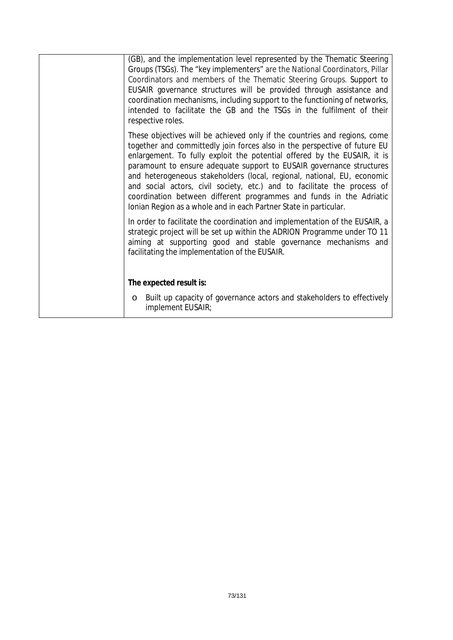| (GB), and the implementation level represented by the Thematic Steering<br>Groups (TSGs). The "key implementers" are the National Coordinators, Pillar<br>Coordinators and members of the Thematic Steering Groups. Support to<br>EUSAIR governance structures will be provided through assistance and<br>coordination mechanisms, including support to the functioning of networks,<br>intended to facilitate the GB and the TSGs in the fulfilment of their<br>respective roles.                                                                                                                            |
|---------------------------------------------------------------------------------------------------------------------------------------------------------------------------------------------------------------------------------------------------------------------------------------------------------------------------------------------------------------------------------------------------------------------------------------------------------------------------------------------------------------------------------------------------------------------------------------------------------------|
| These objectives will be achieved only if the countries and regions, come<br>together and committedly join forces also in the perspective of future EU<br>enlargement. To fully exploit the potential offered by the EUSAIR, it is<br>paramount to ensure adequate support to EUSAIR governance structures<br>and heterogeneous stakeholders (local, regional, national, EU, economic<br>and social actors, civil society, etc.) and to facilitate the process of<br>coordination between different programmes and funds in the Adriatic<br>Ionian Region as a whole and in each Partner State in particular. |
| In order to facilitate the coordination and implementation of the EUSAIR, a<br>strategic project will be set up within the ADRION Programme under TO 11<br>aiming at supporting good and stable governance mechanisms and<br>facilitating the implementation of the EUSAIR.                                                                                                                                                                                                                                                                                                                                   |
| The expected result is:                                                                                                                                                                                                                                                                                                                                                                                                                                                                                                                                                                                       |
| Built up capacity of governance actors and stakeholders to effectively<br>O<br>implement EUSAIR;                                                                                                                                                                                                                                                                                                                                                                                                                                                                                                              |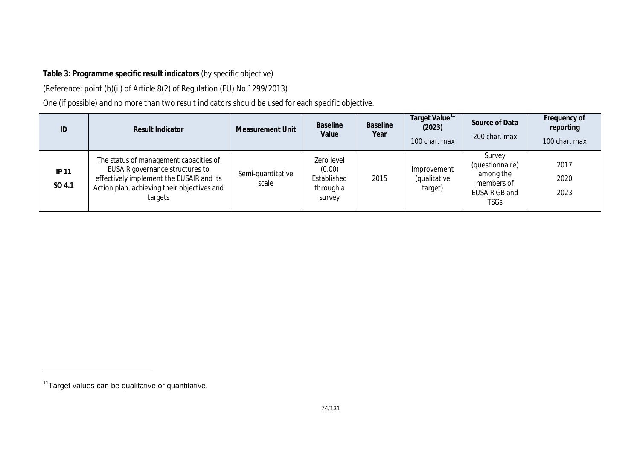# **Table 3: Programme specific result indicators** *(by specific objective)*

(Reference: point (b)(ii) of Article 8(2) of Regulation (EU) No 1299/2013)

*One (if possible) and no more than two result indicators should be used for each specific objective.* 

| ID                     | <b>Result Indicator</b>                                                                                                                                                         | <b>Measurement Unit</b>    | <b>Baseline</b><br>Value                                   | <b>Baseline</b><br>Year | Target Value <sup>11</sup><br>(2023)<br>100 char. max | Source of Data<br>200 char. max                                               | Frequency of<br>reporting<br>100 char. max |
|------------------------|---------------------------------------------------------------------------------------------------------------------------------------------------------------------------------|----------------------------|------------------------------------------------------------|-------------------------|-------------------------------------------------------|-------------------------------------------------------------------------------|--------------------------------------------|
| <b>IP 11</b><br>SO 4.1 | The status of management capacities of<br>EUSAIR governance structures to<br>effectively implement the EUSAIR and its<br>Action plan, achieving their objectives and<br>targets | Semi-quantitative<br>scale | Zero level<br>(0,00)<br>Established<br>through a<br>survey | 2015                    | Improvement<br>(qualitative<br>target)                | Survey<br>(questionnaire)<br>among the<br>members of<br>EUSAIR GB and<br>TSGs | 2017<br>2020<br>2023                       |

<sup>&</sup>lt;sup>11</sup>Target values can be qualitative or quantitative.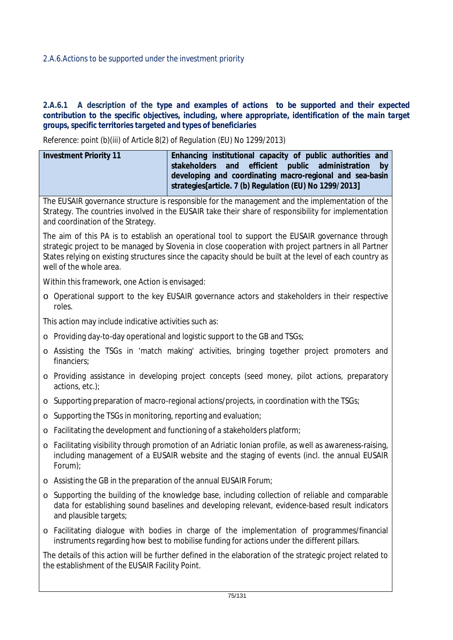## 2.A.6.1 A description of the type and examples of actions to be supported and their expected *contribution to the specific objectives, including, where appropriate, identification of the main target groups, specific territories targeted and types of beneficiaries*

*Reference: point (b)(iii) of Article 8(2) of Regulation (EU) No 1299/2013)*

| <b>Investment Priority 11</b>                                     | Enhancing institutional capacity of public authorities and<br>efficient<br>public<br>and<br>administration<br>stakeholders<br>by<br>developing and coordinating macro-regional and sea-basin<br>strategies[article. 7 (b) Regulation (EU) No 1299/2013]                                                              |  |  |  |  |  |
|-------------------------------------------------------------------|----------------------------------------------------------------------------------------------------------------------------------------------------------------------------------------------------------------------------------------------------------------------------------------------------------------------|--|--|--|--|--|
| and coordination of the Strategy.                                 | The EUSAIR governance structure is responsible for the management and the implementation of the<br>Strategy. The countries involved in the EUSAIR take their share of responsibility for implementation                                                                                                              |  |  |  |  |  |
| well of the whole area.                                           | The aim of this PA is to establish an operational tool to support the EUSAIR governance through<br>strategic project to be managed by Slovenia in close cooperation with project partners in all Partner<br>States relying on existing structures since the capacity should be built at the level of each country as |  |  |  |  |  |
| Within this framework, one Action is envisaged:                   |                                                                                                                                                                                                                                                                                                                      |  |  |  |  |  |
| roles.                                                            | o Operational support to the key EUSAIR governance actors and stakeholders in their respective                                                                                                                                                                                                                       |  |  |  |  |  |
| This action may include indicative activities such as:            |                                                                                                                                                                                                                                                                                                                      |  |  |  |  |  |
|                                                                   | o Providing day-to-day operational and logistic support to the GB and TSGs;                                                                                                                                                                                                                                          |  |  |  |  |  |
| financiers;                                                       | o Assisting the TSGs in 'match making' activities, bringing together project promoters and                                                                                                                                                                                                                           |  |  |  |  |  |
| actions, etc.);                                                   | o Providing assistance in developing project concepts (seed money, pilot actions, preparatory                                                                                                                                                                                                                        |  |  |  |  |  |
|                                                                   | o Supporting preparation of macro-regional actions/projects, in coordination with the TSGs;                                                                                                                                                                                                                          |  |  |  |  |  |
| Supporting the TSGs in monitoring, reporting and evaluation;<br>O |                                                                                                                                                                                                                                                                                                                      |  |  |  |  |  |
| O                                                                 | Facilitating the development and functioning of a stakeholders platform;                                                                                                                                                                                                                                             |  |  |  |  |  |
| O<br>Forum);                                                      | Facilitating visibility through promotion of an Adriatic Ionian profile, as well as awareness-raising,<br>including management of a EUSAIR website and the staging of events (incl. the annual EUSAIR                                                                                                                |  |  |  |  |  |
| o Assisting the GB in the preparation of the annual EUSAIR Forum; |                                                                                                                                                                                                                                                                                                                      |  |  |  |  |  |
| and plausible targets;                                            | o Supporting the building of the knowledge base, including collection of reliable and comparable<br>data for establishing sound baselines and developing relevant, evidence-based result indicators                                                                                                                  |  |  |  |  |  |
|                                                                   | o Facilitating dialogue with bodies in charge of the implementation of programmes/financial<br>instruments regarding how best to mobilise funding for actions under the different pillars.                                                                                                                           |  |  |  |  |  |
| the establishment of the EUSAIR Facility Point.                   | The details of this action will be further defined in the elaboration of the strategic project related to                                                                                                                                                                                                            |  |  |  |  |  |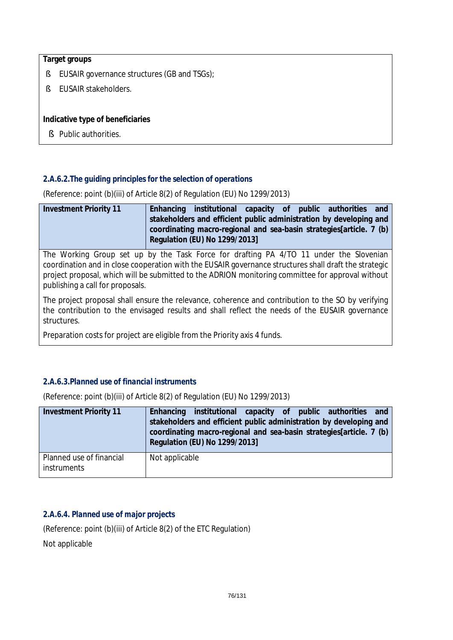## **Target groups**

- § EUSAIR governance structures (GB and TSGs);
- § EUSAIR stakeholders.

## **Indicative type of beneficiaries**

§ Public authorities.

# *2.A.6.2.The guiding principles for the selection of operations*

(Reference: point (b)(iii) of Article 8(2) of Regulation (EU) No 1299/2013)

| <b>Investment Priority 11</b> | Enhancing institutional capacity of public authorities and           |  |  |  |
|-------------------------------|----------------------------------------------------------------------|--|--|--|
|                               | stakeholders and efficient public administration by developing and   |  |  |  |
|                               | coordinating macro-regional and sea-basin strategies [article. 7 (b) |  |  |  |
|                               | Regulation (EU) No 1299/2013]                                        |  |  |  |

The Working Group set up by the Task Force for drafting PA 4/TO 11 under the Slovenian coordination and in close cooperation with the EUSAIR governance structures shall draft the strategic project proposal, which will be submitted to the ADRION monitoring committee for approval without publishing a call for proposals.

The project proposal shall ensure the relevance, coherence and contribution to the SO by verifying the contribution to the envisaged results and shall reflect the needs of the EUSAIR governance structures.

Preparation costs for project are eligible from the Priority axis 4 funds.

# *2.A.6.3.Planned use of financial instruments*

(Reference: point (b)(iii) of Article 8(2) of Regulation (EU) No 1299/2013)

| <b>Investment Priority 11</b>                  | Enhancing institutional capacity of public authorities and<br>stakeholders and efficient public administration by developing and<br>coordinating macro-regional and sea-basin strategies[article. 7 (b)<br>Regulation (EU) No 1299/2013] |
|------------------------------------------------|------------------------------------------------------------------------------------------------------------------------------------------------------------------------------------------------------------------------------------------|
| Planned use of financial<br><i>instruments</i> | Not applicable                                                                                                                                                                                                                           |

# *2.A.6.4. Planned use of major projects*

(Reference: point (b)(iii) of Article 8(2) of the ETC Regulation) Not applicable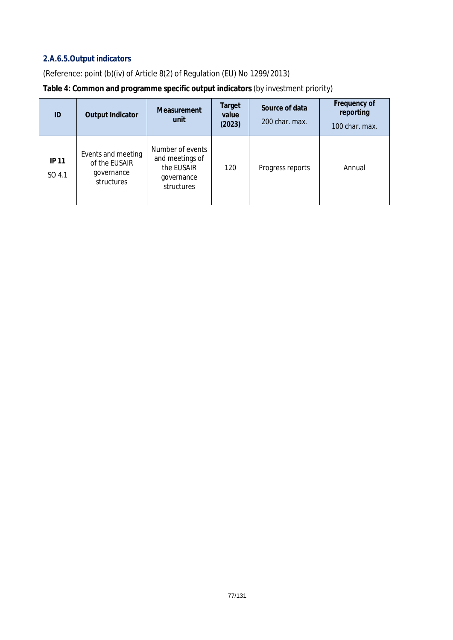# *2.A.6.5.Output indicators*

(Reference: point (b)(iv) of Article 8(2) of Regulation (EU) No 1299/2013)

| Table 4: Common and programme specific output indicators (by investment priority) |  |  |  |
|-----------------------------------------------------------------------------------|--|--|--|
|                                                                                   |  |  |  |

| ID                     | <b>Output Indicator</b>                                         | <b>Measurement</b><br>unit                                                    | Target<br>value<br>(2023) | Source of data<br>200 char. max. | Frequency of<br>reporting<br>100 char. max. |
|------------------------|-----------------------------------------------------------------|-------------------------------------------------------------------------------|---------------------------|----------------------------------|---------------------------------------------|
| <b>IP 11</b><br>SO 4.1 | Events and meeting<br>of the EUSAIR<br>governance<br>structures | Number of events<br>and meetings of<br>the EUSAIR<br>governance<br>structures | 120                       | Progress reports                 | Annual                                      |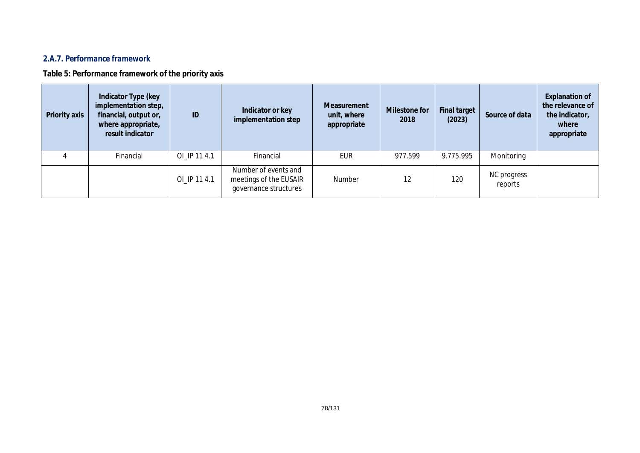# *2.A.7. Performance framework*

**Table 5: Performance framework of the priority axis**

| Priority axis | Indicator Type (key<br>implementation step,<br>financial, output or,<br>where appropriate,<br>result indicator | ID           | Indicator or key<br>implementation step                                 | Measurement<br>unit, where<br>appropriate | <b>Milestone for</b><br>2018 | <b>Final target</b><br>(2023) | Source of data         | <b>Explanation of</b><br>the relevance of<br>the indicator,<br>where<br>appropriate |
|---------------|----------------------------------------------------------------------------------------------------------------|--------------|-------------------------------------------------------------------------|-------------------------------------------|------------------------------|-------------------------------|------------------------|-------------------------------------------------------------------------------------|
|               | Financial                                                                                                      | OI_IP 11 4.1 | Financial                                                               | EUR                                       | 977.599                      | 9.775.995                     | Monitoring             |                                                                                     |
|               |                                                                                                                | OI_IP 11 4.1 | Number of events and<br>meetings of the EUSAIR<br>governance structures | Number                                    | 12                           | 120                           | NC progress<br>reports |                                                                                     |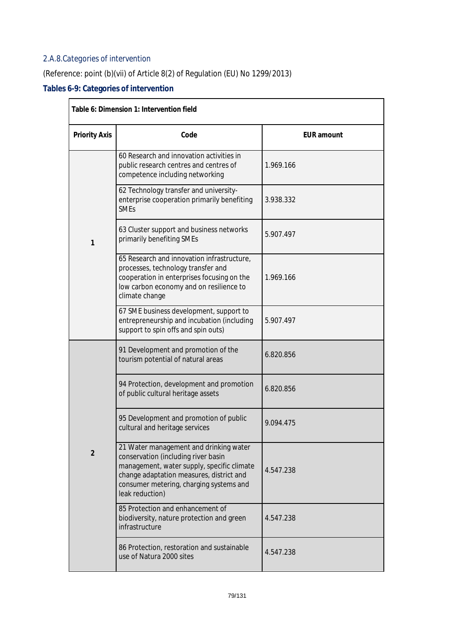# *2.A.8.Categories of intervention*

# (Reference: point (b)(vii) of Article 8(2) of Regulation (EU) No 1299/2013)

# **Tables 6-9: Categories of intervention**

| Table 6: Dimension 1: Intervention field |                                                                                                                                                                                                                                       |                   |  |  |
|------------------------------------------|---------------------------------------------------------------------------------------------------------------------------------------------------------------------------------------------------------------------------------------|-------------------|--|--|
| <b>Priority Axis</b>                     | Code                                                                                                                                                                                                                                  | <b>EUR</b> amount |  |  |
|                                          | 60 Research and innovation activities in<br>public research centres and centres of<br>competence including networking                                                                                                                 | 1.969.166         |  |  |
|                                          | 62 Technology transfer and university-<br>enterprise cooperation primarily benefiting<br><b>SMEs</b>                                                                                                                                  | 3.938.332         |  |  |
| 1                                        | 63 Cluster support and business networks<br>primarily benefiting SMEs                                                                                                                                                                 | 5.907.497         |  |  |
|                                          | 65 Research and innovation infrastructure,<br>processes, technology transfer and<br>cooperation in enterprises focusing on the<br>low carbon economy and on resilience to<br>climate change                                           | 1.969.166         |  |  |
|                                          | 67 SME business development, support to<br>entrepreneurship and incubation (including<br>support to spin offs and spin outs)                                                                                                          | 5.907.497         |  |  |
|                                          | 91 Development and promotion of the<br>tourism potential of natural areas                                                                                                                                                             | 6.820.856         |  |  |
|                                          | 94 Protection, development and promotion<br>of public cultural heritage assets                                                                                                                                                        | 6.820.856         |  |  |
|                                          | 95 Development and promotion of public<br>cultural and heritage services                                                                                                                                                              | 9.094.475         |  |  |
| $\overline{2}$                           | 21 Water management and drinking water<br>conservation (including river basin<br>management, water supply, specific climate<br>change adaptation measures, district and<br>consumer metering, charging systems and<br>leak reduction) | 4.547.238         |  |  |
|                                          | 85 Protection and enhancement of<br>biodiversity, nature protection and green<br>infrastructure                                                                                                                                       | 4.547.238         |  |  |
|                                          | 86 Protection, restoration and sustainable<br>use of Natura 2000 sites                                                                                                                                                                | 4.547.238         |  |  |

٦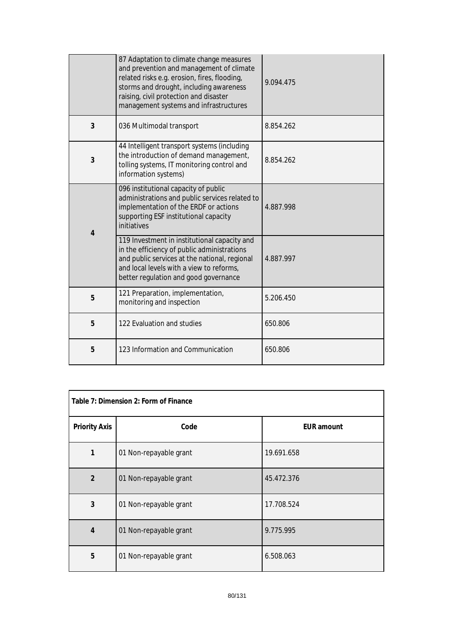|   | 87 Adaptation to climate change measures<br>and prevention and management of climate<br>related risks e.g. erosion, fires, flooding,<br>storms and drought, including awareness<br>raising, civil protection and disaster<br>management systems and infrastructures | 9.094.475 |
|---|---------------------------------------------------------------------------------------------------------------------------------------------------------------------------------------------------------------------------------------------------------------------|-----------|
| 3 | 036 Multimodal transport                                                                                                                                                                                                                                            | 8.854.262 |
| 3 | 44 Intelligent transport systems (including<br>the introduction of demand management,<br>tolling systems, IT monitoring control and<br>information systems)                                                                                                         | 8.854.262 |
| 4 | 096 institutional capacity of public<br>administrations and public services related to<br>implementation of the ERDF or actions<br>supporting ESF institutional capacity<br>initiatives                                                                             | 4.887.998 |
|   | 119 Investment in institutional capacity and<br>in the efficiency of public administrations<br>and public services at the national, regional<br>and local levels with a view to reforms,<br>better regulation and good governance                                   | 4.887.997 |
| 5 | 121 Preparation, implementation,<br>monitoring and inspection                                                                                                                                                                                                       | 5.206.450 |
| 5 | 122 Evaluation and studies                                                                                                                                                                                                                                          | 650.806   |
| 5 | 123 Information and Communication                                                                                                                                                                                                                                   | 650.806   |

| Table 7: Dimension 2: Form of Finance |                        |                   |  |
|---------------------------------------|------------------------|-------------------|--|
| <b>Priority Axis</b>                  | Code                   | <b>EUR</b> amount |  |
|                                       | 01 Non-repayable grant | 19.691.658        |  |
| $\overline{2}$                        | 01 Non-repayable grant | 45.472.376        |  |
| 3                                     | 01 Non-repayable grant | 17.708.524        |  |
| 4                                     | 01 Non-repayable grant | 9.775.995         |  |
| 5                                     | 01 Non-repayable grant | 6.508.063         |  |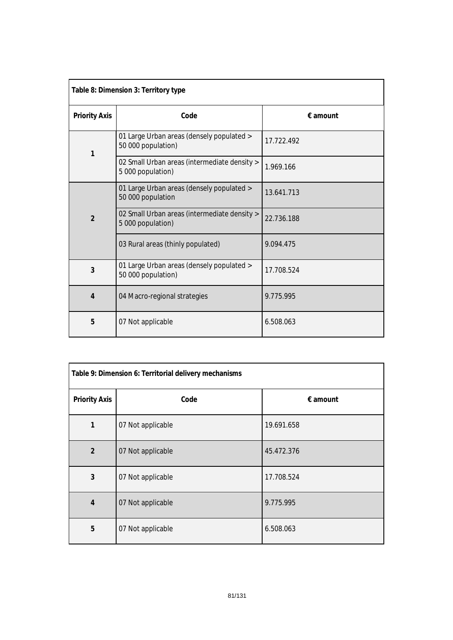| Table 8: Dimension 3: Territory type |                                                                   |                   |  |  |
|--------------------------------------|-------------------------------------------------------------------|-------------------|--|--|
| <b>Priority Axis</b>                 | Code                                                              | $\epsilon$ amount |  |  |
| 1                                    | 01 Large Urban areas (densely populated ><br>50 000 population)   | 17.722.492        |  |  |
|                                      | 02 Small Urban areas (intermediate density ><br>5 000 population) | 1.969.166         |  |  |
|                                      | 01 Large Urban areas (densely populated ><br>50 000 population    | 13.641.713        |  |  |
| $\overline{2}$                       | 02 Small Urban areas (intermediate density ><br>5 000 population) | 22.736.188        |  |  |
|                                      | 03 Rural areas (thinly populated)                                 | 9.094.475         |  |  |
| 3                                    | 01 Large Urban areas (densely populated ><br>50 000 population)   | 17.708.524        |  |  |
| $\overline{4}$                       | 04 Macro-regional strategies                                      | 9.775.995         |  |  |
| 5                                    | 07 Not applicable                                                 | 6.508.063         |  |  |

| Table 9: Dimension 6: Territorial delivery mechanisms |                   |                   |  |
|-------------------------------------------------------|-------------------|-------------------|--|
| <b>Priority Axis</b>                                  | Code              | $\epsilon$ amount |  |
| 1                                                     | 07 Not applicable | 19.691.658        |  |
| $\overline{2}$                                        | 07 Not applicable | 45.472.376        |  |
| 3                                                     | 07 Not applicable | 17.708.524        |  |
| 4                                                     | 07 Not applicable | 9.775.995         |  |
| 5                                                     | 07 Not applicable | 6.508.063         |  |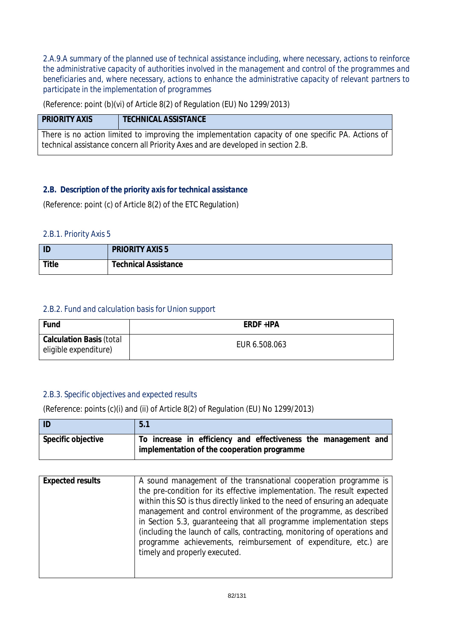*2.A.9.A summary of the planned use of technical assistance including, where necessary, actions to reinforce the administrative capacity of authorities involved in the management and control of the programmes and beneficiaries and, where necessary, actions to enhance the administrative capacity of relevant partners to participate in the implementation of programmes*

(Reference: point (b)(vi) of Article 8(2) of Regulation (EU) No 1299/2013)

| <b>PRIORITY AXIS</b>                                                                               | <b>TECHNICAL ASSISTANCE</b> |  |  |
|----------------------------------------------------------------------------------------------------|-----------------------------|--|--|
| There is no action limited to improving the implementation capacity of one specific PA. Actions of |                             |  |  |
| technical assistance concern all Priority Axes and are developed in section 2.B.                   |                             |  |  |

# *2.B. Description of the priority axis for technical assistance*

(Reference: point (c) of Article 8(2) of the ETC Regulation)

### *2.B.1. Priority Axis 5*

| ID           | <b>PRIORITY AXIS 5</b>      |
|--------------|-----------------------------|
| <b>Title</b> | <b>Technical Assistance</b> |

### *2.B.2. Fund and calculation basis for Union support*

| Fund                                                     | ERDF +IPA     |
|----------------------------------------------------------|---------------|
| <b>Calculation Basis (total</b><br>eligible expenditure) | EUR 6.508.063 |

# *2.B.3. Specific objectives and expected results*

(Reference: points (c)(i) and (ii) of Article 8(2) of Regulation (EU) No 1299/2013)

| ID                 | 5.1                                                            |  |  |  |
|--------------------|----------------------------------------------------------------|--|--|--|
| Specific objective | To increase in efficiency and effectiveness the management and |  |  |  |
|                    | implementation of the cooperation programme                    |  |  |  |

| <b>Expected results</b> | A sound management of the transnational cooperation programme is           |  |  |
|-------------------------|----------------------------------------------------------------------------|--|--|
|                         | the pre-condition for its effective implementation. The result expected    |  |  |
|                         | within this SO is thus directly linked to the need of ensuring an adequate |  |  |
|                         | management and control environment of the programme, as described          |  |  |
|                         | in Section 5.3, guaranteeing that all programme implementation steps       |  |  |
|                         | (including the launch of calls, contracting, monitoring of operations and  |  |  |
|                         | programme achievements, reimbursement of expenditure, etc.) are            |  |  |
|                         | timely and properly executed.                                              |  |  |
|                         |                                                                            |  |  |
|                         |                                                                            |  |  |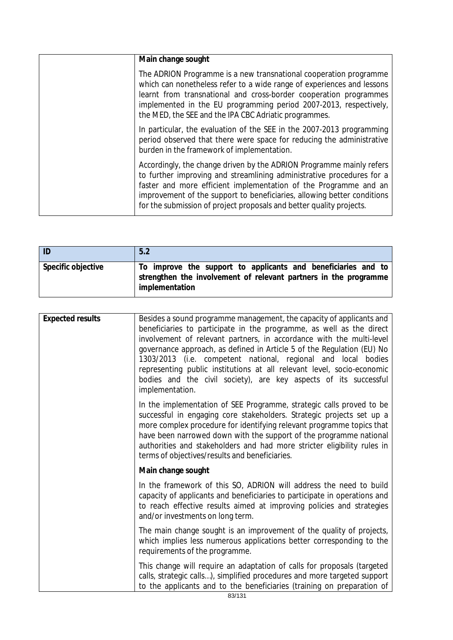| Main change sought                                                                                                                                                                                                                                                                                                                                                   |
|----------------------------------------------------------------------------------------------------------------------------------------------------------------------------------------------------------------------------------------------------------------------------------------------------------------------------------------------------------------------|
| The ADRION Programme is a new transnational cooperation programme<br>which can nonetheless refer to a wide range of experiences and lessons<br>learnt from transnational and cross-border cooperation programmes<br>implemented in the EU programming period 2007-2013, respectively,<br>the MED, the SEE and the IPA CBC Adriatic programmes.                       |
| In particular, the evaluation of the SEE in the 2007-2013 programming<br>period observed that there were space for reducing the administrative<br>burden in the framework of implementation.                                                                                                                                                                         |
| Accordingly, the change driven by the ADRION Programme mainly refers<br>to further improving and streamlining administrative procedures for a<br>faster and more efficient implementation of the Programme and an<br>improvement of the support to beneficiaries, allowing better conditions<br>for the submission of project proposals and better quality projects. |

| $ $ ID             | 5.2                                                                                                                                                 |
|--------------------|-----------------------------------------------------------------------------------------------------------------------------------------------------|
| Specific objective | To improve the support to applicants and beneficiaries and to<br>strengthen the involvement of relevant partners in the programme<br>implementation |

| <b>Expected results</b> | Besides a sound programme management, the capacity of applicants and<br>beneficiaries to participate in the programme, as well as the direct<br>involvement of relevant partners, in accordance with the multi-level<br>governance approach, as defined in Article 5 of the Regulation (EU) No<br>1303/2013 (i.e. competent national, regional and local bodies<br>representing public institutions at all relevant level, socio-economic<br>bodies and the civil society), are key aspects of its successful<br>implementation. |  |  |
|-------------------------|----------------------------------------------------------------------------------------------------------------------------------------------------------------------------------------------------------------------------------------------------------------------------------------------------------------------------------------------------------------------------------------------------------------------------------------------------------------------------------------------------------------------------------|--|--|
|                         | In the implementation of SEE Programme, strategic calls proved to be<br>successful in engaging core stakeholders. Strategic projects set up a<br>more complex procedure for identifying relevant programme topics that<br>have been narrowed down with the support of the programme national<br>authorities and stakeholders and had more stricter eligibility rules in<br>terms of objectives/results and beneficiaries.                                                                                                        |  |  |
|                         | Main change sought                                                                                                                                                                                                                                                                                                                                                                                                                                                                                                               |  |  |
|                         | In the framework of this SO, ADRION will address the need to build<br>capacity of applicants and beneficiaries to participate in operations and<br>to reach effective results aimed at improving policies and strategies<br>and/or investments on long term.                                                                                                                                                                                                                                                                     |  |  |
|                         | The main change sought is an improvement of the quality of projects,<br>which implies less numerous applications better corresponding to the<br>requirements of the programme.                                                                                                                                                                                                                                                                                                                                                   |  |  |
|                         | This change will require an adaptation of calls for proposals (targeted<br>calls, strategic calls), simplified procedures and more targeted support<br>to the applicants and to the beneficiaries (training on preparation of                                                                                                                                                                                                                                                                                                    |  |  |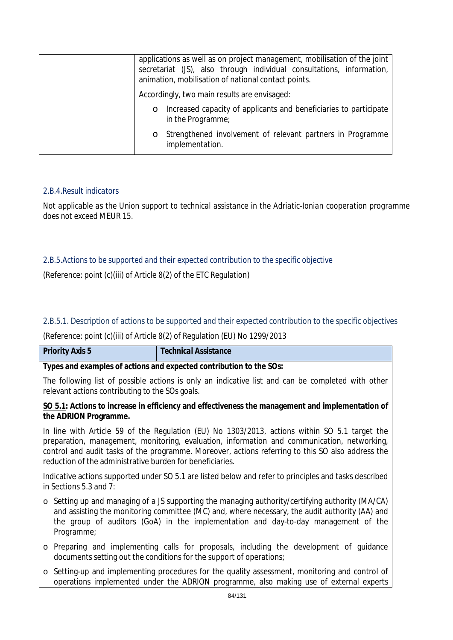| applications as well as on project management, mobilisation of the joint<br>secretariat (JS), also through individual consultations, information,<br>animation, mobilisation of national contact points. |  |  |
|----------------------------------------------------------------------------------------------------------------------------------------------------------------------------------------------------------|--|--|
| Accordingly, two main results are envisaged:                                                                                                                                                             |  |  |
| Increased capacity of applicants and beneficiaries to participate<br>$\circ$<br>in the Programme;                                                                                                        |  |  |
| Strengthened involvement of relevant partners in Programme<br>$\circ$<br>implementation.                                                                                                                 |  |  |

### *2.B.4.Result indicators*

*Not applicable as the Union support to technical assistance in the Adriatic-Ionian cooperation programme does not exceed MEUR 15.*

### *2.B.5.Actions to be supported and their expected contribution to the specific objective*

(Reference: point (c)(iii) of Article 8(2) of the ETC Regulation)

#### 2.B.5.1. Description of actions to be supported and their expected contribution to the specific objectives

(Reference: point (c)(iii) of Article 8(2) of Regulation (EU) No 1299/2013

| <b>Priority Axis 5</b>                                                                                                                                                                                                                                                                                                                                         | <b>Technical Assistance</b>                                                                                                                                                                                                                                                                    |  |  |
|----------------------------------------------------------------------------------------------------------------------------------------------------------------------------------------------------------------------------------------------------------------------------------------------------------------------------------------------------------------|------------------------------------------------------------------------------------------------------------------------------------------------------------------------------------------------------------------------------------------------------------------------------------------------|--|--|
|                                                                                                                                                                                                                                                                                                                                                                | Types and examples of actions and expected contribution to the SOs:                                                                                                                                                                                                                            |  |  |
| The following list of possible actions is only an indicative list and can be completed with other<br>relevant actions contributing to the SOs goals.                                                                                                                                                                                                           |                                                                                                                                                                                                                                                                                                |  |  |
| SO 5.1: Actions to increase in efficiency and effectiveness the management and implementation of<br>the ADRION Programme.                                                                                                                                                                                                                                      |                                                                                                                                                                                                                                                                                                |  |  |
| In line with Article 59 of the Regulation (EU) No 1303/2013, actions within SO 5.1 target the<br>preparation, management, monitoring, evaluation, information and communication, networking,<br>control and audit tasks of the programme. Moreover, actions referring to this SO also address the<br>reduction of the administrative burden for beneficiaries. |                                                                                                                                                                                                                                                                                                |  |  |
| in Sections 5.3 and 7:                                                                                                                                                                                                                                                                                                                                         | Indicative actions supported under SO 5.1 are listed below and refer to principles and tasks described                                                                                                                                                                                         |  |  |
| Programme;                                                                                                                                                                                                                                                                                                                                                     | $\circ$ Setting up and managing of a JS supporting the managing authority/certifying authority (MA/CA)<br>and assisting the monitoring committee (MC) and, where necessary, the audit authority (AA) and<br>the group of auditors (GoA) in the implementation and day-to-day management of the |  |  |
|                                                                                                                                                                                                                                                                                                                                                                | o Preparing and implementing calls for proposals, including the development of guidance<br>documents setting out the conditions for the support of operations;                                                                                                                                 |  |  |

o Setting-up and implementing procedures for the quality assessment, monitoring and control of operations implemented under the ADRION programme, also making use of external experts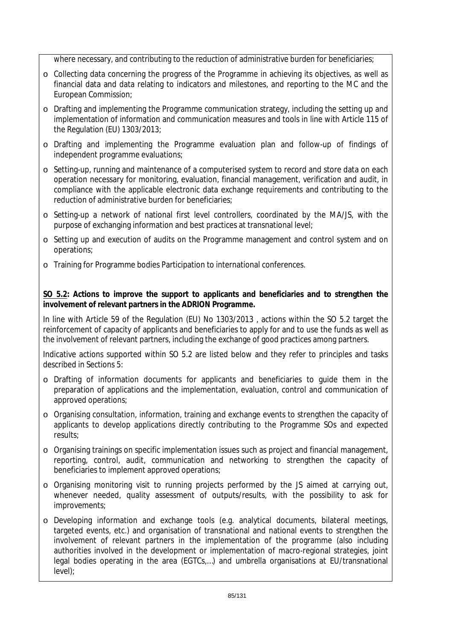where necessary, and contributing to the reduction of administrative burden for beneficiaries;

- o Collecting data concerning the progress of the Programme in achieving its objectives, as well as financial data and data relating to indicators and milestones, and reporting to the MC and the European Commission;
- o Drafting and implementing the Programme communication strategy, including the setting up and implementation of information and communication measures and tools in line with Article 115 of the Regulation (EU) 1303/2013;
- o Drafting and implementing the Programme evaluation plan and follow-up of findings of independent programme evaluations;
- o Setting-up, running and maintenance of a computerised system to record and store data on each operation necessary for monitoring, evaluation, financial management, verification and audit, in compliance with the applicable electronic data exchange requirements and contributing to the reduction of administrative burden for beneficiaries;
- o Setting-up a network of national first level controllers, coordinated by the MA/JS, with the purpose of exchanging information and best practices at transnational level;
- o Setting up and execution of audits on the Programme management and control system and on operations;
- o Training for Programme bodies Participation to international conferences.

# **SO 5.2: Actions to improve the support to applicants and beneficiaries and to strengthen the involvement of relevant partners in the ADRION Programme.**

In line with Article 59 of the Regulation (EU) No 1303/2013 , actions within the SO 5.2 target the reinforcement of capacity of applicants and beneficiaries to apply for and to use the funds as well as the involvement of relevant partners, including the exchange of good practices among partners.

Indicative actions supported within SO 5.2 are listed below and they refer to principles and tasks described in Sections 5:

- o Drafting of information documents for applicants and beneficiaries to guide them in the preparation of applications and the implementation, evaluation, control and communication of approved operations;
- o Organising consultation, information, training and exchange events to strengthen the capacity of applicants to develop applications directly contributing to the Programme SOs and expected results;
- o Organising trainings on specific implementation issues such as project and financial management, reporting, control, audit, communication and networking to strengthen the capacity of beneficiaries to implement approved operations;
- o Organising monitoring visit to running projects performed by the JS aimed at carrying out, whenever needed, quality assessment of outputs/results, with the possibility to ask for improvements;
- o Developing information and exchange tools (e.g. analytical documents, bilateral meetings, targeted events, etc.) and organisation of transnational and national events to strengthen the involvement of relevant partners in the implementation of the programme (also including authorities involved in the development or implementation of macro-regional strategies, joint legal bodies operating in the area (EGTCs,…) and umbrella organisations at EU/transnational level);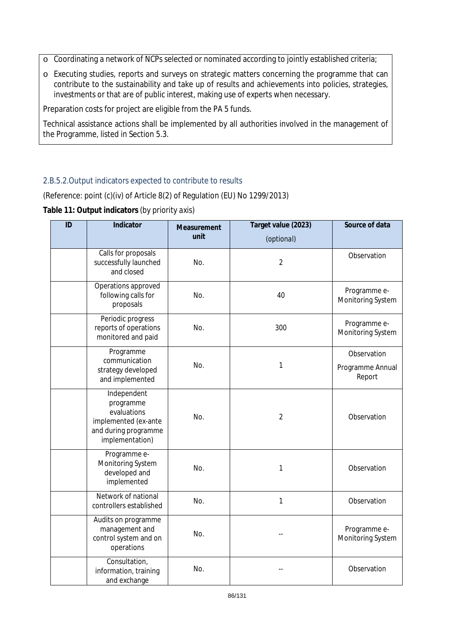o Coordinating a network of NCPs selected or nominated according to jointly established criteria;

o Executing studies, reports and surveys on strategic matters concerning the programme that can contribute to the sustainability and take up of results and achievements into policies, strategies, investments or that are of public interest, making use of experts when necessary.

Preparation costs for project are eligible from the PA 5 funds.

Technical assistance actions shall be implemented by all authorities involved in the management of the Programme, listed in Section 5.3.

# 2.B.5.2.Output indicators expected to contribute to results

(Reference: point (c)(iv) of Article 8(2) of Regulation (EU) No 1299/2013)

**Table 11: Output indicators** *(by priority axis)*

| ID | Indicator                                                                                                  | Measurement<br>unit | Target value (2023)<br>(optional) | Source of data                            |
|----|------------------------------------------------------------------------------------------------------------|---------------------|-----------------------------------|-------------------------------------------|
|    | Calls for proposals<br>successfully launched<br>and closed                                                 | No.                 | $\overline{2}$                    | Observation                               |
|    | Operations approved<br>following calls for<br>proposals                                                    | No.                 | 40                                | Programme e-<br>Monitoring System         |
|    | Periodic progress<br>reports of operations<br>monitored and paid                                           | No.                 | 300                               | Programme e-<br>Monitoring System         |
|    | Programme<br>communication<br>strategy developed<br>and implemented                                        | No.                 | 1                                 | Observation<br>Programme Annual<br>Report |
|    | Independent<br>programme<br>evaluations<br>implemented (ex-ante<br>and during programme<br>implementation) | No.                 | $\overline{2}$                    | Observation                               |
|    | Programme e-<br>Monitoring System<br>developed and<br>implemented                                          | No.                 | 1                                 | Observation                               |
|    | Network of national<br>controllers established                                                             | No.                 | $\mathbf{1}$                      | Observation                               |
|    | Audits on programme<br>management and<br>control system and on<br>operations                               | No.                 |                                   | Programme e-<br>Monitoring System         |
|    | Consultation,<br>information, training<br>and exchange                                                     | No.                 |                                   | Observation                               |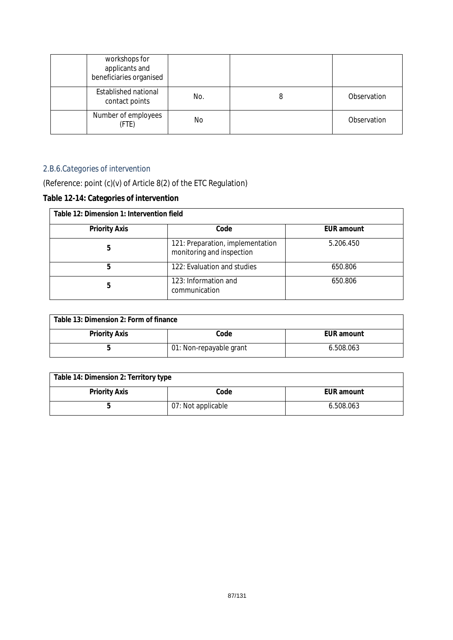| workshops for<br>applicants and<br>beneficiaries organised |     |             |
|------------------------------------------------------------|-----|-------------|
| <b>Established national</b><br>contact points              | No. | Observation |
| Number of employees<br>(FTE)                               | No. | Observation |

# *2.B.6.Categories of intervention*

(Reference: point (c)(v) of Article 8(2) of the ETC Regulation)

# **Table 12-14: Categories of intervention**

| Table 12: Dimension 1: Intervention field |                                                               |                   |  |  |  |
|-------------------------------------------|---------------------------------------------------------------|-------------------|--|--|--|
| <b>Priority Axis</b>                      | Code                                                          | <b>EUR</b> amount |  |  |  |
| 5                                         | 121: Preparation, implementation<br>monitoring and inspection | 5.206.450         |  |  |  |
| 5                                         | 122: Evaluation and studies                                   | 650.806           |  |  |  |
| 5                                         | 123: Information and<br>communication                         | 650.806           |  |  |  |

| Table 13: Dimension 2: Form of finance |                         |            |  |  |
|----------------------------------------|-------------------------|------------|--|--|
| <b>Priority Axis</b>                   | Code                    | EUR amount |  |  |
|                                        | 01: Non-repayable grant | 6.508.063  |  |  |

| Table 14: Dimension 2: Territory type |                    |            |  |  |
|---------------------------------------|--------------------|------------|--|--|
| <b>Priority Axis</b>                  | Code               | EUR amount |  |  |
|                                       | 07: Not applicable | 6.508.063  |  |  |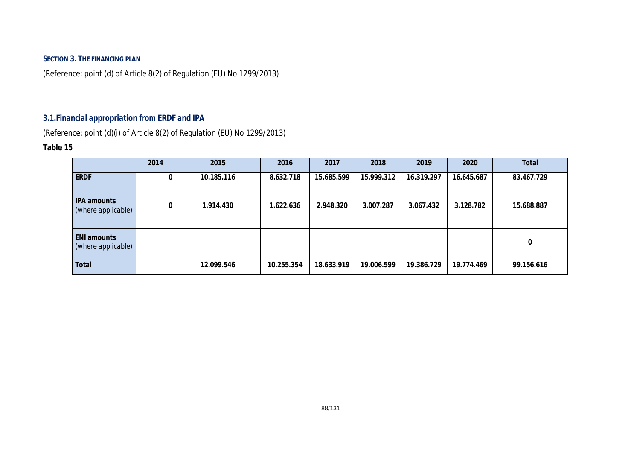# **SECTION 3. THE FINANCING PLAN**

(Reference: point (d) of Article 8(2) of Regulation (EU) No 1299/2013)

# *3.1.Financial appropriation from ERDF and IPA*

(Reference: point (d)(i) of Article 8(2) of Regulation (EU) No 1299/2013)

#### **Table 15**

|                                          | 2014 | 2015       | 2016       | 2017       | 2018       | 2019       | 2020       | <b>Total</b> |
|------------------------------------------|------|------------|------------|------------|------------|------------|------------|--------------|
| <b>ERDF</b>                              |      | 10.185.116 | 8.632.718  | 15.685.599 | 15.999.312 | 16.319.297 | 16.645.687 | 83.467.729   |
| <b>IPA</b> amounts<br>(where applicable) | 0    | 1.914.430  | 1.622.636  | 2.948.320  | 3.007.287  | 3.067.432  | 3.128.782  | 15.688.887   |
| <b>ENI</b> amounts<br>(where applicable) |      |            |            |            |            |            |            | 0            |
| <b>Total</b>                             |      | 12.099.546 | 10.255.354 | 18.633.919 | 19.006.599 | 19.386.729 | 19.774.469 | 99.156.616   |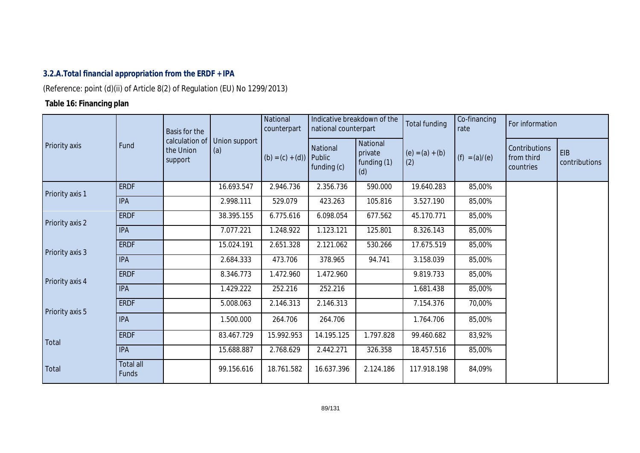# *3.2.A.Total financial appropriation from the ERDF + IPA*

(Reference: point (d)(ii) of Article 8(2) of Regulation (EU) No 1299/2013)

# **Table 16: Financing plan**

|                 |                           | Basis for the                          |                      | National<br>counterpart | national counterpart                | Indicative breakdown of the               | Total funding            | Co-financing<br>rate | For information                          |                      |
|-----------------|---------------------------|----------------------------------------|----------------------|-------------------------|-------------------------------------|-------------------------------------------|--------------------------|----------------------|------------------------------------------|----------------------|
| Priority axis   | Fund                      | calculation of<br>the Union<br>support | Union support<br>(a) | $(b) = (c) + (d)$       | National<br>Public<br>funding $(c)$ | National<br>private<br>funding (1)<br>(d) | $(e) = (a) + (b)$<br>(2) | $(f) = (a)/(e)$      | Contributions<br>from third<br>countries | EIB<br>contributions |
| Priority axis 1 | <b>ERDF</b>               |                                        | 16.693.547           | 2.946.736               | 2.356.736                           | 590.000                                   | 19.640.283               | 85,00%               |                                          |                      |
|                 | <b>IPA</b>                |                                        | 2.998.111            | 529.079                 | 423.263                             | 105.816                                   | 3.527.190                | 85,00%               |                                          |                      |
| Priority axis 2 | <b>ERDF</b>               |                                        | 38.395.155           | 6.775.616               | 6.098.054                           | 677.562                                   | 45.170.771               | 85,00%               |                                          |                      |
|                 | <b>IPA</b>                |                                        | 7.077.221            | 1.248.922               | 1.123.121                           | 125.801                                   | 8.326.143                | 85,00%               |                                          |                      |
|                 | <b>ERDF</b>               |                                        | 15.024.191           | 2.651.328               | 2.121.062                           | 530.266                                   | 17.675.519               | 85,00%               |                                          |                      |
| Priority axis 3 | <b>IPA</b>                |                                        | 2.684.333            | 473.706                 | 378.965                             | 94.741                                    | 3.158.039                | 85,00%               |                                          |                      |
|                 | <b>ERDF</b>               |                                        | 8.346.773            | 1.472.960               | 1.472.960                           |                                           | 9.819.733                | 85,00%               |                                          |                      |
| Priority axis 4 | <b>IPA</b>                |                                        | 1.429.222            | 252.216                 | 252.216                             |                                           | 1.681.438                | 85,00%               |                                          |                      |
|                 | <b>ERDF</b>               |                                        | 5.008.063            | 2.146.313               | 2.146.313                           |                                           | 7.154.376                | 70,00%               |                                          |                      |
| Priority axis 5 | <b>IPA</b>                |                                        | 1.500.000            | 264.706                 | 264.706                             |                                           | 1.764.706                | 85,00%               |                                          |                      |
| Total           | <b>ERDF</b>               |                                        | 83.467.729           | 15.992.953              | 14.195.125                          | 1.797.828                                 | 99.460.682               | 83,92%               |                                          |                      |
|                 | <b>IPA</b>                |                                        | 15.688.887           | 2.768.629               | 2.442.271                           | 326.358                                   | 18.457.516               | 85,00%               |                                          |                      |
| Total           | Total all<br><b>Funds</b> |                                        | 99.156.616           | 18.761.582              | 16.637.396                          | 2.124.186                                 | 117.918.198              | 84,09%               |                                          |                      |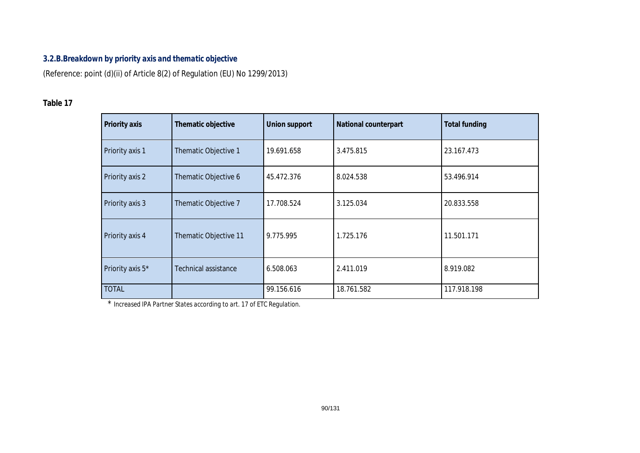# *3.2.B.Breakdown by priority axis and thematic objective*

(Reference: point (d)(ii) of Article 8(2) of Regulation (EU) No 1299/2013)

# **Table 17**

| Priority axis    | Thematic objective    | <b>Union support</b> | <b>National counterpart</b> | <b>Total funding</b> |
|------------------|-----------------------|----------------------|-----------------------------|----------------------|
| Priority axis 1  | Thematic Objective 1  | 19.691.658           | 3.475.815                   | 23.167.473           |
| Priority axis 2  | Thematic Objective 6  | 45.472.376           | 8.024.538                   | 53.496.914           |
| Priority axis 3  | Thematic Objective 7  | 17.708.524           | 3.125.034                   | 20.833.558           |
| Priority axis 4  | Thematic Objective 11 | 9.775.995            | 1.725.176                   | 11.501.171           |
| Priority axis 5* | Technical assistance  | 6.508.063            | 2.411.019                   | 8.919.082            |
| <b>TOTAL</b>     |                       | 99.156.616           | 18.761.582                  | 117.918.198          |

\* *Increased IPA Partner States according to art. 17 of ETC Regulation.*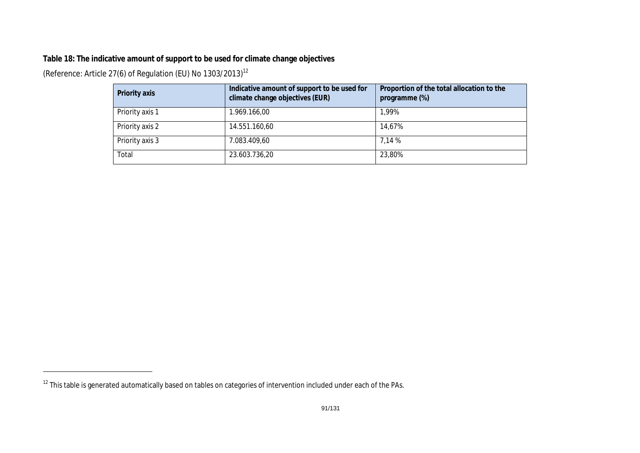# **Table 18: The indicative amount of support to be used for climate change objectives**

(Reference: Article 27(6) of Regulation (EU) No 1303/2013)<sup>12</sup>

| Priority axis   | Indicative amount of support to be used for<br>climate change objectives (EUR) | Proportion of the total allocation to the<br>programme (%) |
|-----------------|--------------------------------------------------------------------------------|------------------------------------------------------------|
| Priority axis 1 | 1.969.166,00                                                                   | 1,99%                                                      |
| Priority axis 2 | 14.551.160,60                                                                  | 14,67%                                                     |
| Priority axis 3 | 7.083.409,60                                                                   | 7.14 %                                                     |
| Total           | 23.603.736,20                                                                  | 23,80%                                                     |

 $12$  This table is generated automatically based on tables on categories of intervention included under each of the PAs.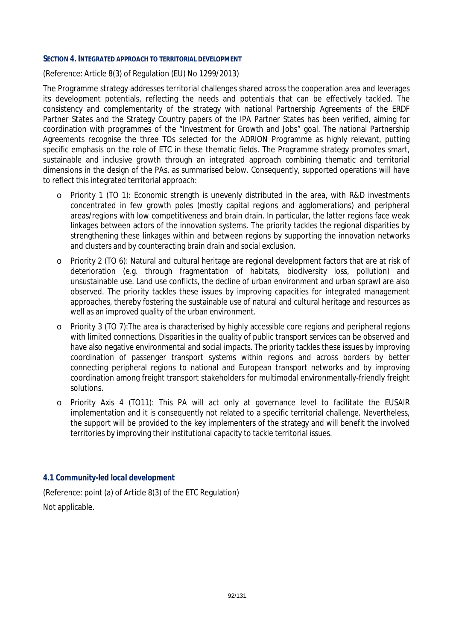#### **SECTION 4. INTEGRATED APPROACH TO TERRITORIAL DEVELOPMENT**

(Reference: Article 8(3) of Regulation (EU) No 1299/2013)

The Programme strategy addresses territorial challenges shared across the cooperation area and leverages its development potentials, reflecting the needs and potentials that can be effectively tackled. The consistency and complementarity of the strategy with national Partnership Agreements of the ERDF Partner States and the Strategy Country papers of the IPA Partner States has been verified, aiming for coordination with programmes of the "Investment for Growth and Jobs" goal. The national Partnership Agreements recognise the three TOs selected for the ADRION Programme as highly relevant, putting specific emphasis on the role of ETC in these thematic fields. The Programme strategy promotes smart, sustainable and inclusive growth through an integrated approach combining thematic and territorial dimensions in the design of the PAs, as summarised below. Consequently, supported operations will have to reflect this integrated territorial approach:

- o Priority 1 (TO 1): Economic strength is unevenly distributed in the area, with R&D investments concentrated in few growth poles (mostly capital regions and agglomerations) and peripheral areas/regions with low competitiveness and brain drain. In particular, the latter regions face weak linkages between actors of the innovation systems. The priority tackles the regional disparities by strengthening these linkages within and between regions by supporting the innovation networks and clusters and by counteracting brain drain and social exclusion.
- o Priority 2 (TO 6): Natural and cultural heritage are regional development factors that are at risk of deterioration (e.g. through fragmentation of habitats, biodiversity loss, pollution) and unsustainable use. Land use conflicts, the decline of urban environment and urban sprawl are also observed. The priority tackles these issues by improving capacities for integrated management approaches, thereby fostering the sustainable use of natural and cultural heritage and resources as well as an improved quality of the urban environment.
- o Priority 3 (TO 7):The area is characterised by highly accessible core regions and peripheral regions with limited connections. Disparities in the quality of public transport services can be observed and have also negative environmental and social impacts. The priority tackles these issues by improving coordination of passenger transport systems within regions and across borders by better connecting peripheral regions to national and European transport networks and by improving coordination among freight transport stakeholders for multimodal environmentally-friendly freight solutions.
- o Priority Axis 4 (TO11): This PA will act only at governance level to facilitate the EUSAIR implementation and it is consequently not related to a specific territorial challenge. Nevertheless, the support will be provided to the key implementers of the strategy and will benefit the involved territories by improving their institutional capacity to tackle territorial issues.

#### *4.1 Community-led local development*

(Reference: point (a) of Article 8(3) of the ETC Regulation) Not applicable.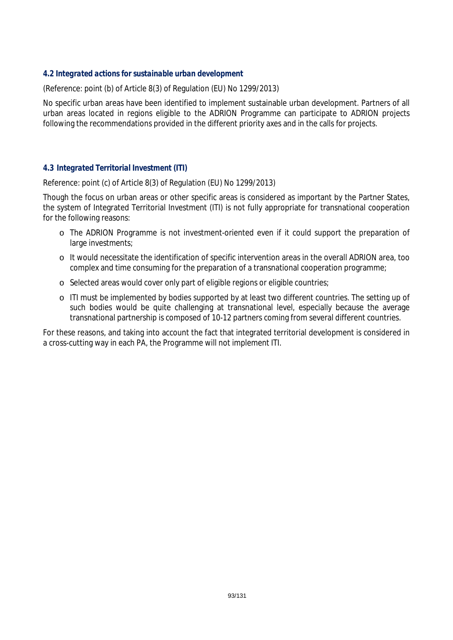#### *4.2 Integrated actions for sustainable urban development*

(Reference: point (b) of Article 8(3) of Regulation (EU) No 1299/2013)

No specific urban areas have been identified to implement sustainable urban development. Partners of all urban areas located in regions eligible to the ADRION Programme can participate to ADRION projects following the recommendations provided in the different priority axes and in the calls for projects*.*

#### *4.3 Integrated Territorial Investment (ITI)*

Reference: point (c) of Article 8(3) of Regulation (EU) No 1299/2013)

Though the focus on urban areas or other specific areas is considered as important by the Partner States, the system of Integrated Territorial Investment (ITI) is not fully appropriate for transnational cooperation for the following reasons:

- o The ADRION Programme is not investment-oriented even if it could support the preparation of large investments;
- o It would necessitate the identification of specific intervention areas in the overall ADRION area, too complex and time consuming for the preparation of a transnational cooperation programme;
- o Selected areas would cover only part of eligible regions or eligible countries;
- o ITI must be implemented by bodies supported by at least two different countries. The setting up of such bodies would be quite challenging at transnational level, especially because the average transnational partnership is composed of 10-12 partners coming from several different countries.

For these reasons, and taking into account the fact that integrated territorial development is considered in a cross-cutting way in each PA, the Programme will not implement ITI.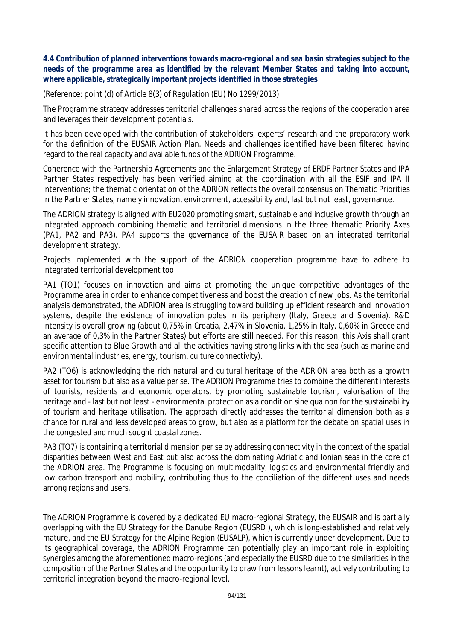### *4.4 Contribution of planned interventions towards macro-regional and sea basin strategies subject to the needs of the programme area as identified by the relevant Member States and taking into account, where applicable, strategically important projects identified in those strategies*

(Reference: point (d) of Article 8(3) of Regulation (EU) No 1299/2013)

The Programme strategy addresses territorial challenges shared across the regions of the cooperation area and leverages their development potentials.

It has been developed with the contribution of stakeholders, experts' research and the preparatory work for the definition of the EUSAIR Action Plan. Needs and challenges identified have been filtered having regard to the real capacity and available funds of the ADRION Programme.

Coherence with the Partnership Agreements and the Enlargement Strategy of ERDF Partner States and IPA Partner States respectively has been verified aiming at the coordination with all the ESIF and IPA II interventions; the thematic orientation of the ADRION reflects the overall consensus on Thematic Priorities in the Partner States, namely innovation, environment, accessibility and, last but not least, governance.

The ADRION strategy is aligned with EU2020 promoting smart, sustainable and inclusive growth through an integrated approach combining thematic and territorial dimensions in the three thematic Priority Axes (PA1, PA2 and PA3). PA4 supports the governance of the EUSAIR based on an integrated territorial development strategy.

Projects implemented with the support of the ADRION cooperation programme have to adhere to integrated territorial development too.

PA1 (TO1) focuses on innovation and aims at promoting the unique competitive advantages of the Programme area in order to enhance competitiveness and boost the creation of new jobs. As the territorial analysis demonstrated, the ADRION area is struggling toward building up efficient research and innovation systems, despite the existence of innovation poles in its periphery (Italy, Greece and Slovenia). R&D intensity is overall growing (about 0,75% in Croatia, 2,47% in Slovenia, 1,25% in Italy, 0,60% in Greece and an average of 0,3% in the Partner States) but efforts are still needed. For this reason, this Axis shall grant specific attention to Blue Growth and all the activities having strong links with the sea (such as marine and environmental industries, energy, tourism, culture connectivity).

PA2 (TO6) is acknowledging the rich natural and cultural heritage of the ADRION area both as a growth asset for tourism but also as a value *per se*. The ADRION Programme tries to combine the different interests of tourists, residents and economic operators, by promoting sustainable tourism, valorisation of the heritage and - last but not least - environmental protection as a condition *sine qua non* for the sustainability of tourism and heritage utilisation. The approach directly addresses the territorial dimension both as a chance for rural and less developed areas to grow, but also as a platform for the debate on spatial uses in the congested and much sought coastal zones.

PA3 (TO7) is containing a territorial dimension *per se* by addressing connectivity in the context of the spatial disparities between West and East but also across the dominating Adriatic and Ionian seas in the core of the ADRION area. The Programme is focusing on multimodality, logistics and environmental friendly and low carbon transport and mobility, contributing thus to the conciliation of the different uses and needs among regions and users.

The ADRION Programme is covered by a dedicated EU macro-regional Strategy, the EUSAIR and is partially overlapping with the EU Strategy for the Danube Region (EUSRD ), which is long-established and relatively mature, and the EU Strategy for the Alpine Region (EUSALP), which is currently under development. Due to its geographical coverage, the ADRION Programme can potentially play an important role in exploiting synergies among the aforementioned macro-regions (and especially the EUSRD due to the similarities in the composition of the Partner States and the opportunity to draw from lessons learnt), actively contributing to territorial integration beyond the macro-regional level.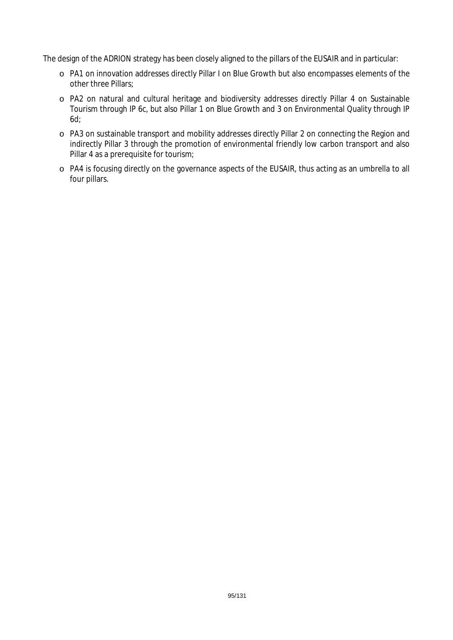The design of the ADRION strategy has been closely aligned to the pillars of the EUSAIR and in particular:

- o PA1 on innovation addresses directly Pillar I on Blue Growth but also encompasses elements of the other three Pillars;
- o PA2 on natural and cultural heritage and biodiversity addresses directly Pillar 4 on Sustainable Tourism through IP 6c, but also Pillar 1 on Blue Growth and 3 on Environmental Quality through IP 6d;
- o PA3 on sustainable transport and mobility addresses directly Pillar 2 on connecting the Region and indirectly Pillar 3 through the promotion of environmental friendly low carbon transport and also Pillar 4 as a prerequisite for tourism;
- o PA4 is focusing directly on the governance aspects of the EUSAIR, thus acting as an umbrella to all four pillars.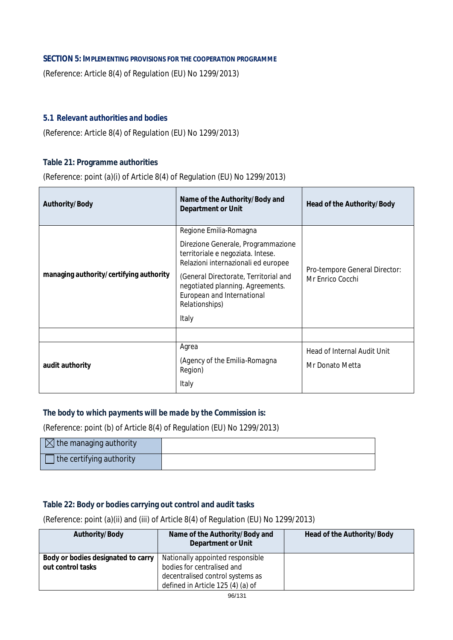## **SECTION 5: IMPLEMENTING PROVISIONS FOR THE COOPERATION PROGRAMME**

(Reference: Article 8(4) of Regulation (EU) No 1299/2013)

## *5.1 Relevant authorities and bodies*

(Reference: Article 8(4) of Regulation (EU) No 1299/2013)

#### **Table 21: Programme authorities**

(Reference: point (a)(i) of Article 8(4) of Regulation (EU) No 1299/2013)

| Authority/Body                          | Name of the Authority/Body and<br>Department or Unit                                                                      | Head of the Authority/Body                     |
|-----------------------------------------|---------------------------------------------------------------------------------------------------------------------------|------------------------------------------------|
|                                         | Regione Emilia-Romagna<br>Direzione Generale, Programmazione                                                              |                                                |
|                                         | territoriale e negoziata. Intese.<br>Relazioni internazionali ed europee                                                  | Pro-tempore General Director:                  |
| managing authority/certifying authority | (General Directorate, Territorial and<br>negotiated planning. Agreements.<br>European and International<br>Relationships) | Mr Enrico Cocchi                               |
|                                         | Italy                                                                                                                     |                                                |
|                                         |                                                                                                                           |                                                |
| audit authority                         | Agrea<br>(Agency of the Emilia-Romagna<br>Region)<br>Italy                                                                | Head of Internal Audit Unit<br>Mr Donato Metta |
|                                         |                                                                                                                           |                                                |

#### *The body to which payments will be made by the Commission is:*

(Reference: point (b) of Article 8(4) of Regulation (EU) No 1299/2013)

| $\boxtimes$ the managing authority |  |
|------------------------------------|--|
| the certifying authority           |  |

### **Table 22: Body or bodies carrying out control and audit tasks**

(Reference: point (a)(ii) and (iii) of Article 8(4) of Regulation (EU) No 1299/2013)

| Authority/Body                                          | Name of the Authority/Body and<br><b>Department or Unit</b>           | Head of the Authority/Body |
|---------------------------------------------------------|-----------------------------------------------------------------------|----------------------------|
| Body or bodies designated to carry<br>out control tasks | Nationally appointed responsible<br>bodies for centralised and        |                            |
|                                                         | decentralised control systems as<br>defined in Article 125 (4) (a) of |                            |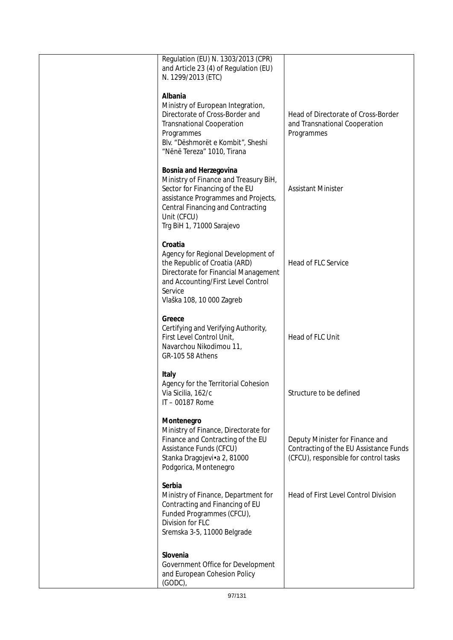| Regulation (EU) N. 1303/2013 (CPR)<br>and Article 23 (4) of Regulation (EU)<br>N. 1299/2013 (ETC)                                                                                                                         |                                                                                                                    |
|---------------------------------------------------------------------------------------------------------------------------------------------------------------------------------------------------------------------------|--------------------------------------------------------------------------------------------------------------------|
| Albania<br>Ministry of European Integration,<br>Directorate of Cross-Border and<br><b>Transnational Cooperation</b><br>Programmes<br>Blv. "Dëshmorët e Kombit", Sheshi<br>"Nënë Tereza" 1010, Tirana                      | Head of Directorate of Cross-Border<br>and Transnational Cooperation<br>Programmes                                 |
| Bosnia and Herzegovina<br>Ministry of Finance and Treasury BiH,<br>Sector for Financing of the EU<br>assistance Programmes and Projects,<br>Central Financing and Contracting<br>Unit (CFCU)<br>Trg BiH 1, 71000 Sarajevo | <b>Assistant Minister</b>                                                                                          |
| Croatia<br>Agency for Regional Development of<br>the Republic of Croatia (ARD)<br>Directorate for Financial Management<br>and Accounting/First Level Control<br>Service<br>Vlaška 108, 10 000 Zagreb                      | Head of FLC Service                                                                                                |
| Greece<br>Certifying and Verifying Authority,<br>First Level Control Unit,<br>Navarchou Nikodimou 11,<br>GR-105 58 Athens                                                                                                 | Head of FLC Unit                                                                                                   |
| Italy<br>Agency for the Territorial Cohesion<br>Via Sicilia, 162/c<br>IT-00187 Rome                                                                                                                                       | Structure to be defined                                                                                            |
| Montenegro<br>Ministry of Finance, Directorate for<br>Finance and Contracting of the EU<br>Assistance Funds (CFCU)<br>Stanka Dragojevi•a 2, 81000<br>Podgorica, Montenegro                                                | Deputy Minister for Finance and<br>Contracting of the EU Assistance Funds<br>(CFCU), responsible for control tasks |
| Serbia<br>Ministry of Finance, Department for<br>Contracting and Financing of EU<br>Funded Programmes (CFCU),<br>Division for FLC<br>Sremska 3-5, 11000 Belgrade                                                          | Head of First Level Control Division                                                                               |
| Slovenia<br>Government Office for Development<br>and European Cohesion Policy<br>(GODC),                                                                                                                                  |                                                                                                                    |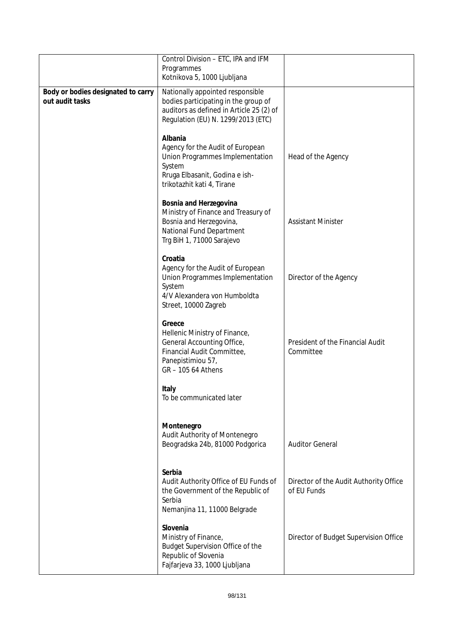|                                                       | Control Division - ETC, IPA and IFM<br>Programmes<br>Kotnikova 5, 1000 Ljubljana                                                                           |                                                       |
|-------------------------------------------------------|------------------------------------------------------------------------------------------------------------------------------------------------------------|-------------------------------------------------------|
| Body or bodies designated to carry<br>out audit tasks | Nationally appointed responsible<br>bodies participating in the group of<br>auditors as defined in Article 25 (2) of<br>Regulation (EU) N. 1299/2013 (ETC) |                                                       |
|                                                       | Albania<br>Agency for the Audit of European<br>Union Programmes Implementation<br>System<br>Rruga Elbasanit, Godina e ish-<br>trikotazhit kati 4, Tirane   | Head of the Agency                                    |
|                                                       | Bosnia and Herzegovina<br>Ministry of Finance and Treasury of<br>Bosnia and Herzegovina,<br>National Fund Department<br>Trg BiH 1, 71000 Sarajevo          | <b>Assistant Minister</b>                             |
|                                                       | Croatia<br>Agency for the Audit of European<br>Union Programmes Implementation<br>System<br>4/V Alexandera von Humboldta<br>Street, 10000 Zagreb           | Director of the Agency                                |
|                                                       | Greece<br>Hellenic Ministry of Finance,<br>General Accounting Office,<br>Financial Audit Committee,<br>Panepistimiou 57,<br>GR - 105 64 Athens             | President of the Financial Audit<br>Committee         |
|                                                       | Italy<br>To be communicated later                                                                                                                          |                                                       |
|                                                       | Montenegro<br>Audit Authority of Montenegro<br>Beogradska 24b, 81000 Podgorica                                                                             | <b>Auditor General</b>                                |
|                                                       | Serbia<br>Audit Authority Office of EU Funds of<br>the Government of the Republic of<br>Serbia<br>Nemanjina 11, 11000 Belgrade                             | Director of the Audit Authority Office<br>of EU Funds |
|                                                       | Slovenia<br>Ministry of Finance,<br>Budget Supervision Office of the<br>Republic of Slovenia<br>Fajfarjeva 33, 1000 Ljubljana                              | Director of Budget Supervision Office                 |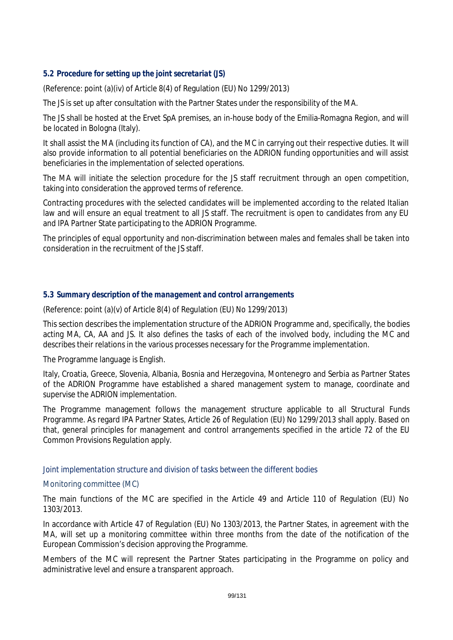# *5.2 Procedure for setting up the joint secretariat (JS)*

(Reference: point (a)(iv) of Article 8(4) of Regulation (EU) No 1299/2013)

The JS is set up after consultation with the Partner States under the responsibility of the MA.

The JS shall be hosted at the Ervet SpA premises, an in-house body of the Emilia-Romagna Region, and will be located in Bologna (Italy).

It shall assist the MA (including its function of CA), and the MC in carrying out their respective duties. It will also provide information to all potential beneficiaries on the ADRION funding opportunities and will assist beneficiaries in the implementation of selected operations.

The MA will initiate the selection procedure for the JS staff recruitment through an open competition, taking into consideration the approved terms of reference.

Contracting procedures with the selected candidates will be implemented according to the related Italian law and will ensure an equal treatment to all JS staff. The recruitment is open to candidates from any EU and IPA Partner State participating to the ADRION Programme.

The principles of equal opportunity and non-discrimination between males and females shall be taken into consideration in the recruitment of the JS staff.

#### *5.3 Summary description of the management and control arrangements*

(Reference: point (a)(v) of Article 8(4) of Regulation (EU) No 1299/2013)

This section describes the implementation structure of the ADRION Programme and, specifically, the bodies acting MA, CA, AA and JS. It also defines the tasks of each of the involved body, including the MC and describes their relations in the various processes necessary for the Programme implementation.

The Programme language is English.

Italy, Croatia, Greece, Slovenia, Albania, Bosnia and Herzegovina, Montenegro and Serbia as Partner States of the ADRION Programme have established a shared management system to manage, coordinate and supervise the ADRION implementation.

The Programme management follows the management structure applicable to all Structural Funds Programme. As regard IPA Partner States, Article 26 of Regulation (EU) No 1299/2013 shall apply. Based on that, general principles for management and control arrangements specified in the article 72 of the EU Common Provisions Regulation apply.

#### *Joint implementation structure and division of tasks between the different bodies*

#### Monitoring committee (MC)

The main functions of the MC are specified in the Article 49 and Article 110 of Regulation (EU) No 1303/2013.

In accordance with Article 47 of Regulation (EU) No 1303/2013, the Partner States, in agreement with the MA, will set up a monitoring committee within three months from the date of the notification of the European Commission's decision approving the Programme.

Members of the MC will represent the Partner States participating in the Programme on policy and administrative level and ensure a transparent approach.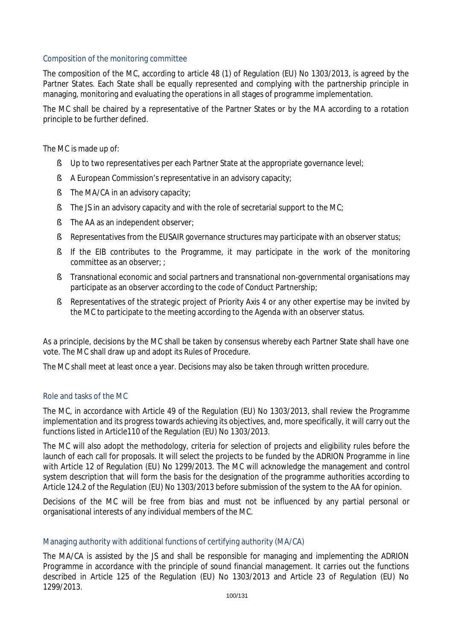## Composition of the monitoring committee

The composition of the MC, according to article 48 (1) of Regulation (EU) No 1303/2013, is agreed by the Partner States. Each State shall be equally represented and complying with the partnership principle in managing, monitoring and evaluating the operations in all stages of programme implementation.

The MC shall be chaired by a representative of the Partner States or by the MA according to a rotation principle to be further defined.

The MC is made up of:

- § Up to two representatives per each Partner State at the appropriate governance level;
- § A European Commission's representative in an advisory capacity;
- § The MA/CA in an advisory capacity;
- § The JS in an advisory capacity and with the role of secretarial support to the MC;
- § The AA as an independent observer;
- § Representatives from the EUSAIR governance structures may participate with an observer status;
- § If the EIB contributes to the Programme, it may participate in the work of the monitoring committee as an observer; ;
- § Transnational economic and social partners and transnational non-governmental organisations may participate as an observer according to the code of Conduct Partnership;
- § Representatives of the strategic project of Priority Axis 4 or any other expertise may be invited by the MC to participate to the meeting according to the Agenda with an observer status.

As a principle, decisions by the MC shall be taken by consensus whereby each Partner State shall have one vote. The MC shall draw up and adopt its Rules of Procedure.

The MC shall meet at least once a year. Decisions may also be taken through written procedure.

#### Role and tasks of the MC

The MC, in accordance with Article 49 of the Regulation (EU) No 1303/2013, shall review the Programme implementation and its progress towards achieving its objectives, and, more specifically, it will carry out the functions listed in Article110 of the Regulation (EU) No 1303/2013.

The MC will also adopt the methodology, criteria for selection of projects and eligibility rules before the launch of each call for proposals. It will select the projects to be funded by the ADRION Programme in line with Article 12 of Regulation (EU) No 1299/2013. The MC will acknowledge the management and control system description that will form the basis for the designation of the programme authorities according to Article 124.2 of the Regulation (EU) No 1303/2013 before submission of the system to the AA for opinion.

Decisions of the MC will be free from bias and must not be influenced by any partial personal or organisational interests of any individual members of the MC.

#### Managing authority with additional functions of certifying authority (MA/CA)

The MA/CA is assisted by the JS and shall be responsible for managing and implementing the ADRION Programme in accordance with the principle of sound financial management. It carries out the functions described in Article 125 of the Regulation (EU) No 1303/2013 and Article 23 of Regulation (EU) No 1299/2013.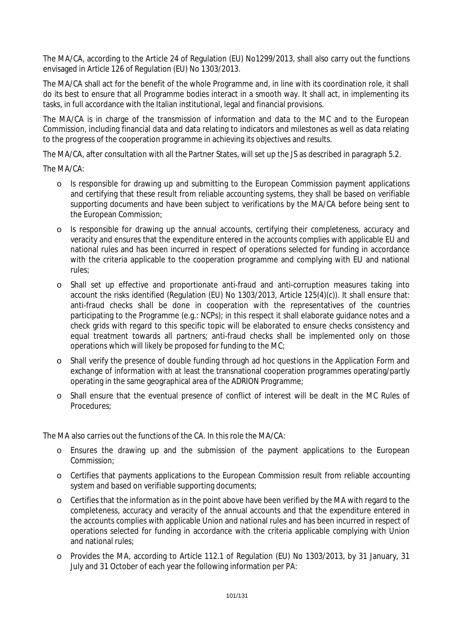The MA/CA, according to the Article 24 of Regulation (EU) No1299/2013, shall also carry out the functions envisaged in Article 126 of Regulation (EU) No 1303/2013.

The MA/CA shall act for the benefit of the whole Programme and, in line with its coordination role, it shall do its best to ensure that all Programme bodies interact in a smooth way. It shall act, in implementing its tasks, in full accordance with the Italian institutional, legal and financial provisions.

The MA/CA is in charge of the transmission of information and data to the MC and to the European Commission, including financial data and data relating to indicators and milestones as well as data relating to the progress of the cooperation programme in achieving its objectives and results.

The MA/CA, after consultation with all the Partner States, will set up the JS as described in paragraph 5.2.

The MA/CA:

- o Is responsible for drawing up and submitting to the European Commission payment applications and certifying that these result from reliable accounting systems, they shall be based on verifiable supporting documents and have been subject to verifications by the MA/CA before being sent to the European Commission;
- o Is responsible for drawing up the annual accounts, certifying their completeness, accuracy and veracity and ensures that the expenditure entered in the accounts complies with applicable EU and national rules and has been incurred in respect of operations selected for funding in accordance with the criteria applicable to the cooperation programme and complying with EU and national rules;
- o Shall set up effective and proportionate anti-fraud and anti-corruption measures taking into account the risks identified (Regulation (EU) No 1303/2013, Article 125(4)(c)). It shall ensure that: anti-fraud checks shall be done in cooperation with the representatives of the countries participating to the Programme (e.g.: NCPs); in this respect it shall elaborate guidance notes and a check grids with regard to this specific topic will be elaborated to ensure checks consistency and equal treatment towards all partners; anti-fraud checks shall be implemented only on those operations which will likely be proposed for funding to the MC;
- o Shall verify the presence of double funding through ad hoc questions in the Application Form and exchange of information with at least the transnational cooperation programmes operating/partly operating in the same geographical area of the ADRION Programme;
- o Shall ensure that the eventual presence of conflict of interest will be dealt in the MC Rules of Procedures;

The MA also carries out the functions of the CA. In this role the MA/CA:

- o Ensures the drawing up and the submission of the payment applications to the European Commission;
- o Certifies that payments applications to the European Commission result from reliable accounting system and based on verifiable supporting documents;
- o Certifies that the information as in the point above have been verified by the MA with regard to the completeness, accuracy and veracity of the annual accounts and that the expenditure entered in the accounts complies with applicable Union and national rules and has been incurred in respect of operations selected for funding in accordance with the criteria applicable complying with Union and national rules;
- o Provides the MA, according to Article 112.1 of Regulation (EU) No 1303/2013, by 31 January, 31 July and 31 October of each year the following information per PA: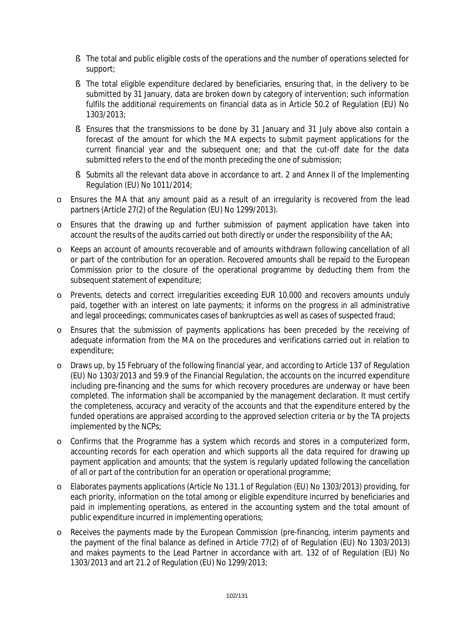- § The total and public eligible costs of the operations and the number of operations selected for support;
- § The total eligible expenditure declared by beneficiaries, ensuring that, in the delivery to be submitted by 31 January, data are broken down by category of intervention; such information fulfils the additional requirements on financial data as in Article 50.2 of Regulation (EU) No 1303/2013;
- § Ensures that the transmissions to be done by 31 January and 31 July above also contain a forecast of the amount for which the MA expects to submit payment applications for the current financial year and the subsequent one; and that the cut-off date for the data submitted refers to the end of the month preceding the one of submission;
- § Submits all the relevant data above in accordance to art. 2 and Annex II of the Implementing Regulation (EU) No 1011/2014;
- o Ensures the MA that any amount paid as a result of an irregularity is recovered from the lead partners (Article 27(2) of the Regulation (EU) No 1299/2013).
- o Ensures that the drawing up and further submission of payment application have taken into account the results of the audits carried out both directly or under the responsibility of the AA;
- o Keeps an account of amounts recoverable and of amounts withdrawn following cancellation of all or part of the contribution for an operation. Recovered amounts shall be repaid to the European Commission prior to the closure of the operational programme by deducting them from the subsequent statement of expenditure;
- o Prevents, detects and correct irregularities exceeding EUR 10.000 and recovers amounts unduly paid, together with an interest on late payments; it informs on the progress in all administrative and legal proceedings; communicates cases of bankruptcies as well as cases of suspected fraud;
- o Ensures that the submission of payments applications has been preceded by the receiving of adequate information from the MA on the procedures and verifications carried out in relation to expenditure;
- o Draws up, by 15 February of the following financial year, and according to Article 137 of Regulation (EU) No 1303/2013 and 59.9 of the Financial Regulation, the accounts on the incurred expenditure including pre-financing and the sums for which recovery procedures are underway or have been completed. The information shall be accompanied by the management declaration. It must certify the completeness, accuracy and veracity of the accounts and that the expenditure entered by the funded operations are appraised according to the approved selection criteria or by the TA projects implemented by the NCPs;
- o Confirms that the Programme has a system which records and stores in a computerized form, accounting records for each operation and which supports all the data required for drawing up payment application and amounts; that the system is regularly updated following the cancellation of all or part of the contribution for an operation or operational programme;
- o Elaborates payments applications (Article No 131.1 of Regulation (EU) No 1303/2013) providing, for each priority, information on the total among or eligible expenditure incurred by beneficiaries and paid in implementing operations, as entered in the accounting system and the total amount of public expenditure incurred in implementing operations;
- o Receives the payments made by the European Commission (pre-financing, interim payments and the payment of the final balance as defined in Article 77(2) of of Regulation (EU) No 1303/2013) and makes payments to the Lead Partner in accordance with art. 132 of of Regulation (EU) No 1303/2013 and art 21.2 of Regulation (EU) No 1299/2013;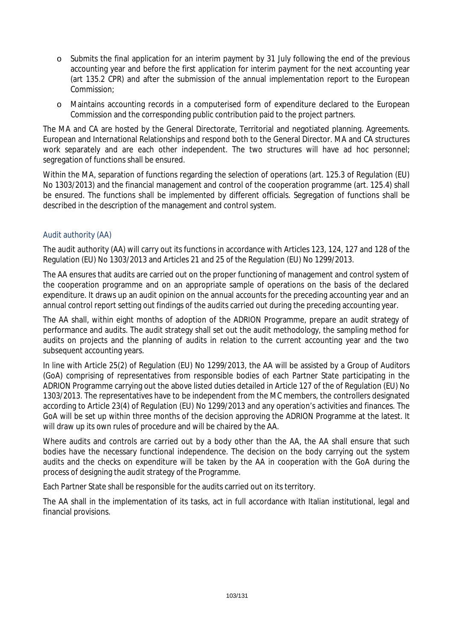- o Submits the final application for an interim payment by 31 July following the end of the previous accounting year and before the first application for interim payment for the next accounting year (art 135.2 CPR) and after the submission of the annual implementation report to the European Commission;
- o Maintains accounting records in a computerised form of expenditure declared to the European Commission and the corresponding public contribution paid to the project partners.

The MA and CA are hosted by the General Directorate, Territorial and negotiated planning. Agreements. European and International Relationships and respond both to the General Director. MA and CA structures work separately and are each other independent. The two structures will have ad hoc personnel; segregation of functions shall be ensured.

Within the MA, separation of functions regarding the selection of operations (art. 125.3 of Regulation (EU) No 1303/2013) and the financial management and control of the cooperation programme (art. 125.4) shall be ensured. The functions shall be implemented by different officials. Segregation of functions shall be described in the description of the management and control system.

# Audit authority (AA)

The audit authority (AA) will carry out its functions in accordance with Articles 123, 124, 127 and 128 of the Regulation (EU) No 1303/2013 and Articles 21 and 25 of the Regulation (EU) No 1299/2013.

The AA ensures that audits are carried out on the proper functioning of management and control system of the cooperation programme and on an appropriate sample of operations on the basis of the declared expenditure. It draws up an audit opinion on the annual accounts for the preceding accounting year and an annual control report setting out findings of the audits carried out during the preceding accounting year.

The AA shall, within eight months of adoption of the ADRION Programme, prepare an audit strategy of performance and audits. The audit strategy shall set out the audit methodology, the sampling method for audits on projects and the planning of audits in relation to the current accounting year and the two subsequent accounting years.

In line with Article 25(2) of Regulation (EU) No 1299/2013, the AA will be assisted by a Group of Auditors (GoA) comprising of representatives from responsible bodies of each Partner State participating in the ADRION Programme carrying out the above listed duties detailed in Article 127 of the of Regulation (EU) No 1303/2013. The representatives have to be independent from the MC members, the controllers designated according to Article 23(4) of Regulation (EU) No 1299/2013 and any operation's activities and finances. The GoA will be set up within three months of the decision approving the ADRION Programme at the latest. It will draw up its own rules of procedure and will be chaired by the AA.

Where audits and controls are carried out by a body other than the AA, the AA shall ensure that such bodies have the necessary functional independence. The decision on the body carrying out the system audits and the checks on expenditure will be taken by the AA in cooperation with the GoA during the process of designing the audit strategy of the Programme.

Each Partner State shall be responsible for the audits carried out on its territory.

The AA shall in the implementation of its tasks, act in full accordance with Italian institutional, legal and financial provisions.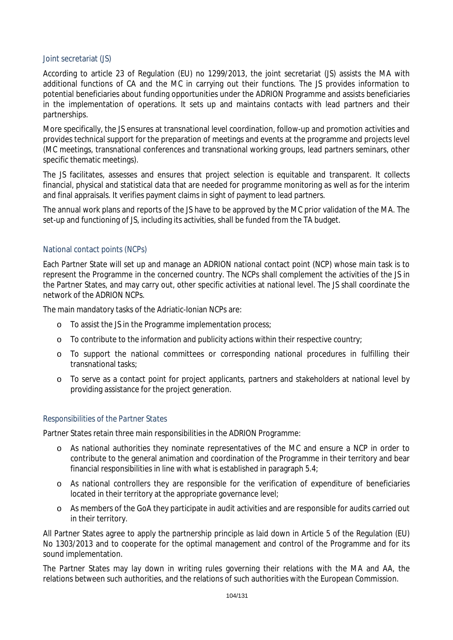#### Joint secretariat (JS)

According to article 23 of Regulation (EU) no 1299/2013, the joint secretariat (JS) assists the MA with additional functions of CA and the MC in carrying out their functions. The JS provides information to potential beneficiaries about funding opportunities under the ADRION Programme and assists beneficiaries in the implementation of operations. It sets up and maintains contacts with lead partners and their partnerships.

More specifically, the JS ensures at transnational level coordination, follow-up and promotion activities and provides technical support for the preparation of meetings and events at the programme and projects level (MC meetings, transnational conferences and transnational working groups, lead partners seminars, other specific thematic meetings).

The JS facilitates, assesses and ensures that project selection is equitable and transparent. It collects financial, physical and statistical data that are needed for programme monitoring as well as for the interim and final appraisals. It verifies payment claims in sight of payment to lead partners.

The annual work plans and reports of the JS have to be approved by the MC prior validation of the MA. The set-up and functioning of JS, including its activities, shall be funded from the TA budget.

#### National contact points (NCPs)

Each Partner State will set up and manage an ADRION national contact point (NCP) whose main task is to represent the Programme in the concerned country. The NCPs shall complement the activities of the JS in the Partner States, and may carry out, other specific activities at national level. The JS shall coordinate the network of the ADRION NCPs.

The main mandatory tasks of the Adriatic-Ionian NCPs are:

- o To assist the JS in the Programme implementation process;
- o To contribute to the information and publicity actions within their respective country;
- o To support the national committees or corresponding national procedures in fulfilling their transnational tasks;
- o To serve as a contact point for project applicants, partners and stakeholders at national level by providing assistance for the project generation.

#### *Responsibilities of the Partner States*

Partner States retain three main responsibilities in the ADRION Programme:

- o As national authorities they nominate representatives of the MC and ensure a NCP in order to contribute to the general animation and coordination of the Programme in their territory and bear financial responsibilities in line with what is established in paragraph 5.4;
- o As national controllers they are responsible for the verification of expenditure of beneficiaries located in their territory at the appropriate governance level;
- o As members of the GoA they participate in audit activities and are responsible for audits carried out in their territory.

All Partner States agree to apply the partnership principle as laid down in Article 5 of the Regulation (EU) No 1303/2013 and to cooperate for the optimal management and control of the Programme and for its sound implementation.

The Partner States may lay down in writing rules governing their relations with the MA and AA, the relations between such authorities, and the relations of such authorities with the European Commission.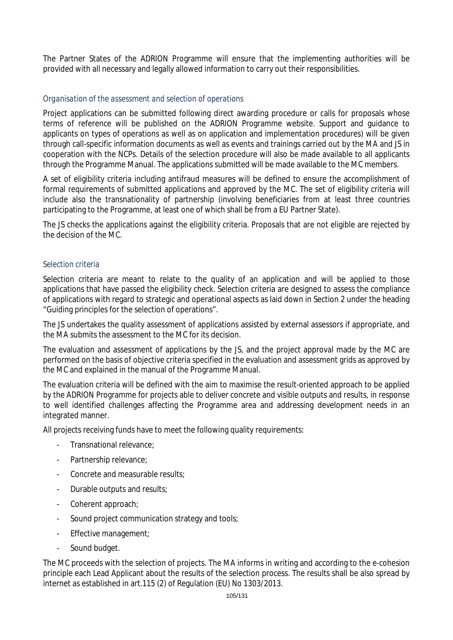The Partner States of the ADRION Programme will ensure that the implementing authorities will be provided with all necessary and legally allowed information to carry out their responsibilities.

### *Organisation of the assessment and selection of operations*

Project applications can be submitted following direct awarding procedure or calls for proposals whose terms of reference will be published on the ADRION Programme website. Support and guidance to applicants on types of operations as well as on application and implementation procedures) will be given through call-specific information documents as well as events and trainings carried out by the MA and JS in cooperation with the NCPs. Details of the selection procedure will also be made available to all applicants through the Programme Manual. The applications submitted will be made available to the MC members.

A set of eligibility criteria including antifraud measures will be defined to ensure the accomplishment of formal requirements of submitted applications and approved by the MC. The set of eligibility criteria will include also the transnationality of partnership (involving beneficiaries from at least three countries participating to the Programme, at least one of which shall be from a EU Partner State).

The JS checks the applications against the eligibility criteria. Proposals that are not eligible are rejected by the decision of the MC.

#### *Selection criteria*

Selection criteria are meant to relate to the quality of an application and will be applied to those applications that have passed the eligibility check. Selection criteria are designed to assess the compliance of applications with regard to strategic and operational aspects as laid down in Section 2 under the heading "Guiding principles for the selection of operations".

The JS undertakes the quality assessment of applications assisted by external assessors if appropriate, and the MA submits the assessment to the MC for its decision.

The evaluation and assessment of applications by the JS, and the project approval made by the MC are performed on the basis of objective criteria specified in the evaluation and assessment grids as approved by the MC and explained in the manual of the Programme Manual.

The evaluation criteria will be defined with the aim to maximise the result-oriented approach to be applied by the ADRION Programme for projects able to deliver concrete and visible outputs and results, in response to well identified challenges affecting the Programme area and addressing development needs in an integrated manner.

All projects receiving funds have to meet the following quality requirements:

- Transnational relevance;
- Partnership relevance;
- Concrete and measurable results;
- Durable outputs and results;
- Coherent approach;
- Sound project communication strategy and tools;
- Effective management;
- Sound budget.

The MC proceeds with the selection of projects. The MA informs in writing and according to the e-cohesion principle each Lead Applicant about the results of the selection process. The results shall be also spread by internet as established in art.115 (2) of Regulation (EU) No 1303/2013.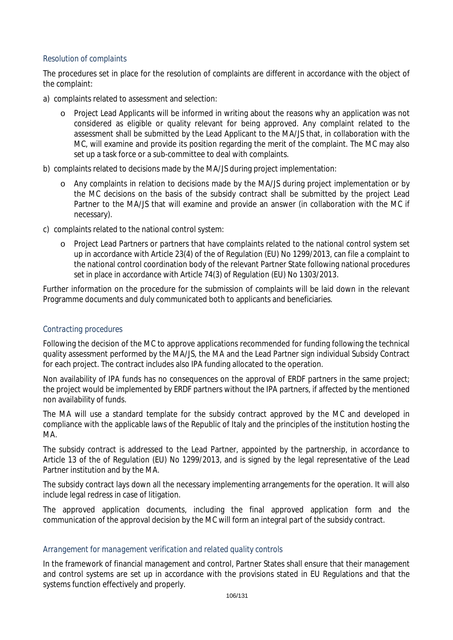### *Resolution of complaints*

The procedures set in place for the resolution of complaints are different in accordance with the object of the complaint:

- a) complaints related to assessment and selection:
	- o Project Lead Applicants will be informed in writing about the reasons why an application was not considered as eligible or quality relevant for being approved. Any complaint related to the assessment shall be submitted by the Lead Applicant to the MA/JS that, in collaboration with the MC, will examine and provide its position regarding the merit of the complaint. The MC may also set up a task force or a sub-committee to deal with complaints.
- b) complaints related to decisions made by the MA/JS during project implementation:
	- o Any complaints in relation to decisions made by the MA/JS during project implementation or by the MC decisions on the basis of the subsidy contract shall be submitted by the project Lead Partner to the MA/JS that will examine and provide an answer (in collaboration with the MC if necessary).
- c) complaints related to the national control system:
	- o Project Lead Partners or partners that have complaints related to the national control system set up in accordance with Article 23(4) of the of Regulation (EU) No 1299/2013, can file a complaint to the national control coordination body of the relevant Partner State following national procedures set in place in accordance with Article 74(3) of Regulation (EU) No 1303/2013.

Further information on the procedure for the submission of complaints will be laid down in the relevant Programme documents and duly communicated both to applicants and beneficiaries.

# *Contracting procedures*

Following the decision of the MC to approve applications recommended for funding following the technical quality assessment performed by the MA/JS, the MA and the Lead Partner sign individual Subsidy Contract for each project. The contract includes also IPA funding allocated to the operation.

Non availability of IPA funds has no consequences on the approval of ERDF partners in the same project: the project would be implemented by ERDF partners without the IPA partners, if affected by the mentioned non availability of funds.

The MA will use a standard template for the subsidy contract approved by the MC and developed in compliance with the applicable laws of the Republic of Italy and the principles of the institution hosting the MA.

The subsidy contract is addressed to the Lead Partner, appointed by the partnership, in accordance to Article 13 of the of Regulation (EU) No 1299/2013, and is signed by the legal representative of the Lead Partner institution and by the MA.

The subsidy contract lays down all the necessary implementing arrangements for the operation. It will also include legal redress in case of litigation.

The approved application documents, including the final approved application form and the communication of the approval decision by the MC will form an integral part of the subsidy contract.

# *Arrangement for management verification and related quality controls*

In the framework of financial management and control, Partner States shall ensure that their management and control systems are set up in accordance with the provisions stated in EU Regulations and that the systems function effectively and properly.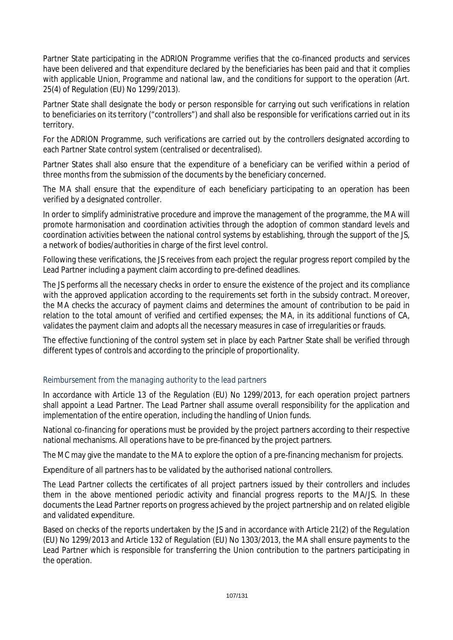Partner State participating in the ADRION Programme verifies that the co-financed products and services have been delivered and that expenditure declared by the beneficiaries has been paid and that it complies with applicable Union, Programme and national law, and the conditions for support to the operation (Art. 25(4) of Regulation (EU) No 1299/2013).

Partner State shall designate the body or person responsible for carrying out such verifications in relation to beneficiaries on its territory ("controllers") and shall also be responsible for verifications carried out in its territory.

For the ADRION Programme, such verifications are carried out by the controllers designated according to each Partner State control system (centralised or decentralised).

Partner States shall also ensure that the expenditure of a beneficiary can be verified within a period of three months from the submission of the documents by the beneficiary concerned.

The MA shall ensure that the expenditure of each beneficiary participating to an operation has been verified by a designated controller.

In order to simplify administrative procedure and improve the management of the programme, the MA will promote harmonisation and coordination activities through the adoption of common standard levels and coordination activities between the national control systems by establishing, through the support of the JS, a network of bodies/authorities in charge of the first level control.

Following these verifications, the JS receives from each project the regular progress report compiled by the Lead Partner including a payment claim according to pre-defined deadlines.

The JS performs all the necessary checks in order to ensure the existence of the project and its compliance with the approved application according to the requirements set forth in the subsidy contract. Moreover, the MA checks the accuracy of payment claims and determines the amount of contribution to be paid in relation to the total amount of verified and certified expenses; the MA, in its additional functions of CA, validates the payment claim and adopts all the necessary measures in case of irregularities or frauds.

The effective functioning of the control system set in place by each Partner State shall be verified through different types of controls and according to the principle of proportionality.

# *Reimbursement from the managing authority to the lead partners*

In accordance with Article 13 of the Regulation (EU) No 1299/2013, for each operation project partners shall appoint a Lead Partner. The Lead Partner shall assume overall responsibility for the application and implementation of the entire operation, including the handling of Union funds.

National co-financing for operations must be provided by the project partners according to their respective national mechanisms. All operations have to be pre-financed by the project partners.

The MC may give the mandate to the MA to explore the option of a pre-financing mechanism for projects.

Expenditure of all partners has to be validated by the authorised national controllers.

The Lead Partner collects the certificates of all project partners issued by their controllers and includes them in the above mentioned periodic activity and financial progress reports to the MA/JS. In these documents the Lead Partner reports on progress achieved by the project partnership and on related eligible and validated expenditure.

Based on checks of the reports undertaken by the JS and in accordance with Article 21(2) of the Regulation (EU) No 1299/2013 and Article 132 of Regulation (EU) No 1303/2013, the MA shall ensure payments to the Lead Partner which is responsible for transferring the Union contribution to the partners participating in the operation.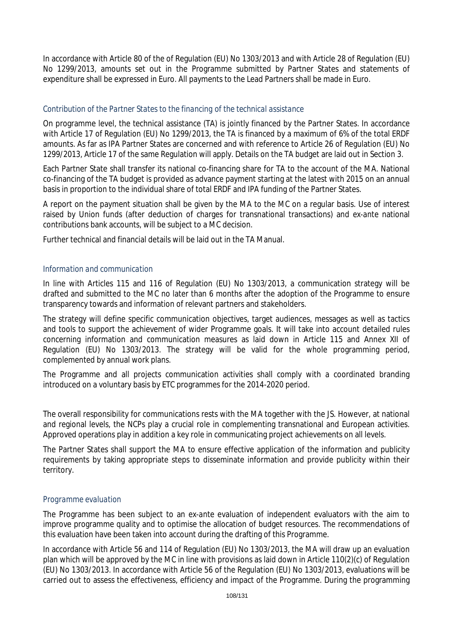In accordance with Article 80 of the of Regulation (EU) No 1303/2013 and with Article 28 of Regulation (EU) No 1299/2013, amounts set out in the Programme submitted by Partner States and statements of expenditure shall be expressed in Euro. All payments to the Lead Partners shall be made in Euro.

## *Contribution of the Partner States to the financing of the technical assistance*

On programme level, the technical assistance (TA) is jointly financed by the Partner States. In accordance with Article 17 of Regulation (EU) No 1299/2013, the TA is financed by a maximum of 6% of the total ERDF amounts. As far as IPA Partner States are concerned and with reference to Article 26 of Regulation (EU) No 1299/2013, Article 17 of the same Regulation will apply. Details on the TA budget are laid out in Section 3.

Each Partner State shall transfer its national co-financing share for TA to the account of the MA. National co-financing of the TA budget is provided as advance payment starting at the latest with 2015 on an annual basis in proportion to the individual share of total ERDF and IPA funding of the Partner States.

A report on the payment situation shall be given by the MA to the MC on a regular basis. Use of interest raised by Union funds (after deduction of charges for transnational transactions) and *ex-ante* national contributions bank accounts, will be subject to a MC decision.

Further technical and financial details will be laid out in the TA Manual.

#### *Information and communication*

In line with Articles 115 and 116 of Regulation (EU) No 1303/2013, a communication strategy will be drafted and submitted to the MC no later than 6 months after the adoption of the Programme to ensure transparency towards and information of relevant partners and stakeholders.

The strategy will define specific communication objectives, target audiences, messages as well as tactics and tools to support the achievement of wider Programme goals. It will take into account detailed rules concerning information and communication measures as laid down in Article 115 and Annex XII of Regulation (EU) No 1303/2013. The strategy will be valid for the whole programming period, complemented by annual work plans.

The Programme and all projects communication activities shall comply with a coordinated branding introduced on a voluntary basis by ETC programmes for the 2014-2020 period.

The overall responsibility for communications rests with the MA together with the JS. However, at national and regional levels, the NCPs play a crucial role in complementing transnational and European activities. Approved operations play in addition a key role in communicating project achievements on all levels.

The Partner States shall support the MA to ensure effective application of the information and publicity requirements by taking appropriate steps to disseminate information and provide publicity within their territory.

#### *Programme evaluation*

The Programme has been subject to an *ex-ante* evaluation of independent evaluators with the aim to improve programme quality and to optimise the allocation of budget resources. The recommendations of this evaluation have been taken into account during the drafting of this Programme.

In accordance with Article 56 and 114 of Regulation (EU) No 1303/2013, the MA will draw up an evaluation plan which will be approved by the MC in line with provisions as laid down in Article 110(2)(c) of Regulation (EU) No 1303/2013. In accordance with Article 56 of the Regulation (EU) No 1303/2013, evaluations will be carried out to assess the effectiveness, efficiency and impact of the Programme. During the programming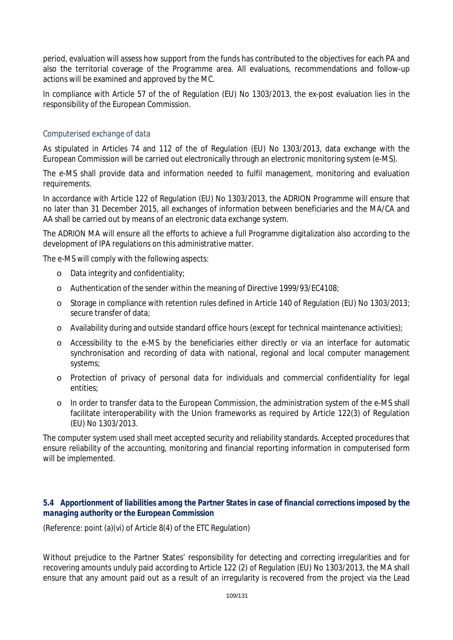period, evaluation will assess how support from the funds has contributed to the objectives for each PA and also the territorial coverage of the Programme area. All evaluations, recommendations and follow-up actions will be examined and approved by the MC.

In compliance with Article 57 of the of Regulation (EU) No 1303/2013, the *ex-post* evaluation lies in the responsibility of the European Commission.

### *Computerised exchange of data*

As stipulated in Articles 74 and 112 of the of Regulation (EU) No 1303/2013, data exchange with the European Commission will be carried out electronically through an electronic monitoring system (e-MS).

The e-MS shall provide data and information needed to fulfil management, monitoring and evaluation requirements.

In accordance with Article 122 of Regulation (EU) No 1303/2013, the ADRION Programme will ensure that no later than 31 December 2015, all exchanges of information between beneficiaries and the MA/CA and AA shall be carried out by means of an electronic data exchange system.

The ADRION MA will ensure all the efforts to achieve a full Programme digitalization also according to the development of IPA regulations on this administrative matter.

The e-MS will comply with the following aspects:

- o Data integrity and confidentiality;
- o Authentication of the sender within the meaning of Directive 1999/93/EC4108;
- o Storage in compliance with retention rules defined in Article 140 of Regulation (EU) No 1303/2013; secure transfer of data;
- o Availability during and outside standard office hours (except for technical maintenance activities);
- o Accessibility to the e-MS by the beneficiaries either directly or via an interface for automatic synchronisation and recording of data with national, regional and local computer management systems;
- o Protection of privacy of personal data for individuals and commercial confidentiality for legal entities;
- o In order to transfer data to the European Commission, the administration system of the e-MS shall facilitate interoperability with the Union frameworks as required by Article 122(3) of Regulation (EU) No 1303/2013.

The computer system used shall meet accepted security and reliability standards. Accepted procedures that ensure reliability of the accounting, monitoring and financial reporting information in computerised form will be implemented.

### *5.4 Apportionment of liabilities among the Partner States in case of financial corrections imposed by the managing authority or the European Commission*

(Reference: point (a)(vi) of Article 8(4) of the ETC Regulation)

Without prejudice to the Partner States' responsibility for detecting and correcting irregularities and for recovering amounts unduly paid according to Article 122 (2) of Regulation (EU) No 1303/2013, the MA shall ensure that any amount paid out as a result of an irregularity is recovered from the project via the Lead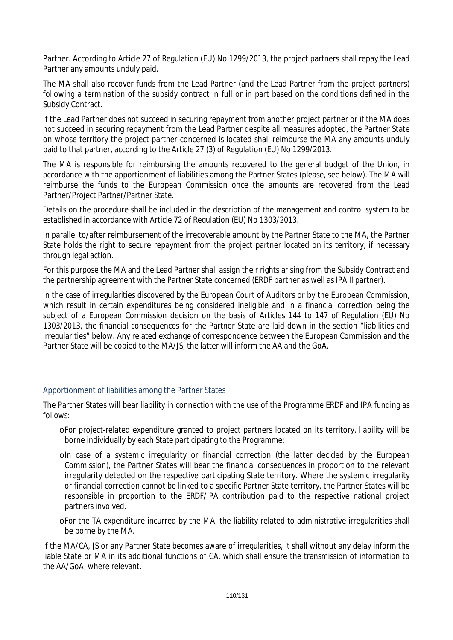Partner. According to Article 27 of Regulation (EU) No 1299/2013, the project partners shall repay the Lead Partner any amounts unduly paid.

The MA shall also recover funds from the Lead Partner (and the Lead Partner from the project partners) following a termination of the subsidy contract in full or in part based on the conditions defined in the Subsidy Contract.

If the Lead Partner does not succeed in securing repayment from another project partner or if the MA does not succeed in securing repayment from the Lead Partner despite all measures adopted, the Partner State on whose territory the project partner concerned is located shall reimburse the MA any amounts unduly paid to that partner, according to the Article 27 (3) of Regulation (EU) No 1299/2013.

The MA is responsible for reimbursing the amounts recovered to the general budget of the Union, in accordance with the apportionment of liabilities among the Partner States (please, see below). The MA will reimburse the funds to the European Commission once the amounts are recovered from the Lead Partner/Project Partner/Partner State.

Details on the procedure shall be included in the description of the management and control system to be established in accordance with Article 72 of Regulation (EU) No 1303/2013.

In parallel to/after reimbursement of the irrecoverable amount by the Partner State to the MA, the Partner State holds the right to secure repayment from the project partner located on its territory, if necessary through legal action.

For this purpose the MA and the Lead Partner shall assign their rights arising from the Subsidy Contract and the partnership agreement with the Partner State concerned (ERDF partner as well as IPA II partner).

In the case of irregularities discovered by the European Court of Auditors or by the European Commission, which result in certain expenditures being considered ineligible and in a financial correction being the subject of a European Commission decision on the basis of Articles 144 to 147 of Regulation (EU) No 1303/2013, the financial consequences for the Partner State are laid down in the section "liabilities and irregularities" below. Any related exchange of correspondence between the European Commission and the Partner State will be copied to the MA/JS; the latter will inform the AA and the GoA.

## Apportionment of liabilities among the Partner States

The Partner States will bear liability in connection with the use of the Programme ERDF and IPA funding as follows:

- oFor project-related expenditure granted to project partners located on its territory, liability will be borne individually by each State participating to the Programme;
- oIn case of a systemic irregularity or financial correction (the latter decided by the European Commission), the Partner States will bear the financial consequences in proportion to the relevant irregularity detected on the respective participating State territory. Where the systemic irregularity or financial correction cannot be linked to a specific Partner State territory, the Partner States will be responsible in proportion to the ERDF/IPA contribution paid to the respective national project partners involved.
- oFor the TA expenditure incurred by the MA, the liability related to administrative irregularities shall be borne by the MA.

If the MA/CA, JS or any Partner State becomes aware of irregularities, it shall without any delay inform the liable State or MA in its additional functions of CA, which shall ensure the transmission of information to the AA/GoA, where relevant.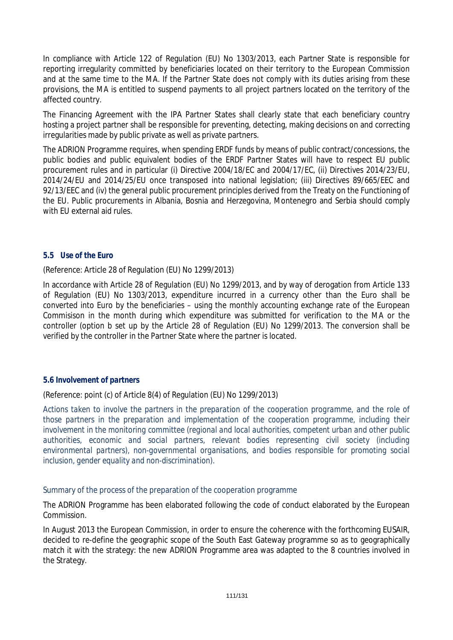In compliance with Article 122 of Regulation (EU) No 1303/2013, each Partner State is responsible for reporting irregularity committed by beneficiaries located on their territory to the European Commission and at the same time to the MA. If the Partner State does not comply with its duties arising from these provisions, the MA is entitled to suspend payments to all project partners located on the territory of the affected country.

The Financing Agreement with the IPA Partner States shall clearly state that each beneficiary country hosting a project partner shall be responsible for preventing, detecting, making decisions on and correcting irregularities made by public private as well as private partners.

The ADRION Programme requires, when spending ERDF funds by means of public contract/concessions, the public bodies and public equivalent bodies of the ERDF Partner States will have to respect EU public procurement rules and in particular (i) Directive 2004/18/EC and 2004/17/EC, (ii) Directives 2014/23/EU, 2014/24/EU and 2014/25/EU once transposed into national legislation; (iii) Directives 89/665/EEC and 92/13/EEC and (iv) the general public procurement principles derived from the Treaty on the Functioning of the EU. Public procurements in Albania, Bosnia and Herzegovina, Montenegro and Serbia should comply with EU external aid rules.

### *5.5 Use of the Euro*

(Reference: Article 28 of Regulation (EU) No 1299/2013)

In accordance with Article 28 of Regulation (EU) No 1299/2013, and by way of derogation from Article 133 of Regulation (EU) No 1303/2013, expenditure incurred in a currency other than the Euro shall be converted into Euro by the beneficiaries – using the monthly accounting exchange rate of the European Commisison in the month during which expenditure was submitted for verification to the MA or the controller (option b set up by the Article 28 of Regulation (EU) No 1299/2013. The conversion shall be verified by the controller in the Partner State where the partner is located.

### *5.6 Involvement of partners*

(Reference: point (c) of Article 8(4) of Regulation (EU) No 1299/2013)

*Actions taken to involve the partners in the preparation of the cooperation programme, and the role of those partners in the preparation and implementation of the cooperation programme, including their involvement in the monitoring committee (regional and local authorities, competent urban and other public*  authorities, economic and social partners, relevant bodies representing civil society (including *environmental partners), non-governmental organisations, and bodies responsible for promoting social inclusion, gender equality and non-discrimination).*

### Summary of the process of the preparation of the cooperation programme

The ADRION Programme has been elaborated following the code of conduct elaborated by the European Commission.

In August 2013 the European Commission, in order to ensure the coherence with the forthcoming EUSAIR, decided to re-define the geographic scope of the South East Gateway programme so as to geographically match it with the strategy: the new ADRION Programme area was adapted to the 8 countries involved in the Strategy.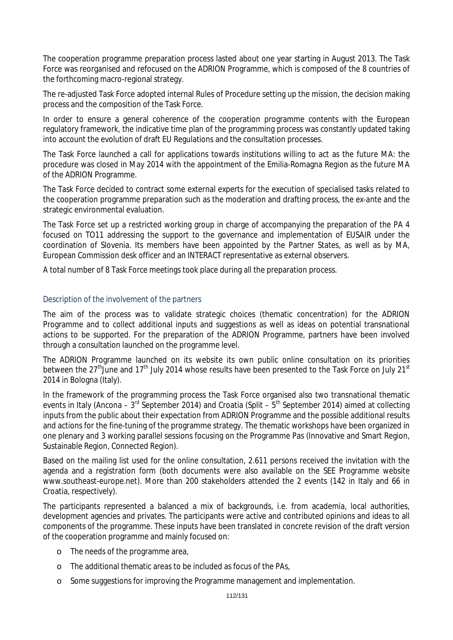The cooperation programme preparation process lasted about one year starting in August 2013. The Task Force was reorganised and refocused on the ADRION Programme, which is composed of the 8 countries of the forthcoming macro-regional strategy.

The re-adjusted Task Force adopted internal Rules of Procedure setting up the mission, the decision making process and the composition of the Task Force.

In order to ensure a general coherence of the cooperation programme contents with the European regulatory framework, the indicative time plan of the programming process was constantly updated taking into account the evolution of draft EU Regulations and the consultation processes.

The Task Force launched a call for applications towards institutions willing to act as the future MA: the procedure was closed in May 2014 with the appointment of the Emilia-Romagna Region as the future MA of the ADRION Programme.

The Task Force decided to contract some external experts for the execution of specialised tasks related to the cooperation programme preparation such as the moderation and drafting process, the *ex-ante* and the strategic environmental evaluation.

The Task Force set up a restricted working group in charge of accompanying the preparation of the PA 4 focused on TO11 addressing the support to the governance and implementation of EUSAIR under the coordination of Slovenia. Its members have been appointed by the Partner States, as well as by MA, European Commission desk officer and an INTERACT representative as external observers.

A total number of 8 Task Force meetings took place during all the preparation process.

### Description of the involvement of the partners

The aim of the process was to validate strategic choices (thematic concentration) for the ADRION Programme and to collect additional inputs and suggestions as well as ideas on potential transnational actions to be supported. For the preparation of the ADRION Programme, partners have been involved through a consultation launched on the programme level.

The ADRION Programme launched on its website its own public online consultation on its priorities between the 27<sup>th</sup> June and 17<sup>th</sup> July 2014 whose results have been presented to the Task Force on July 21<sup>st</sup> 2014 in Bologna (Italy).

In the framework of the programming process the Task Force organised also two transnational thematic events in Italy (Ancona – 3<sup>rd</sup> September 2014) and Croatia (Split – 5<sup>th</sup> September 2014) aimed at collecting inputs from the public about their expectation from ADRION Programme and the possible additional results and actions for the fine-tuning of the programme strategy. The thematic workshops have been organized in one plenary and 3 working parallel sessions focusing on the Programme Pas (Innovative and Smart Region, Sustainable Region, Connected Region).

Based on the mailing list used for the online consultation, 2.611 persons received the invitation with the agenda and a registration form (both documents were also available on the SEE Programme website www.southeast-europe.net). More than 200 stakeholders attended the 2 events (142 in Italy and 66 in Croatia, respectively).

The participants represented a balanced a mix of backgrounds, i.e. from academia, local authorities, development agencies and privates. The participants were active and contributed opinions and ideas to all components of the programme. These inputs have been translated in concrete revision of the draft version of the cooperation programme and mainly focused on:

- o The needs of the programme area,
- o The additional thematic areas to be included as focus of the PAs,
- o Some suggestions for improving the Programme management and implementation.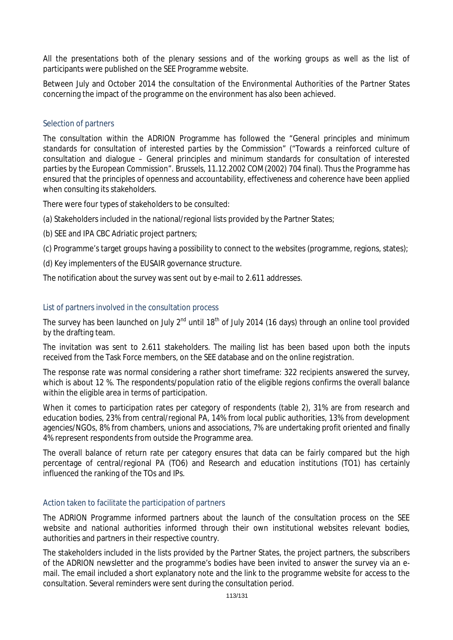All the presentations both of the plenary sessions and of the working groups as well as the list of participants were published on the SEE Programme website.

Between July and October 2014 the consultation of the Environmental Authorities of the Partner States concerning the impact of the programme on the environment has also been achieved.

### Selection of partners

The consultation within the ADRION Programme has followed the "*General principles and minimum standards for consultation of interested parties by the Commission*" ("Towards a reinforced culture of consultation and dialogue – General principles and minimum standards for consultation of interested parties by the European Commission". Brussels, 11.12.2002 COM(2002) 704 final). Thus the Programme has ensured that the principles of openness and accountability, effectiveness and coherence have been applied when consulting its stakeholders.

There were four types of stakeholders to be consulted:

- (a) Stakeholders included in the national/regional lists provided by the Partner States;
- (b) SEE and IPA CBC Adriatic project partners;
- (c) Programme's target groups having a possibility to connect to the websites (programme, regions, states);
- (d) Key implementers of the EUSAIR governance structure.

The notification about the survey was sent out by e-mail to 2.611 addresses.

### List of partners involved in the consultation process

The survey has been launched on July  $2^{nd}$  until 18<sup>th</sup> of July 2014 (16 days) through an online tool provided by the drafting team.

The invitation was sent to 2.611 stakeholders. The mailing list has been based upon both the inputs received from the Task Force members, on the SEE database and on the online registration.

The response rate was normal considering a rather short timeframe: 322 recipients answered the survey, which is about 12 %. The respondents/population ratio of the eligible regions confirms the overall balance within the eligible area in terms of participation.

When it comes to participation rates per category of respondents (table 2), 31% are from research and education bodies, 23% from central/regional PA, 14% from local public authorities, 13% from development agencies/NGOs, 8% from chambers, unions and associations, 7% are undertaking profit oriented and finally 4% represent respondents from outside the Programme area.

The overall balance of return rate per category ensures that data can be fairly compared but the high percentage of central/regional PA (TO6) and Research and education institutions (TO1) has certainly influenced the ranking of the TOs and IPs.

### Action taken to facilitate the participation of partners

The ADRION Programme informed partners about the launch of the consultation process on the SEE website and national authorities informed through their own institutional websites relevant bodies, authorities and partners in their respective country.

The stakeholders included in the lists provided by the Partner States, the project partners, the subscribers of the ADRION newsletter and the programme's bodies have been invited to answer the survey via an email. The email included a short explanatory note and the link to the programme website for access to the consultation. Several reminders were sent during the consultation period.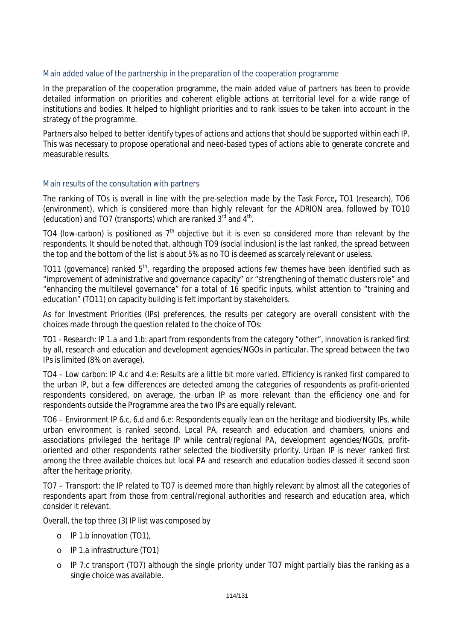### Main added value of the partnership in the preparation of the cooperation programme

In the preparation of the cooperation programme, the main added value of partners has been to provide detailed information on priorities and coherent eligible actions at territorial level for a wide range of institutions and bodies. It helped to highlight priorities and to rank issues to be taken into account in the strategy of the programme.

Partners also helped to better identify types of actions and actions that should be supported within each IP. This was necessary to propose operational and need-based types of actions able to generate concrete and measurable results.

### Main results of the consultation with partners

The ranking of TOs is overall in line with the pre-selection made by the Task Force**,** TO1 (research), TO6 (environment), which is considered more than highly relevant for the ADRION area, followed by TO10 (education) and TO7 (transports) which are ranked  $3<sup>rd</sup>$  and  $4<sup>th</sup>$ .

TO4 (low-carbon) is positioned as  $7<sup>th</sup>$  objective but it is even so considered more than relevant by the respondents. It should be noted that, although TO9 (social inclusion) is the last ranked, the spread between the top and the bottom of the list is about 5% as no TO is deemed as scarcely relevant or useless.

TO11 (governance) ranked  $5<sup>th</sup>$ , regarding the proposed actions few themes have been identified such as "improvement of administrative and governance capacity" or "strengthening of thematic clusters role" and "enhancing the multilevel governance" for a total of 16 specific inputs, whilst attention to "training and education" (TO11) on capacity building is felt important by stakeholders.

As for Investment Priorities (IPs) preferences, the results per category are overall consistent with the choices made through the question related to the choice of TOs:

*TO1 - Research: IP 1.a and 1.b*: apart from respondents from the category "other", innovation is ranked first by all, research and education and development agencies/NGOs in particular. The spread between the two IPs is limited (8% on average).

*TO4 – Low carbon: IP 4.c and 4.*e: Results are a little bit more varied. Efficiency is ranked first compared to the urban IP, but a few differences are detected among the categories of respondents as profit-oriented respondents considered, on average, the urban IP as more relevant than the efficiency one and for respondents outside the Programme area the two IPs are equally relevant.

*TO6 – Environment IP 6.c, 6.d and 6.*e: Respondents equally lean on the heritage and biodiversity IPs, while urban environment is ranked second. Local PA, research and education and chambers, unions and associations privileged the heritage IP while central/regional PA, development agencies/NGOs, profitoriented and other respondents rather selected the biodiversity priority. Urban IP is never ranked first among the three available choices but local PA and research and education bodies classed it second soon after the heritage priority.

*TO7 – Transport*: the IP related to TO7 is deemed more than highly relevant by almost all the categories of respondents apart from those from central/regional authorities and research and education area, which consider it relevant.

Overall, the top three (3) IP list was composed by

- o IP 1.b innovation (TO1),
- o IP 1.a infrastructure (TO1)
- o IP 7.c transport (TO7) although the single priority under TO7 might partially bias the ranking as a single choice was available.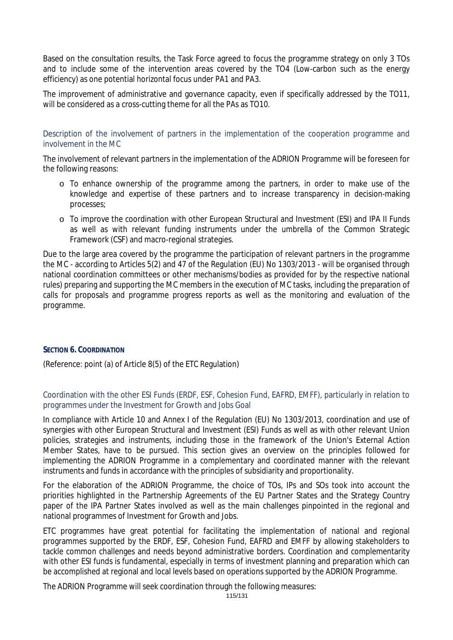Based on the consultation results, the Task Force agreed to focus the programme strategy on only 3 TOs and to include some of the intervention areas covered by the TO4 (Low-carbon such as the energy efficiency) as one potential horizontal focus under PA1 and PA3.

The improvement of administrative and governance capacity, even if specifically addressed by the TO11, will be considered as a cross-cutting theme for all the PAs as TO10.

Description of the involvement of partners in the implementation of the cooperation programme and involvement in the MC

The involvement of relevant partners in the implementation of the ADRION Programme will be foreseen for the following reasons:

- o To enhance ownership of the programme among the partners, in order to make use of the knowledge and expertise of these partners and to increase transparency in decision-making processes;
- o To improve the coordination with other European Structural and Investment (ESI) and IPA II Funds as well as with relevant funding instruments under the umbrella of the Common Strategic Framework (CSF) and macro-regional strategies.

Due to the large area covered by the programme the participation of relevant partners in the programme the MC - according to Articles 5(2) and 47 of the Regulation (EU) No 1303/2013 - will be organised through national coordination committees or other mechanisms/bodies as provided for by the respective national rules) preparing and supporting the MC members in the execution of MC tasks, including the preparation of calls for proposals and programme progress reports as well as the monitoring and evaluation of the programme.

### **SECTION 6. COORDINATION**

(Reference: point (a) of Article 8(5) of the ETC Regulation)

### Coordination with the other ESI Funds (ERDF, ESF, Cohesion Fund, EAFRD, EMFF), particularly in relation to programmes under the Investment for Growth and Jobs Goal

In compliance with Article 10 and Annex I of the Regulation (EU) No 1303/2013, coordination and use of synergies with other European Structural and Investment (ESI) Funds as well as with other relevant Union policies, strategies and instruments, including those in the framework of the Union's External Action Member States, have to be pursued. This section gives an overview on the principles followed for implementing the ADRION Programme in a complementary and coordinated manner with the relevant instruments and funds in accordance with the principles of subsidiarity and proportionality.

For the elaboration of the ADRION Programme, the choice of TOs, IPs and SOs took into account the priorities highlighted in the Partnership Agreements of the EU Partner States and the Strategy Country paper of the IPA Partner States involved as well as the main challenges pinpointed in the regional and national programmes of Investment for Growth and Jobs.

ETC programmes have great potential for facilitating the implementation of national and regional programmes supported by the ERDF, ESF, Cohesion Fund, EAFRD and EMFF by allowing stakeholders to tackle common challenges and needs beyond administrative borders. Coordination and complementarity with other ESI funds is fundamental, especially in terms of investment planning and preparation which can be accomplished at regional and local levels based on operations supported by the ADRION Programme.

The ADRION Programme will seek coordination through the following measures: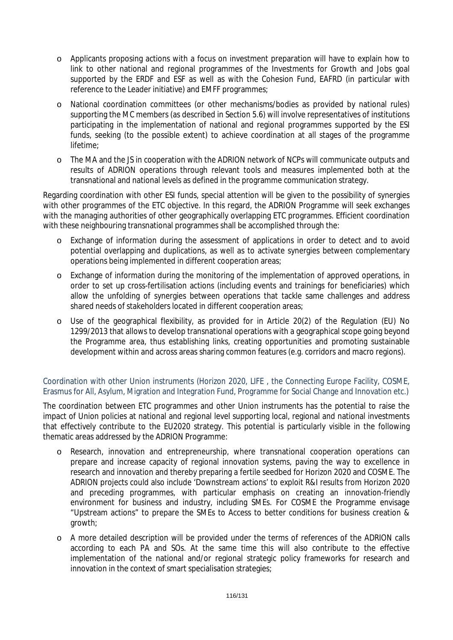- o Applicants proposing actions with a focus on investment preparation will have to explain how to link to other national and regional programmes of the Investments for Growth and Jobs goal supported by the ERDF and ESF as well as with the Cohesion Fund, EAFRD (in particular with reference to the Leader initiative) and EMFF programmes;
- o National coordination committees (or other mechanisms/bodies as provided by national rules) supporting the MC members (as described in Section 5.6) will involve representatives of institutions participating in the implementation of national and regional programmes supported by the ESI funds, seeking (to the possible extent) to achieve coordination at all stages of the programme lifetime;
- o The MA and the JS in cooperation with the ADRION network of NCPs will communicate outputs and results of ADRION operations through relevant tools and measures implemented both at the transnational and national levels as defined in the programme communication strategy.

Regarding coordination with other ESI funds, special attention will be given to the possibility of synergies with other programmes of the ETC objective. In this regard, the ADRION Programme will seek exchanges with the managing authorities of other geographically overlapping ETC programmes. Efficient coordination with these neighbouring transnational programmes shall be accomplished through the:

- o Exchange of information during the assessment of applications in order to detect and to avoid potential overlapping and duplications, as well as to activate synergies between complementary operations being implemented in different cooperation areas;
- o Exchange of information during the monitoring of the implementation of approved operations, in order to set up cross-fertilisation actions (including events and trainings for beneficiaries) which allow the unfolding of synergies between operations that tackle same challenges and address shared needs of stakeholders located in different cooperation areas;
- o Use of the geographical flexibility, as provided for in Article 20(2) of the Regulation (EU) No 1299/2013 that allows to develop transnational operations with a geographical scope going beyond the Programme area, thus establishing links, creating opportunities and promoting sustainable development within and across areas sharing common features (e.g. corridors and macro regions).

## Coordination with other Union instruments (Horizon 2020, LIFE , the Connecting Europe Facility, COSME, Erasmus for All, Asylum, Migration and Integration Fund, Programme for Social Change and Innovation etc.)

The coordination between ETC programmes and other Union instruments has the potential to raise the impact of Union policies at national and regional level supporting local, regional and national investments that effectively contribute to the EU2020 strategy. This potential is particularly visible in the following thematic areas addressed by the ADRION Programme:

- o Research, innovation and entrepreneurship, where transnational cooperation operations can prepare and increase capacity of regional innovation systems, paving the way to excellence in research and innovation and thereby preparing a fertile seedbed for Horizon 2020 and COSME. The ADRION projects could also include 'Downstream actions' to exploit R&I results from Horizon 2020 and preceding programmes, with particular emphasis on creating an innovation-friendly environment for business and industry, including SMEs. For COSME the Programme envisage "Upstream actions" to prepare the SMEs to Access to better conditions for business creation & growth;
- o A more detailed description will be provided under the terms of references of the ADRION calls according to each PA and SOs. At the same time this will also contribute to the effective implementation of the national and/or regional strategic policy frameworks for research and innovation in the context of smart specialisation strategies;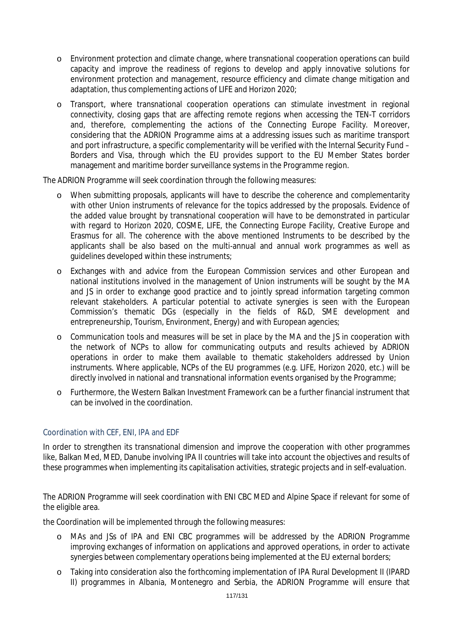- o Environment protection and climate change, where transnational cooperation operations can build capacity and improve the readiness of regions to develop and apply innovative solutions for environment protection and management, resource efficiency and climate change mitigation and adaptation, thus complementing actions of LIFE and Horizon 2020;
- o Transport, where transnational cooperation operations can stimulate investment in regional connectivity, closing gaps that are affecting remote regions when accessing the TEN-T corridors and, therefore, complementing the actions of the Connecting Europe Facility. Moreover, considering that the ADRION Programme aims at a addressing issues such as maritime transport and port infrastructure, a specific complementarity will be verified with the Internal Security Fund – Borders and Visa, through which the EU provides support to the EU Member States border management and maritime border surveillance systems in the Programme region.

The ADRION Programme will seek coordination through the following measures:

- o When submitting proposals, applicants will have to describe the coherence and complementarity with other Union instruments of relevance for the topics addressed by the proposals. Evidence of the added value brought by transnational cooperation will have to be demonstrated in particular with regard to Horizon 2020, COSME, LIFE, the Connecting Europe Facility, Creative Europe and Erasmus for all. The coherence with the above mentioned Instruments to be described by the applicants shall be also based on the multi-annual and annual work programmes as well as guidelines developed within these instruments;
- o Exchanges with and advice from the European Commission services and other European and national institutions involved in the management of Union instruments will be sought by the MA and JS in order to exchange good practice and to jointly spread information targeting common relevant stakeholders. A particular potential to activate synergies is seen with the European Commission's thematic DGs (especially in the fields of R&D, SME development and entrepreneurship, Tourism, Environment, Energy) and with European agencies;
- o Communication tools and measures will be set in place by the MA and the JS in cooperation with the network of NCPs to allow for communicating outputs and results achieved by ADRION operations in order to make them available to thematic stakeholders addressed by Union instruments. Where applicable, NCPs of the EU programmes (e.g. LIFE, Horizon 2020, etc.) will be directly involved in national and transnational information events organised by the Programme;
- o Furthermore, the Western Balkan Investment Framework can be a further financial instrument that can be involved in the coordination.

## Coordination with CEF, ENI, IPA and EDF

In order to strengthen its transnational dimension and improve the cooperation with other programmes like, Balkan Med, MED, Danube involving IPA II countries will take into account the objectives and results of these programmes when implementing its capitalisation activities, strategic projects and in self-evaluation.

The ADRION Programme will seek coordination with ENI CBC MED and Alpine Space if relevant for some of the eligible area.

the Coordination will be implemented through the following measures:

- o MAs and JSs of IPA and ENI CBC programmes will be addressed by the ADRION Programme improving exchanges of information on applications and approved operations, in order to activate synergies between complementary operations being implemented at the EU external borders;
- o Taking into consideration also the forthcoming implementation of IPA Rural Development II (IPARD II) programmes in Albania, Montenegro and Serbia, the ADRION Programme will ensure that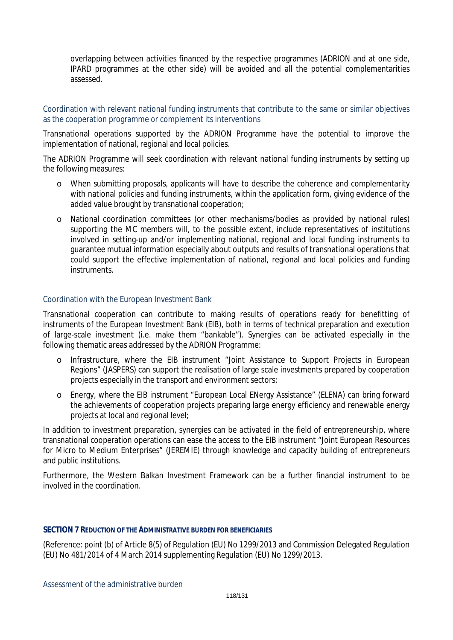overlapping between activities financed by the respective programmes (ADRION and at one side, IPARD programmes at the other side) will be avoided and all the potential complementarities assessed.

### Coordination with relevant national funding instruments that contribute to the same or similar objectives as the cooperation programme or complement its interventions

Transnational operations supported by the ADRION Programme have the potential to improve the implementation of national, regional and local policies.

The ADRION Programme will seek coordination with relevant national funding instruments by setting up the following measures:

- o When submitting proposals, applicants will have to describe the coherence and complementarity with national policies and funding instruments, within the application form, giving evidence of the added value brought by transnational cooperation;
- o National coordination committees (or other mechanisms/bodies as provided by national rules) supporting the MC members will, to the possible extent, include representatives of institutions involved in setting-up and/or implementing national, regional and local funding instruments to guarantee mutual information especially about outputs and results of transnational operations that could support the effective implementation of national, regional and local policies and funding instruments.

### Coordination with the European Investment Bank

Transnational cooperation can contribute to making results of operations ready for benefitting of instruments of the European Investment Bank (EIB), both in terms of technical preparation and execution of large-scale investment (i.e. make them "bankable"). Synergies can be activated especially in the following thematic areas addressed by the ADRION Programme:

- o Infrastructure, where the EIB instrument "Joint Assistance to Support Projects in European Regions" (JASPERS) can support the realisation of large scale investments prepared by cooperation projects especially in the transport and environment sectors;
- o Energy, where the EIB instrument "European Local ENergy Assistance" (ELENA) can bring forward the achievements of cooperation projects preparing large energy efficiency and renewable energy projects at local and regional level;

In addition to investment preparation, synergies can be activated in the field of entrepreneurship, where transnational cooperation operations can ease the access to the EIB instrument "Joint European Resources for Micro to Medium Enterprises" (JEREMIE) through knowledge and capacity building of entrepreneurs and public institutions.

Furthermore, the Western Balkan Investment Framework can be a further financial instrument to be involved in the coordination.

#### **SECTION 7 REDUCTION OF THE ADMINISTRATIVE BURDEN FOR BENEFICIARIES**

(Reference: point (b) of Article 8(5) of Regulation (EU) No 1299/2013 and Commission Delegated Regulation (EU) No 481/2014 of 4 March 2014 supplementing Regulation (EU) No 1299/2013.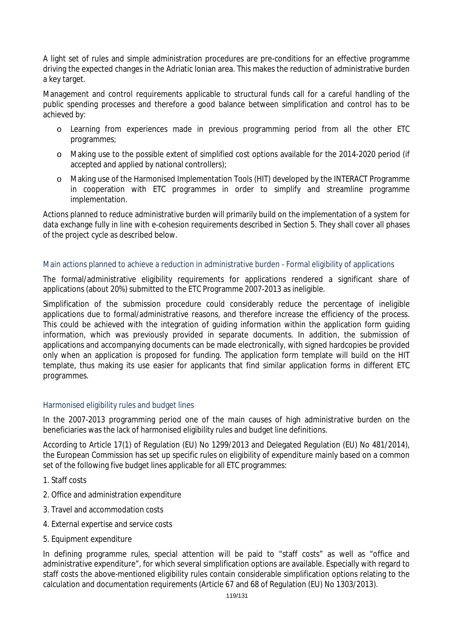A light set of rules and simple administration procedures are pre-conditions for an effective programme driving the expected changes in the Adriatic Ionian area. This makes the reduction of administrative burden a key target.

Management and control requirements applicable to structural funds call for a careful handling of the public spending processes and therefore a good balance between simplification and control has to be achieved by:

- o Learning from experiences made in previous programming period from all the other ETC programmes;
- o Making use to the possible extent of simplified cost options available for the 2014-2020 period (if accepted and applied by national controllers);
- o Making use of the Harmonised Implementation Tools (HIT) developed by the INTERACT Programme in cooperation with ETC programmes in order to simplify and streamline programme implementation.

Actions planned to reduce administrative burden will primarily build on the implementation of a system for data exchange fully in line with e-cohesion requirements described in Section 5. They shall cover all phases of the project cycle as described below.

## Main actions planned to achieve a reduction in administrative burden - Formal eligibility of applications

The formal/administrative eligibility requirements for applications rendered a significant share of applications (about 20%) submitted to the ETC Programme 2007-2013 as ineligible.

Simplification of the submission procedure could considerably reduce the percentage of ineligible applications due to formal/administrative reasons, and therefore increase the efficiency of the process. This could be achieved with the integration of guiding information within the application form guiding information, which was previously provided in separate documents. In addition, the submission of applications and accompanying documents can be made electronically, with signed hardcopies be provided only when an application is proposed for funding. The application form template will build on the HIT template, thus making its use easier for applicants that find similar application forms in different ETC programmes.

## Harmonised eligibility rules and budget lines

In the 2007-2013 programming period one of the main causes of high administrative burden on the beneficiaries was the lack of harmonised eligibility rules and budget line definitions.

According to Article 17(1) of Regulation (EU) No 1299/2013 and Delegated Regulation (EU) No 481/2014), the European Commission has set up specific rules on eligibility of expenditure mainly based on a common set of the following five budget lines applicable for all ETC programmes:

- 1. Staff costs
- 2. Office and administration expenditure
- 3. Travel and accommodation costs
- 4. External expertise and service costs
- 5. Equipment expenditure

In defining programme rules, special attention will be paid to "staff costs" as well as "office and administrative expenditure", for which several simplification options are available. Especially with regard to staff costs the above-mentioned eligibility rules contain considerable simplification options relating to the calculation and documentation requirements (Article 67 and 68 of Regulation (EU) No 1303/2013).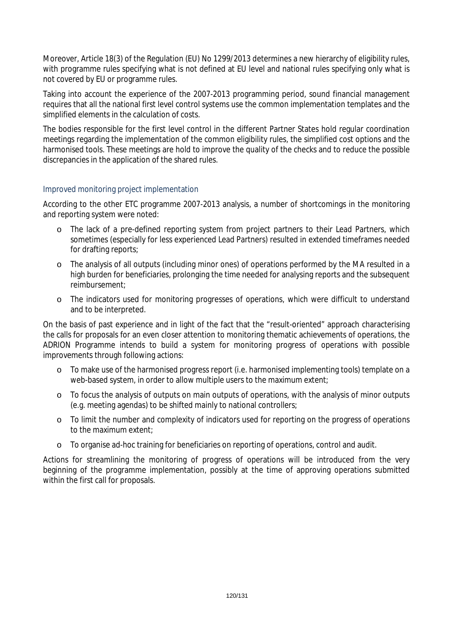Moreover, Article 18(3) of the Regulation (EU) No 1299/2013 determines a new hierarchy of eligibility rules, with programme rules specifying what is not defined at EU level and national rules specifying only what is not covered by EU or programme rules.

Taking into account the experience of the 2007-2013 programming period, sound financial management requires that all the national first level control systems use the common implementation templates and the simplified elements in the calculation of costs.

The bodies responsible for the first level control in the different Partner States hold regular coordination meetings regarding the implementation of the common eligibility rules, the simplified cost options and the harmonised tools. These meetings are hold to improve the quality of the checks and to reduce the possible discrepancies in the application of the shared rules.

## Improved monitoring project implementation

According to the other ETC programme 2007-2013 analysis, a number of shortcomings in the monitoring and reporting system were noted:

- o The lack of a pre-defined reporting system from project partners to their Lead Partners, which sometimes (especially for less experienced Lead Partners) resulted in extended timeframes needed for drafting reports;
- o The analysis of all outputs (including minor ones) of operations performed by the MA resulted in a high burden for beneficiaries, prolonging the time needed for analysing reports and the subsequent reimbursement;
- o The indicators used for monitoring progresses of operations, which were difficult to understand and to be interpreted.

On the basis of past experience and in light of the fact that the "result-oriented" approach characterising the calls for proposals for an even closer attention to monitoring thematic achievements of operations, the ADRION Programme intends to build a system for monitoring progress of operations with possible improvements through following actions:

- o To make use of the harmonised progress report (i.e. harmonised implementing tools) template on a web-based system, in order to allow multiple users to the maximum extent;
- o To focus the analysis of outputs on main outputs of operations, with the analysis of minor outputs (e.g. meeting agendas) to be shifted mainly to national controllers;
- o To limit the number and complexity of indicators used for reporting on the progress of operations to the maximum extent;
- o To organise ad-hoc training for beneficiaries on reporting of operations, control and audit.

Actions for streamlining the monitoring of progress of operations will be introduced from the very beginning of the programme implementation, possibly at the time of approving operations submitted within the first call for proposals.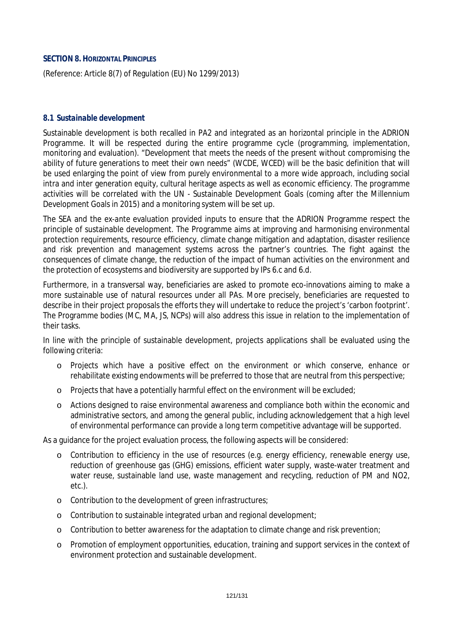### **SECTION 8. HORIZONTAL PRINCIPLES**

(Reference: Article 8(7) of Regulation (EU) No 1299/2013)

#### *8.1 Sustainable development*

Sustainable development is both recalled in PA2 and integrated as an horizontal principle in the ADRION Programme. It will be respected during the entire programme cycle (programming, implementation, monitoring and evaluation). "*Development that meets the needs of the present without compromising the ability of future generations to meet their own needs*" (WCDE, WCED) will be the basic definition that will be used enlarging the point of view from purely environmental to a more wide approach, including social intra and inter generation equity, cultural heritage aspects as well as economic efficiency. The programme activities will be correlated with the UN - Sustainable Development Goals (coming after the Millennium Development Goals in 2015) and a monitoring system will be set up.

The SEA and the *ex-ante* evaluation provided inputs to ensure that the ADRION Programme respect the principle of sustainable development. The Programme aims at improving and harmonising environmental protection requirements, resource efficiency, climate change mitigation and adaptation, disaster resilience and risk prevention and management systems across the partner's countries. The fight against the consequences of climate change, the reduction of the impact of human activities on the environment and the protection of ecosystems and biodiversity are supported by IPs 6.c and 6.d.

Furthermore, in a transversal way, beneficiaries are asked to promote eco-innovations aiming to make a more sustainable use of natural resources under all PAs. More precisely, beneficiaries are requested to describe in their project proposals the efforts they will undertake to reduce the project's 'carbon footprint'. The Programme bodies (MC, MA, JS, NCPs) will also address this issue in relation to the implementation of their tasks.

In line with the principle of sustainable development, projects applications shall be evaluated using the following criteria:

- o Projects which have a positive effect on the environment or which conserve, enhance or rehabilitate existing endowments will be preferred to those that are neutral from this perspective;
- o Projects that have a potentially harmful effect on the environment will be excluded;
- o Actions designed to raise environmental awareness and compliance both within the economic and administrative sectors, and among the general public, including acknowledgement that a high level of environmental performance can provide a long term competitive advantage will be supported.

As a guidance for the project evaluation process, the following aspects will be considered:

- o Contribution to efficiency in the use of resources (e.g. energy efficiency, renewable energy use, reduction of greenhouse gas (GHG) emissions, efficient water supply, waste-water treatment and water reuse, sustainable land use, waste management and recycling, reduction of PM and NO2, etc.).
- o Contribution to the development of green infrastructures;
- o Contribution to sustainable integrated urban and regional development;
- o Contribution to better awareness for the adaptation to climate change and risk prevention;
- o Promotion of employment opportunities, education, training and support services in the context of environment protection and sustainable development.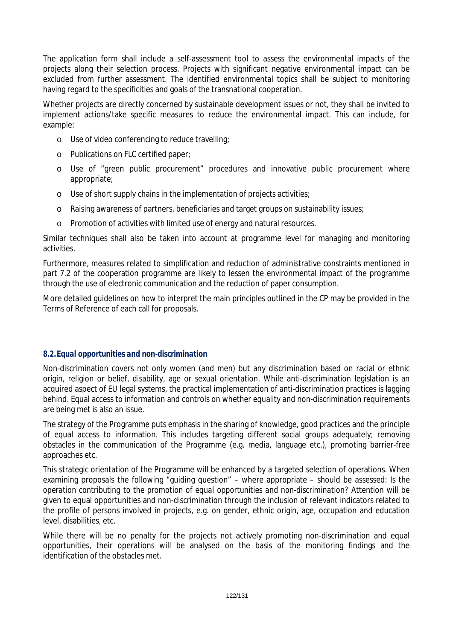The application form shall include a self-assessment tool to assess the environmental impacts of the projects along their selection process. Projects with significant negative environmental impact can be excluded from further assessment. The identified environmental topics shall be subject to monitoring having regard to the specificities and goals of the transnational cooperation.

Whether projects are directly concerned by sustainable development issues or not, they shall be invited to implement actions/take specific measures to reduce the environmental impact. This can include, for example:

- o Use of video conferencing to reduce travelling;
- o Publications on FLC certified paper;
- o Use of "green public procurement" procedures and innovative public procurement where appropriate;
- o Use of short supply chains in the implementation of projects activities;
- o Raising awareness of partners, beneficiaries and target groups on sustainability issues;
- o Promotion of activities with limited use of energy and natural resources.

Similar techniques shall also be taken into account at programme level for managing and monitoring activities.

Furthermore, measures related to simplification and reduction of administrative constraints mentioned in part 7.2 of the cooperation programme are likely to lessen the environmental impact of the programme through the use of electronic communication and the reduction of paper consumption.

More detailed guidelines on how to interpret the main principles outlined in the CP may be provided in the Terms of Reference of each call for proposals.

### *8.2.Equal opportunities and non-discrimination*

Non-discrimination covers not only women (and men) but any discrimination based on racial or ethnic origin, religion or belief, disability, age or sexual orientation. While anti-discrimination legislation is an acquired aspect of EU legal systems, the practical implementation of anti-discrimination practices is lagging behind. Equal access to information and controls on whether equality and non-discrimination requirements are being met is also an issue.

The strategy of the Programme puts emphasis in the sharing of knowledge, good practices and the principle of equal access to information. This includes targeting different social groups adequately; removing obstacles in the communication of the Programme (e.g. media, language etc.), promoting barrier-free approaches etc.

This strategic orientation of the Programme will be enhanced by a targeted selection of operations. When examining proposals the following "guiding question" – where appropriate – should be assessed: *Is the operation contributing to the promotion of equal opportunities and non-discrimination?* Attention will be given to equal opportunities and non-discrimination through the inclusion of relevant indicators related to the profile of persons involved in projects, e.g. on gender, ethnic origin, age, occupation and education level, disabilities, etc.

While there will be no penalty for the projects not actively promoting non-discrimination and equal opportunities, their operations will be analysed on the basis of the monitoring findings and the identification of the obstacles met.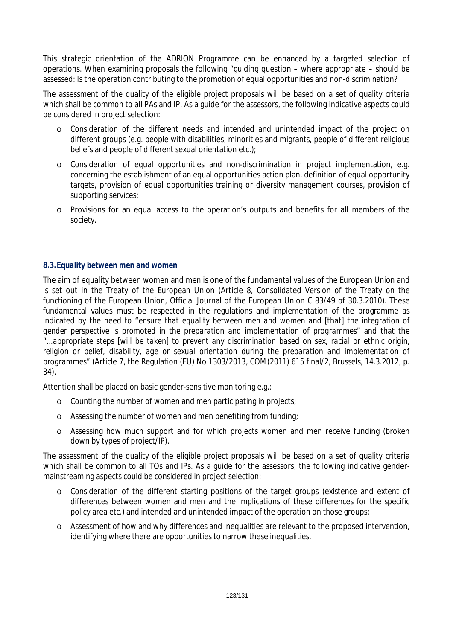This strategic orientation of the ADRION Programme can be enhanced by a targeted selection of operations. When examining proposals the following "guiding question – where appropriate – should be assessed: Is the operation contributing to the promotion of equal opportunities and non-discrimination?

The assessment of the quality of the eligible project proposals will be based on a set of quality criteria which shall be common to all PAs and IP. As a guide for the assessors, the following indicative aspects could be considered in project selection:

- o Consideration of the different needs and intended and unintended impact of the project on different groups (e.g. people with disabilities, minorities and migrants, people of different religious beliefs and people of different sexual orientation etc.);
- o Consideration of equal opportunities and non-discrimination in project implementation, e.g. concerning the establishment of an equal opportunities action plan, definition of equal opportunity targets, provision of equal opportunities training or diversity management courses, provision of supporting services;
- o Provisions for an equal access to the operation's outputs and benefits for all members of the society.

## *8.3.Equality between men and women*

The aim of equality between women and men is one of the fundamental values of the European Union and is set out in the Treaty of the European Union (Article 8, Consolidated Version of the Treaty on the functioning of the European Union, Official Journal of the European Union C 83/49 of 30.3.2010). These fundamental values must be respected in the regulations and implementation of the programme as indicated by the need to "*ensure that equality between men and women and [that] the integration of gender perspective is promoted in the preparation and implementation of programmes*" and that the *"...appropriate steps [will be taken] to prevent any discrimination based on sex, racial or ethnic origin,*  religion or belief, disability, age or sexual orientation during the preparation and implementation of *programmes*" (Article 7, the Regulation (EU) No 1303/2013, COM(2011) 615 final/2, Brussels, 14.3.2012, p. 34).

Attention shall be placed on basic gender-sensitive monitoring e.g.:

- o Counting the number of women and men participating in projects;
- o Assessing the number of women and men benefiting from funding;
- o Assessing how much support and for which projects women and men receive funding (broken down by types of project/IP).

The assessment of the quality of the eligible project proposals will be based on a set of quality criteria which shall be common to all TOs and IPs. As a quide for the assessors, the following indicative gendermainstreaming aspects could be considered in project selection:

- o Consideration of the different starting positions of the target groups (existence and extent of differences between women and men and the implications of these differences for the specific policy area etc.) and intended and unintended impact of the operation on those groups;
- o Assessment of how and why differences and inequalities are relevant to the proposed intervention, identifying where there are opportunities to narrow these inequalities.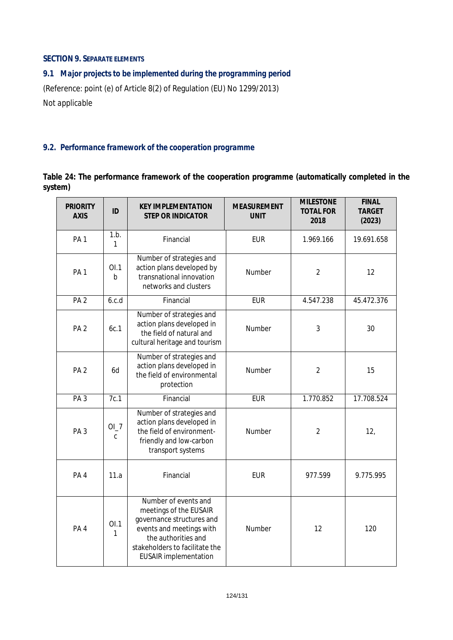### **SECTION 9. SEPARATE ELEMENTS**

# *9.1 Major projects to be implemented during the programming period*

(Reference: point (e) of Article 8(2) of Regulation (EU) No 1299/2013) *Not applicable* 

# *9.2. Performance framework of the cooperation programme*

### **Table 24: The performance framework of the cooperation programme (automatically completed in the system)**

| <b>PRIORITY</b><br><b>AXIS</b> | ID                 | <b>KEY IMPLEMENTATION</b><br><b>STEP OR INDICATOR</b>                                                                                                                                            | <b>MEASUREMENT</b><br><b>UNIT</b> | <b>MILESTONE</b><br><b>TOTAL FOR</b><br>2018 | <b>FINAL</b><br><b>TARGET</b><br>(2023) |
|--------------------------------|--------------------|--------------------------------------------------------------------------------------------------------------------------------------------------------------------------------------------------|-----------------------------------|----------------------------------------------|-----------------------------------------|
| PA <sub>1</sub>                | 1.b.<br>1          | Financial                                                                                                                                                                                        | <b>EUR</b>                        | 1.969.166                                    | 19.691.658                              |
| PA <sub>1</sub>                | OL1<br>$\mathsf b$ | Number of strategies and<br>action plans developed by<br>transnational innovation<br>networks and clusters                                                                                       | Number                            | $\overline{2}$                               | 12                                      |
| PA <sub>2</sub>                | 6.c.d              | Financial                                                                                                                                                                                        | <b>EUR</b>                        | 4.547.238                                    | 45.472.376                              |
| PA <sub>2</sub>                | 6c.1               | Number of strategies and<br>action plans developed in<br>the field of natural and<br>cultural heritage and tourism                                                                               | Number                            | 3                                            | 30                                      |
| PA <sub>2</sub>                | 6d                 | Number of strategies and<br>action plans developed in<br>the field of environmental<br>protection                                                                                                | Number                            | $\overline{2}$                               | 15                                      |
| PA <sub>3</sub>                | 7c.1               | Financial                                                                                                                                                                                        | <b>EUR</b>                        | 1.770.852                                    | 17.708.524                              |
| PA <sub>3</sub>                | OL7<br>$\mathsf C$ | Number of strategies and<br>action plans developed in<br>the field of environment-<br>friendly and low-carbon<br>transport systems                                                               | Number                            | $\overline{2}$                               | 12,                                     |
| PA4                            | 11.a               | Financial                                                                                                                                                                                        | <b>EUR</b>                        | 977.599                                      | 9.775.995                               |
| PA <sub>4</sub>                | OL1<br>1           | Number of events and<br>meetings of the EUSAIR<br>governance structures and<br>events and meetings with<br>the authorities and<br>stakeholders to facilitate the<br><b>EUSAIR</b> implementation | Number                            | 12                                           | 120                                     |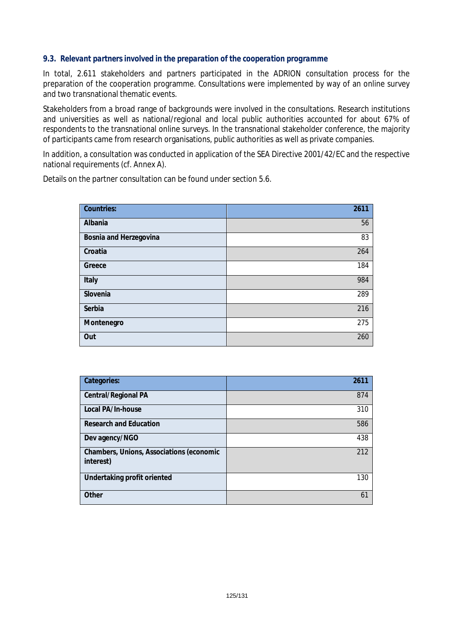### *9.3. Relevant partners involved in the preparation of the cooperation programme*

In total, 2.611 stakeholders and partners participated in the ADRION consultation process for the preparation of the cooperation programme. Consultations were implemented by way of an online survey and two transnational thematic events.

Stakeholders from a broad range of backgrounds were involved in the consultations. Research institutions and universities as well as national/regional and local public authorities accounted for about 67% of respondents to the transnational online surveys. In the transnational stakeholder conference, the majority of participants came from research organisations, public authorities as well as private companies.

In addition, a consultation was conducted in application of the SEA Directive 2001/42/EC and the respective national requirements (cf. Annex A).

Details on the partner consultation can be found under section 5.6.

| <b>Countries:</b>      | 2611 |
|------------------------|------|
| Albania                | 56   |
| Bosnia and Herzegovina | 83   |
| Croatia                | 264  |
| Greece                 | 184  |
| Italy                  | 984  |
| Slovenia               | 289  |
| Serbia                 | 216  |
| Montenegro             | 275  |
| Out                    | 260  |

| Categories:                                                  | 2611 |
|--------------------------------------------------------------|------|
| Central/Regional PA                                          | 874  |
| Local PA/In-house                                            | 310  |
| <b>Research and Education</b>                                | 586  |
| Dev agency/NGO                                               | 438  |
| <b>Chambers, Unions, Associations (economic</b><br>interest) | 212  |
| Undertaking profit oriented                                  | 130  |
| Other                                                        | 61   |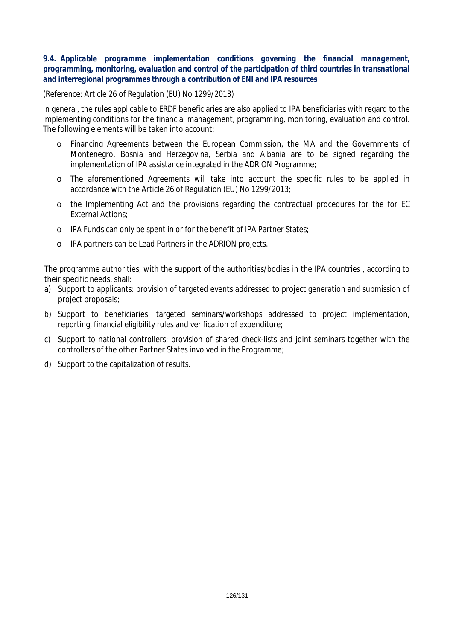### *9.4. Applicable programme implementation conditions governing the financial management, programming, monitoring, evaluation and control of the participation of third countries in transnational and interregional programmes through a contribution of ENI and IPA resources*

(Reference: Article 26 of Regulation (EU) No 1299/2013)

In general, the rules applicable to ERDF beneficiaries are also applied to IPA beneficiaries with regard to the implementing conditions for the financial management, programming, monitoring, evaluation and control. The following elements will be taken into account:

- o Financing Agreements between the European Commission, the MA and the Governments of Montenegro, Bosnia and Herzegovina, Serbia and Albania are to be signed regarding the implementation of IPA assistance integrated in the ADRION Programme;
- o The aforementioned Agreements will take into account the specific rules to be applied in accordance with the Article 26 of Regulation (EU) No 1299/2013;
- o the Implementing Act and the provisions regarding the contractual procedures for the for EC External Actions;
- o IPA Funds can only be spent in or for the benefit of IPA Partner States;
- o IPA partners can be Lead Partners in the ADRION projects.

The programme authorities, with the support of the authorities/bodies in the IPA countries , according to their specific needs, shall:

- a) Support to applicants: provision of targeted events addressed to project generation and submission of project proposals;
- b) Support to beneficiaries: targeted seminars/workshops addressed to project implementation, reporting, financial eligibility rules and verification of expenditure;
- c) Support to national controllers: provision of shared check-lists and joint seminars together with the controllers of the other Partner States involved in the Programme;
- d) Support to the capitalization of results.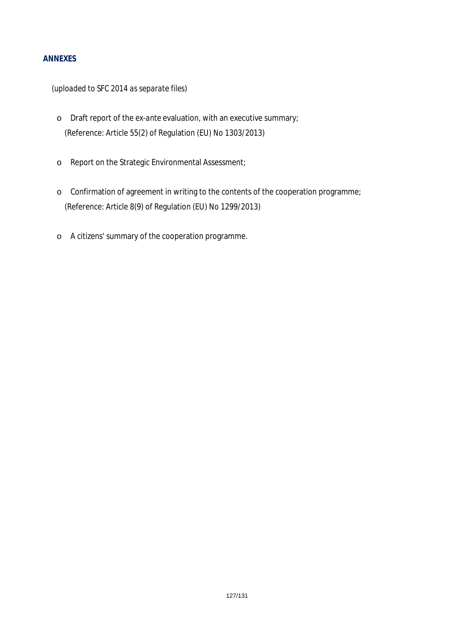### **ANNEXES**

*(uploaded to SFC 2014 as separate files)*

- o Draft report of the *ex-ante* evaluation, with an executive summary; (Reference: Article 55(2) of Regulation (EU) No 1303/2013)
- o Report on the Strategic Environmental Assessment;
- o Confirmation of agreement in writing to the contents of the cooperation programme; (Reference: Article 8(9) of Regulation (EU) No 1299/2013)
- o A citizens' summary of the cooperation programme.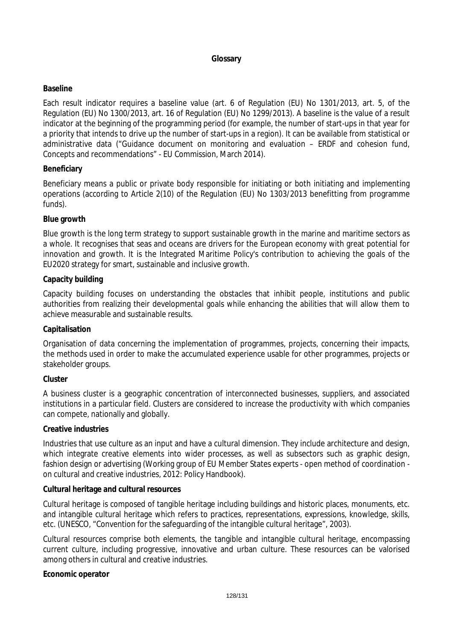## **Glossary**

### **Baseline**

Each result indicator requires a baseline value (art. 6 of Regulation (EU) No 1301/2013, art. 5, of the Regulation (EU) No 1300/2013, art. 16 of Regulation (EU) No 1299/2013). A baseline is the value of a result indicator at the beginning of the programming period (for example, the number of start-ups in that year for a priority that intends to drive up the number of start-ups in a region). It can be available from statistical or administrative data ("Guidance document on monitoring and evaluation – ERDF and cohesion fund, Concepts and recommendations" - EU Commission, March 2014).

### **Beneficiary**

Beneficiary means a public or private body responsible for initiating or both initiating and implementing operations (according to Article 2(10) of the Regulation (EU) No 1303/2013 benefitting from programme funds).

### **Blue growth**

Blue growth is the long term strategy to support sustainable growth in the marine and maritime sectors as a whole. It recognises that seas and oceans are drivers for the European economy with great potential for innovation and growth. It is the Integrated Maritime Policy's contribution to achieving the goals of the EU2020 strategy for smart, sustainable and inclusive growth.

### **Capacity building**

Capacity building focuses on understanding the obstacles that inhibit people, institutions and public authorities from realizing their developmental goals while enhancing the abilities that will allow them to achieve measurable and sustainable results.

### **Capitalisation**

Organisation of data concerning the implementation of programmes, projects, concerning their impacts, the methods used in order to make the accumulated experience usable for other programmes, projects or stakeholder groups.

### **Cluster**

A business cluster is a geographic concentration of interconnected businesses, suppliers, and associated institutions in a particular field. Clusters are considered to increase the productivity with which companies can compete, nationally and globally.

### **Creative industries**

Industries that use culture as an input and have a cultural dimension. They include architecture and design, which integrate creative elements into wider processes, as well as subsectors such as graphic design, fashion design or advertising (Working group of EU Member States experts - open method of coordination on cultural and creative industries, 2012: Policy Handbook).

### **Cultural heritage and cultural resources**

Cultural heritage is composed of tangible heritage including buildings and historic places, monuments, etc. and intangible cultural heritage which refers to practices, representations, expressions, knowledge, skills, etc. (UNESCO, "Convention for the safeguarding of the intangible cultural heritage", 2003).

Cultural resources comprise both elements, the tangible and intangible cultural heritage, encompassing current culture, including progressive, innovative and urban culture. These resources can be valorised among others in cultural and creative industries.

### **Economic operator**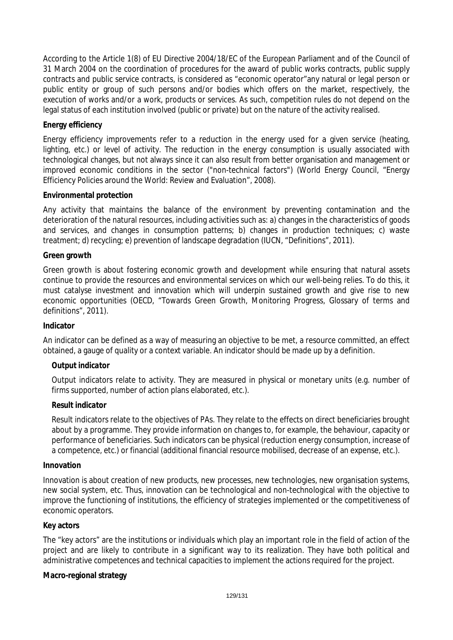According to the Article 1(8) of EU Directive 2004/18/EC of the European Parliament and of the Council of 31 March 2004 on the coordination of procedures for the award of public works contracts, public supply contracts and public service contracts, is considered as "economic operator"any natural or legal person or public entity or group of such persons and/or bodies which offers on the market, respectively, the execution of works and/or a work, products or services. As such, competition rules do not depend on the legal status of each institution involved (public or private) but on the nature of the activity realised.

### **Energy efficiency**

Energy efficiency improvements refer to a reduction in the energy used for a given service (heating, lighting, etc.) or level of activity. The reduction in the energy consumption is usually associated with technological changes, but not always since it can also result from better organisation and management or improved economic conditions in the sector ("non-technical factors") (World Energy Council, "Energy Efficiency Policies around the World: Review and Evaluation", 2008).

### **Environmental protection**

Any activity that maintains the balance of the environment by preventing contamination and the deterioration of the natural resources, including activities such as: a) changes in the characteristics of goods and services, and changes in consumption patterns; b) changes in production techniques; c) waste treatment; d) recycling; e) prevention of landscape degradation (IUCN, "Definitions", 2011).

### **Green growth**

Green growth is about fostering economic growth and development while ensuring that natural assets continue to provide the resources and environmental services on which our well-being relies. To do this, it must catalyse investment and innovation which will underpin sustained growth and give rise to new economic opportunities (OECD, "Towards Green Growth, Monitoring Progress, Glossary of terms and definitions", 2011).

### **Indicator**

An indicator can be defined as a way of measuring an objective to be met, a resource committed, an effect obtained, a gauge of quality or a context variable. An indicator should be made up by a definition.

## *Output indicator*

Output indicators relate to activity. They are measured in physical or monetary units (e.g. number of firms supported, number of action plans elaborated, etc.).

### *Result indicator*

Result indicators relate to the objectives of PAs. They relate to the effects on direct beneficiaries brought about by a programme. They provide information on changes to, for example, the behaviour, capacity or performance of beneficiaries. Such indicators can be physical (reduction energy consumption, increase of a competence, etc.) or financial (additional financial resource mobilised, decrease of an expense, etc.).

### **Innovation**

Innovation is about creation of new products, new processes, new technologies, new organisation systems, new social system, etc. Thus, innovation can be technological and non-technological with the objective to improve the functioning of institutions, the efficiency of strategies implemented or the competitiveness of economic operators.

### **Key actors**

The "key actors" are the institutions or individuals which play an important role in the field of action of the project and are likely to contribute in a significant way to its realization. They have both political and administrative competences and technical capacities to implement the actions required for the project.

### **Macro-regional strategy**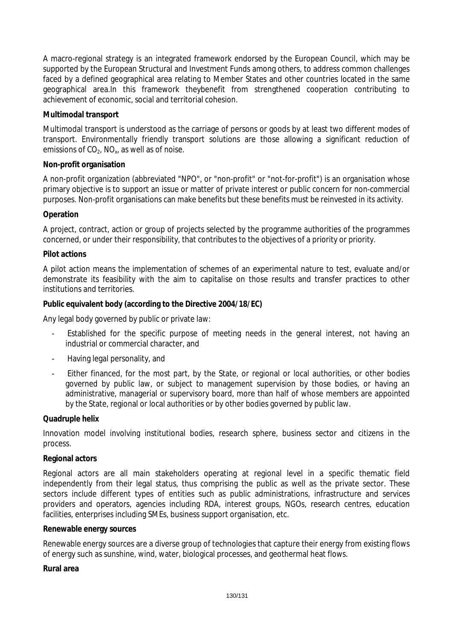A macro-regional strategy is an integrated framework endorsed by the European Council, which may be supported by the European Structural and Investment Funds among others, to address common challenges faced by a defined geographical area relating to Member States and other countries located in the same geographical area.In this framework theybenefit from strengthened cooperation contributing to achievement of economic, social and territorial cohesion.

## **Multimodal transport**

Multimodal transport is understood as the carriage of persons or goods by at least two different modes of transport. Environmentally friendly transport solutions are those allowing a significant reduction of emissions of  $CO<sub>2</sub>$ , NO<sub>x</sub>, as well as of noise.

### **Non-profit organisation**

A non-profit organization (abbreviated "NPO", or "non-profit" or "not-for-profit") is an organisation whose primary objective is to support an issue or matter of private interest or public concern for non-commercial purposes. Non-profit organisations can make benefits but these benefits must be reinvested in its activity.

### **Operation**

A project, contract, action or group of projects selected by the programme authorities of the programmes concerned, or under their responsibility, that contributes to the objectives of a priority or priority.

### **Pilot actions**

A pilot action means the implementation of schemes of an experimental nature to test, evaluate and/or demonstrate its feasibility with the aim to capitalise on those results and transfer practices to other institutions and territories.

### **Public equivalent body (according to the Directive 2004/18/EC)**

Any legal body governed by public or private law:

- Established for the specific purpose of meeting needs in the general interest, not having an industrial or commercial character, and
- Having legal personality, and
- Either financed, for the most part, by the State, or regional or local authorities, or other bodies governed by public law, or subject to management supervision by those bodies, or having an administrative, managerial or supervisory board, more than half of whose members are appointed by the State, regional or local authorities or by other bodies governed by public law.

### **Quadruple helix**

Innovation model involving institutional bodies, research sphere, business sector and citizens in the process.

### **Regional actors**

Regional actors are all main stakeholders operating at regional level in a specific thematic field independently from their legal status, thus comprising the public as well as the private sector. These sectors include different types of entities such as public administrations, infrastructure and services providers and operators, agencies including RDA, interest groups, NGOs, research centres, education facilities, enterprises including SMEs, business support organisation, etc.

### **Renewable energy sources**

Renewable energy sources are a diverse group of technologies that capture their energy from existing flows of energy such as sunshine, wind, water, biological processes, and geothermal heat flows.

### **Rural area**